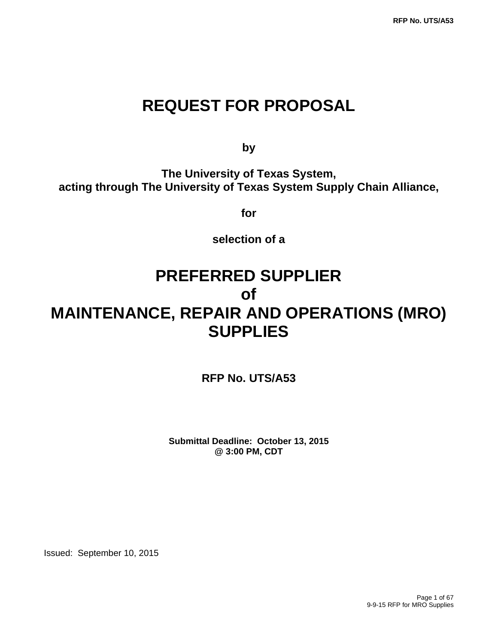# **REQUEST FOR PROPOSAL**

**by** by a bottom of  $\mathbf{b}$ 

**The University of Texas System, acting through The University of Texas System Supply Chain Alliance,** 

**for** 

**selection of a** 

# **PREFERRED SUPPLIER of MAINTENANCE, REPAIR AND OPERATIONS (MRO) SUPPLIES**

**RFP No. UTS/A53** 

**Submittal Deadline: October 13, 2015 @ 3:00 PM, CDT**

Issued: September 10, 2015

Page 1 of 67 9-9-15 RFP for MRO Supplies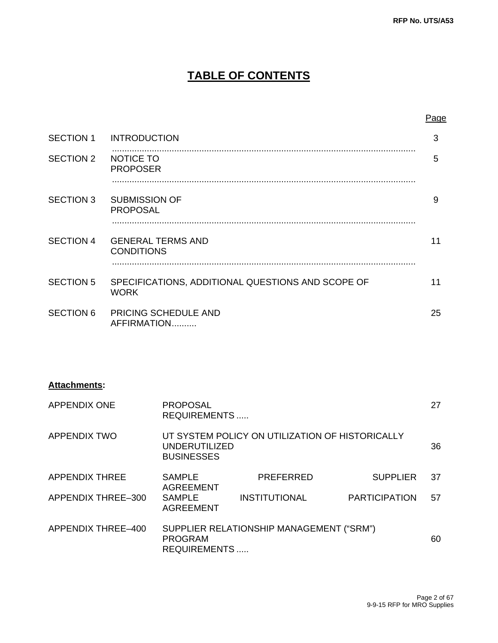# **TABLE OF CONTENTS**

|  |  | Page |
|--|--|------|
|  |  |      |
|  |  |      |

| <b>SECTION 1</b> | <b>INTRODUCTION</b>                                              | 3  |
|------------------|------------------------------------------------------------------|----|
| <b>SECTION 2</b> | <b>NOTICE TO</b><br><b>PROPOSER</b>                              | 5  |
| <b>SECTION 3</b> | <b>SUBMISSION OF</b><br><b>PROPOSAL</b>                          | 9  |
| <b>SECTION 4</b> | <b>GENERAL TERMS AND</b><br><b>CONDITIONS</b>                    | 11 |
| <b>SECTION 5</b> | SPECIFICATIONS, ADDITIONAL QUESTIONS AND SCOPE OF<br><b>WORK</b> | 11 |
| <b>SECTION 6</b> | PRICING SCHEDULE AND<br>AFFIRMATION                              | 25 |

#### **Attachments:**

| <b>APPENDIX ONE</b>   | <b>PROPOSAL</b><br><b>REQUIREMENTS</b>                                                |                                          |                      |    |  |  |
|-----------------------|---------------------------------------------------------------------------------------|------------------------------------------|----------------------|----|--|--|
| <b>APPENDIX TWO</b>   | UT SYSTEM POLICY ON UTILIZATION OF HISTORICALLY<br>UNDERUTILIZED<br><b>BUSINESSES</b> |                                          |                      |    |  |  |
| <b>APPENDIX THREE</b> | <b>SAMPLE</b><br><b>AGREEMENT</b>                                                     | <b>PREFERRED</b>                         | <b>SUPPLIER</b>      | 37 |  |  |
| APPENDIX THREE-300    | <b>SAMPLE</b><br><b>AGREEMENT</b>                                                     | <b>INSTITUTIONAL</b>                     | <b>PARTICIPATION</b> | 57 |  |  |
| APPENDIX THREE-400    | <b>PROGRAM</b><br><b>REQUIREMENTS</b>                                                 | SUPPLIER RELATIONSHIP MANAGEMENT ("SRM") |                      | 60 |  |  |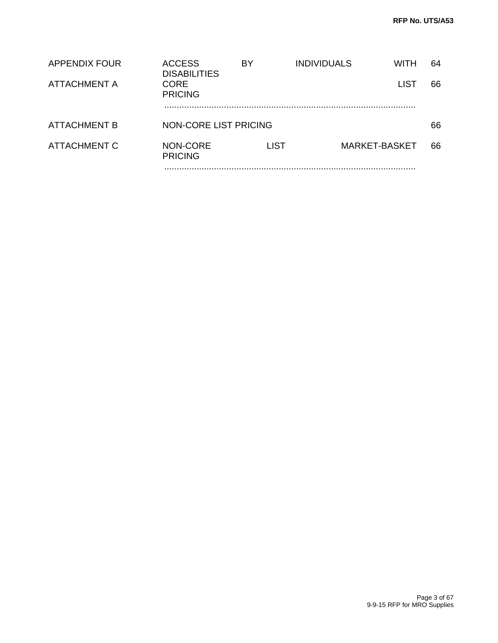| APPENDIX FOUR       | <b>ACCESS</b><br><b>DISABILITIES</b> | BY          | <b>INDIVIDUALS</b> | WITH          | 64 |
|---------------------|--------------------------------------|-------------|--------------------|---------------|----|
| <b>ATTACHMENT A</b> | <b>CORE</b><br><b>PRICING</b>        |             |                    | <b>LIST</b>   | 66 |
| <b>ATTACHMENT B</b> | NON-CORE LIST PRICING                |             |                    |               | 66 |
| ATTACHMENT C        | NON-CORE<br><b>PRICING</b>           | <b>LIST</b> |                    | MARKET-BASKET | 66 |
|                     |                                      |             |                    |               |    |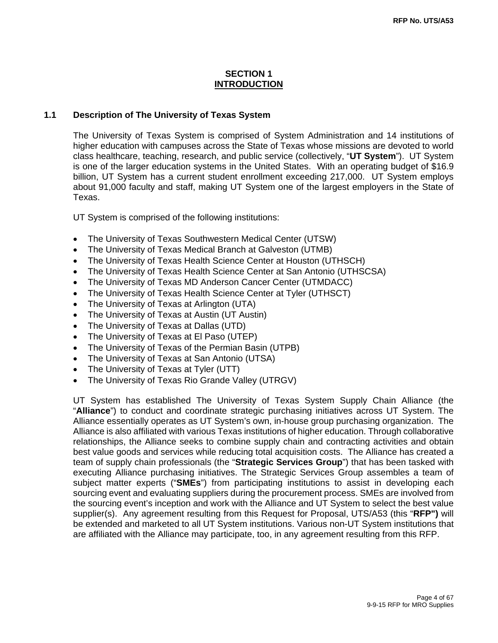#### **SECTION 1 INTRODUCTION**

#### **1.1 Description of The University of Texas System**

The University of Texas System is comprised of System Administration and 14 institutions of higher education with campuses across the State of Texas whose missions are devoted to world class healthcare, teaching, research, and public service (collectively, "**UT System**"). UT System is one of the larger education systems in the United States. With an operating budget of \$16.9 billion, UT System has a current student enrollment exceeding 217,000. UT System employs about 91,000 faculty and staff, making UT System one of the largest employers in the State of Texas.

UT System is comprised of the following institutions:

- The University of Texas Southwestern Medical Center (UTSW)
- The University of Texas Medical Branch at Galveston (UTMB)
- The University of Texas Health Science Center at Houston (UTHSCH)
- The University of Texas Health Science Center at San Antonio (UTHSCSA)
- The University of Texas MD Anderson Cancer Center (UTMDACC)
- The University of Texas Health Science Center at Tyler (UTHSCT)
- The University of Texas at Arlington (UTA)
- The University of Texas at Austin (UT Austin)
- The University of Texas at Dallas (UTD)
- The University of Texas at El Paso (UTEP)
- The University of Texas of the Permian Basin (UTPB)
- The University of Texas at San Antonio (UTSA)
- The University of Texas at Tyler (UTT)
- The University of Texas Rio Grande Valley (UTRGV)

UT System has established The University of Texas System Supply Chain Alliance (the "**Alliance**") to conduct and coordinate strategic purchasing initiatives across UT System. The Alliance essentially operates as UT System's own, in-house group purchasing organization. The Alliance is also affiliated with various Texas institutions of higher education. Through collaborative relationships, the Alliance seeks to combine supply chain and contracting activities and obtain best value goods and services while reducing total acquisition costs. The Alliance has created a team of supply chain professionals (the "**Strategic Services Group**") that has been tasked with executing Alliance purchasing initiatives. The Strategic Services Group assembles a team of subject matter experts ("**SMEs**") from participating institutions to assist in developing each sourcing event and evaluating suppliers during the procurement process. SMEs are involved from the sourcing event's inception and work with the Alliance and UT System to select the best value supplier(s). Any agreement resulting from this Request for Proposal, UTS/A53 (this "**RFP")** will be extended and marketed to all UT System institutions. Various non-UT System institutions that are affiliated with the Alliance may participate, too, in any agreement resulting from this RFP.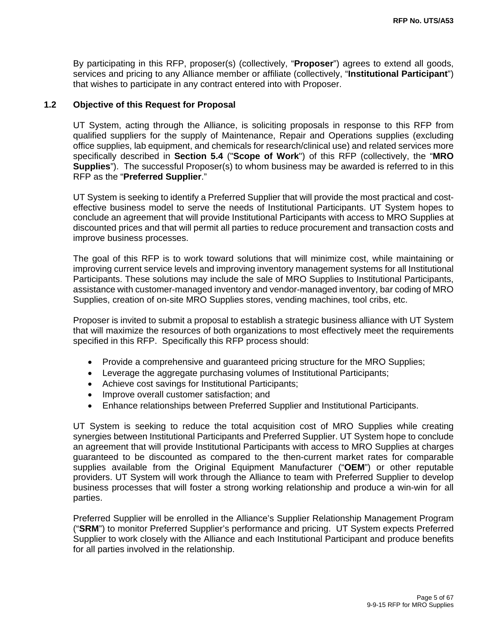By participating in this RFP, proposer(s) (collectively, "**Proposer**") agrees to extend all goods, services and pricing to any Alliance member or affiliate (collectively, "**Institutional Participant**") that wishes to participate in any contract entered into with Proposer.

#### **1.2 Objective of this Request for Proposal**

UT System, acting through the Alliance, is soliciting proposals in response to this RFP from qualified suppliers for the supply of Maintenance, Repair and Operations supplies (excluding office supplies, lab equipment, and chemicals for research/clinical use) and related services more specifically described in **Section 5.4** ("**Scope of Work**") of this RFP (collectively, the "**MRO Supplies**"). The successful Proposer(s) to whom business may be awarded is referred to in this RFP as the "**Preferred Supplier**."

UT System is seeking to identify a Preferred Supplier that will provide the most practical and costeffective business model to serve the needs of Institutional Participants. UT System hopes to conclude an agreement that will provide Institutional Participants with access to MRO Supplies at discounted prices and that will permit all parties to reduce procurement and transaction costs and improve business processes.

The goal of this RFP is to work toward solutions that will minimize cost, while maintaining or improving current service levels and improving inventory management systems for all Institutional Participants. These solutions may include the sale of MRO Supplies to Institutional Participants, assistance with customer-managed inventory and vendor-managed inventory, bar coding of MRO Supplies, creation of on-site MRO Supplies stores, vending machines, tool cribs, etc.

Proposer is invited to submit a proposal to establish a strategic business alliance with UT System that will maximize the resources of both organizations to most effectively meet the requirements specified in this RFP. Specifically this RFP process should:

- Provide a comprehensive and quaranteed pricing structure for the MRO Supplies;
- Leverage the aggregate purchasing volumes of Institutional Participants;
- Achieve cost savings for Institutional Participants;
- Improve overall customer satisfaction; and
- Enhance relationships between Preferred Supplier and Institutional Participants.

UT System is seeking to reduce the total acquisition cost of MRO Supplies while creating synergies between Institutional Participants and Preferred Supplier. UT System hope to conclude an agreement that will provide Institutional Participants with access to MRO Supplies at charges guaranteed to be discounted as compared to the then-current market rates for comparable supplies available from the Original Equipment Manufacturer ("**OEM**") or other reputable providers. UT System will work through the Alliance to team with Preferred Supplier to develop business processes that will foster a strong working relationship and produce a win-win for all parties.

Preferred Supplier will be enrolled in the Alliance's Supplier Relationship Management Program ("**SRM**") to monitor Preferred Supplier's performance and pricing. UT System expects Preferred Supplier to work closely with the Alliance and each Institutional Participant and produce benefits for all parties involved in the relationship.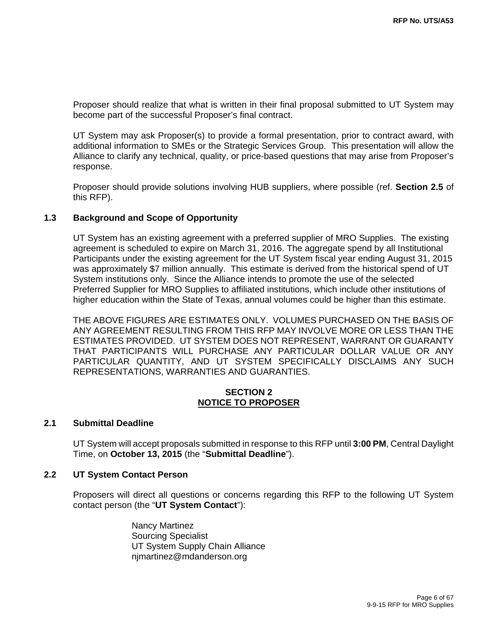Proposer should realize that what is written in their final proposal submitted to UT System may become part of the successful Proposer's final contract.

UT System may ask Proposer(s) to provide a formal presentation, prior to contract award, with additional information to SMEs or the Strategic Services Group. This presentation will allow the Alliance to clarify any technical, quality, or price-based questions that may arise from Proposer's response.

Proposer should provide solutions involving HUB suppliers, where possible (ref. **Section 2.5** of this RFP).

#### **1.3 Background and Scope of Opportunity**

UT System has an existing agreement with a preferred supplier of MRO Supplies. The existing agreement is scheduled to expire on March 31, 2016. The aggregate spend by all Institutional Participants under the existing agreement for the UT System fiscal year ending August 31, 2015 was approximately \$7 million annually. This estimate is derived from the historical spend of UT System institutions only. Since the Alliance intends to promote the use of the selected Preferred Supplier for MRO Supplies to affiliated institutions, which include other institutions of higher education within the State of Texas, annual volumes could be higher than this estimate.

THE ABOVE FIGURES ARE ESTIMATES ONLY. VOLUMES PURCHASED ON THE BASIS OF ANY AGREEMENT RESULTING FROM THIS RFP MAY INVOLVE MORE OR LESS THAN THE ESTIMATES PROVIDED. UT SYSTEM DOES NOT REPRESENT, WARRANT OR GUARANTY THAT PARTICIPANTS WILL PURCHASE ANY PARTICULAR DOLLAR VALUE OR ANY PARTICULAR QUANTITY, AND UT SYSTEM SPECIFICALLY DISCLAIMS ANY SUCH REPRESENTATIONS, WARRANTIES AND GUARANTIES.

#### **SECTION 2 NOTICE TO PROPOSER**

#### **2.1 Submittal Deadline**

UT System will accept proposals submitted in response to this RFP until **3:00 PM**, Central Daylight Time, on **October 13, 2015** (the "**Submittal Deadline**").

#### **2.2 UT System Contact Person**

Proposers will direct all questions or concerns regarding this RFP to the following UT System contact person (the "**UT System Contact**"):

> Nancy Martinez Sourcing Specialist UT System Supply Chain Alliance njmartinez@mdanderson.org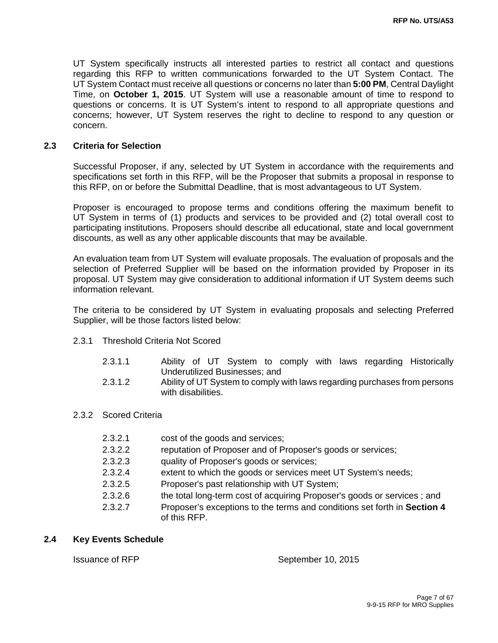UT System specifically instructs all interested parties to restrict all contact and questions regarding this RFP to written communications forwarded to the UT System Contact. The UT System Contact must receive all questions or concerns no later than **5:00 PM**, Central Daylight Time, on **October 1, 2015**. UT System will use a reasonable amount of time to respond to questions or concerns. It is UT System's intent to respond to all appropriate questions and concerns; however, UT System reserves the right to decline to respond to any question or concern.

#### **2.3 Criteria for Selection**

Successful Proposer, if any, selected by UT System in accordance with the requirements and specifications set forth in this RFP, will be the Proposer that submits a proposal in response to this RFP, on or before the Submittal Deadline, that is most advantageous to UT System.

Proposer is encouraged to propose terms and conditions offering the maximum benefit to UT System in terms of (1) products and services to be provided and (2) total overall cost to participating institutions. Proposers should describe all educational, state and local government discounts, as well as any other applicable discounts that may be available.

An evaluation team from UT System will evaluate proposals. The evaluation of proposals and the selection of Preferred Supplier will be based on the information provided by Proposer in its proposal. UT System may give consideration to additional information if UT System deems such information relevant.

The criteria to be considered by UT System in evaluating proposals and selecting Preferred Supplier, will be those factors listed below:

- 2.3.1 Threshold Criteria Not Scored
	- 2.3.1.1 Ability of UT System to comply with laws regarding Historically Underutilized Businesses; and
	- 2.3.1.2 Ability of UT System to comply with laws regarding purchases from persons with disabilities.
- 2.3.2 Scored Criteria

| 2.3.2.1 | cost of the goods and services;                                                          |
|---------|------------------------------------------------------------------------------------------|
| 2.3.2.2 | reputation of Proposer and of Proposer's goods or services;                              |
| 2.3.2.3 | quality of Proposer's goods or services;                                                 |
| 2.3.2.4 | extent to which the goods or services meet UT System's needs;                            |
| 2.3.2.5 | Proposer's past relationship with UT System;                                             |
| 2.3.2.6 | the total long-term cost of acquiring Proposer's goods or services; and                  |
| 2.3.2.7 | Proposer's exceptions to the terms and conditions set forth in Section 4<br>of this RFP. |

#### **2.4 Key Events Schedule**

Issuance of RFP September 10, 2015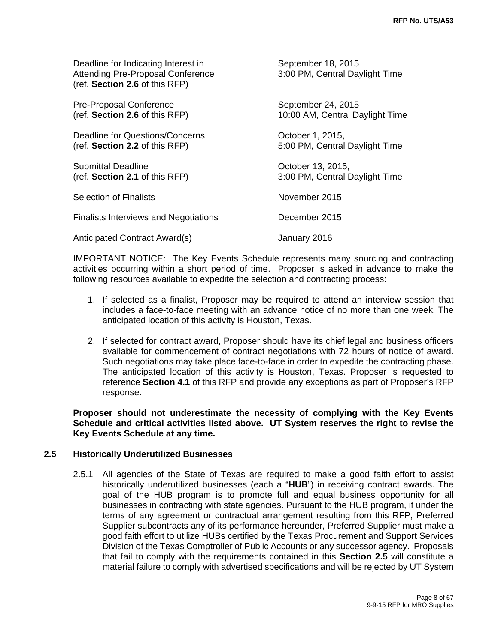| Deadline for Indicating Interest in<br><b>Attending Pre-Proposal Conference</b><br>(ref. Section 2.6 of this RFP) | September 18, 2015<br>3:00 PM, Central Daylight Time  |
|-------------------------------------------------------------------------------------------------------------------|-------------------------------------------------------|
| <b>Pre-Proposal Conference</b><br>(ref. Section 2.6 of this RFP)                                                  | September 24, 2015<br>10:00 AM, Central Daylight Time |
| Deadline for Questions/Concerns<br>(ref. Section 2.2 of this RFP)                                                 | October 1, 2015,<br>5:00 PM, Central Daylight Time    |
| Submittal Deadline<br>(ref. Section 2.1 of this RFP)                                                              | October 13, 2015,<br>3:00 PM, Central Daylight Time   |
| <b>Selection of Finalists</b>                                                                                     | November 2015                                         |
| <b>Finalists Interviews and Negotiations</b>                                                                      | December 2015                                         |
| Anticipated Contract Award(s)                                                                                     | January 2016                                          |

IMPORTANT NOTICE: The Key Events Schedule represents many sourcing and contracting activities occurring within a short period of time. Proposer is asked in advance to make the following resources available to expedite the selection and contracting process:

- 1. If selected as a finalist, Proposer may be required to attend an interview session that includes a face-to-face meeting with an advance notice of no more than one week. The anticipated location of this activity is Houston, Texas.
- 2. If selected for contract award, Proposer should have its chief legal and business officers available for commencement of contract negotiations with 72 hours of notice of award. Such negotiations may take place face-to-face in order to expedite the contracting phase. The anticipated location of this activity is Houston, Texas. Proposer is requested to reference **Section 4.1** of this RFP and provide any exceptions as part of Proposer's RFP response.

**Proposer should not underestimate the necessity of complying with the Key Events Schedule and critical activities listed above. UT System reserves the right to revise the Key Events Schedule at any time.** 

#### **2.5 Historically Underutilized Businesses**

2.5.1 All agencies of the State of Texas are required to make a good faith effort to assist historically underutilized businesses (each a "**HUB**") in receiving contract awards. The goal of the HUB program is to promote full and equal business opportunity for all businesses in contracting with state agencies. Pursuant to the HUB program, if under the terms of any agreement or contractual arrangement resulting from this RFP, Preferred Supplier subcontracts any of its performance hereunder, Preferred Supplier must make a good faith effort to utilize HUBs certified by the Texas Procurement and Support Services Division of the Texas Comptroller of Public Accounts or any successor agency. Proposals that fail to comply with the requirements contained in this **Section 2.5** will constitute a material failure to comply with advertised specifications and will be rejected by UT System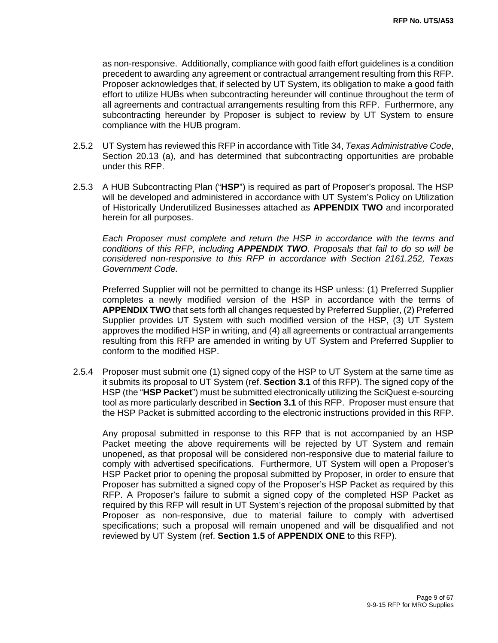as non-responsive. Additionally, compliance with good faith effort guidelines is a condition precedent to awarding any agreement or contractual arrangement resulting from this RFP. Proposer acknowledges that, if selected by UT System, its obligation to make a good faith effort to utilize HUBs when subcontracting hereunder will continue throughout the term of all agreements and contractual arrangements resulting from this RFP. Furthermore, any subcontracting hereunder by Proposer is subject to review by UT System to ensure compliance with the HUB program.

- 2.5.2 UT System has reviewed this RFP in accordance with Title 34, *Texas Administrative Code*, Section 20.13 (a), and has determined that subcontracting opportunities are probable under this RFP.
- 2.5.3 A HUB Subcontracting Plan ("**HSP**") is required as part of Proposer's proposal. The HSP will be developed and administered in accordance with UT System's Policy on Utilization of Historically Underutilized Businesses attached as **APPENDIX TWO** and incorporated herein for all purposes.

*Each Proposer must complete and return the HSP in accordance with the terms and conditions of this RFP, including APPENDIX TWO. Proposals that fail to do so will be considered non-responsive to this RFP in accordance with Section 2161.252, Texas Government Code.*

Preferred Supplier will not be permitted to change its HSP unless: (1) Preferred Supplier completes a newly modified version of the HSP in accordance with the terms of **APPENDIX TWO** that sets forth all changes requested by Preferred Supplier, (2) Preferred Supplier provides UT System with such modified version of the HSP, (3) UT System approves the modified HSP in writing, and (4) all agreements or contractual arrangements resulting from this RFP are amended in writing by UT System and Preferred Supplier to conform to the modified HSP.

2.5.4 Proposer must submit one (1) signed copy of the HSP to UT System at the same time as it submits its proposal to UT System (ref. **Section 3.1** of this RFP). The signed copy of the HSP (the "**HSP Packet**") must be submitted electronically utilizing the SciQuest e-sourcing tool as more particularly described in **Section 3.1** of this RFP. Proposer must ensure that the HSP Packet is submitted according to the electronic instructions provided in this RFP.

Any proposal submitted in response to this RFP that is not accompanied by an HSP Packet meeting the above requirements will be rejected by UT System and remain unopened, as that proposal will be considered non-responsive due to material failure to comply with advertised specifications. Furthermore, UT System will open a Proposer's HSP Packet prior to opening the proposal submitted by Proposer, in order to ensure that Proposer has submitted a signed copy of the Proposer's HSP Packet as required by this RFP. A Proposer's failure to submit a signed copy of the completed HSP Packet as required by this RFP will result in UT System's rejection of the proposal submitted by that Proposer as non-responsive, due to material failure to comply with advertised specifications; such a proposal will remain unopened and will be disqualified and not reviewed by UT System (ref. **Section 1.5** of **APPENDIX ONE** to this RFP).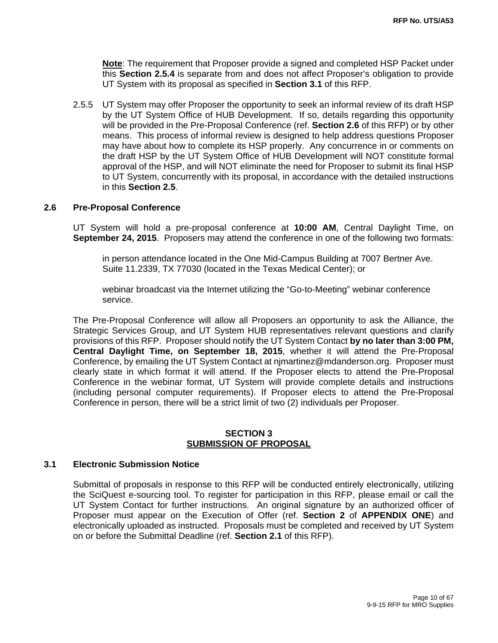**Note**: The requirement that Proposer provide a signed and completed HSP Packet under this **Section 2.5.4** is separate from and does not affect Proposer's obligation to provide UT System with its proposal as specified in **Section 3.1** of this RFP.

2.5.5 UT System may offer Proposer the opportunity to seek an informal review of its draft HSP by the UT System Office of HUB Development. If so, details regarding this opportunity will be provided in the Pre-Proposal Conference (ref. **Section 2.6** of this RFP) or by other means. This process of informal review is designed to help address questions Proposer may have about how to complete its HSP properly. Any concurrence in or comments on the draft HSP by the UT System Office of HUB Development will NOT constitute formal approval of the HSP, and will NOT eliminate the need for Proposer to submit its final HSP to UT System, concurrently with its proposal, in accordance with the detailed instructions in this **Section 2.5**.

#### **2.6 Pre-Proposal Conference**

UT System will hold a pre-proposal conference at **10:00 AM**, Central Daylight Time, on **September 24, 2015**. Proposers may attend the conference in one of the following two formats:

in person attendance located in the One Mid-Campus Building at 7007 Bertner Ave. Suite 11.2339, TX 77030 (located in the Texas Medical Center); or

webinar broadcast via the Internet utilizing the "Go-to-Meeting" webinar conference service.

The Pre-Proposal Conference will allow all Proposers an opportunity to ask the Alliance, the Strategic Services Group, and UT System HUB representatives relevant questions and clarify provisions of this RFP. Proposer should notify the UT System Contact **by no later than 3:00 PM, Central Daylight Time, on September 18, 2015**, whether it will attend the Pre-Proposal Conference, by emailing the UT System Contact at njmartinez@mdanderson.org. Proposer must clearly state in which format it will attend. If the Proposer elects to attend the Pre-Proposal Conference in the webinar format, UT System will provide complete details and instructions (including personal computer requirements). If Proposer elects to attend the Pre-Proposal Conference in person, there will be a strict limit of two (2) individuals per Proposer.

#### **SECTION 3 SUBMISSION OF PROPOSAL**

#### **3.1 Electronic Submission Notice**

Submittal of proposals in response to this RFP will be conducted entirely electronically, utilizing the SciQuest e-sourcing tool. To register for participation in this RFP, please email or call the UT System Contact for further instructions. An original signature by an authorized officer of Proposer must appear on the Execution of Offer (ref. **Section 2** of **APPENDIX ONE**) and electronically uploaded as instructed. Proposals must be completed and received by UT System on or before the Submittal Deadline (ref. **Section 2.1** of this RFP).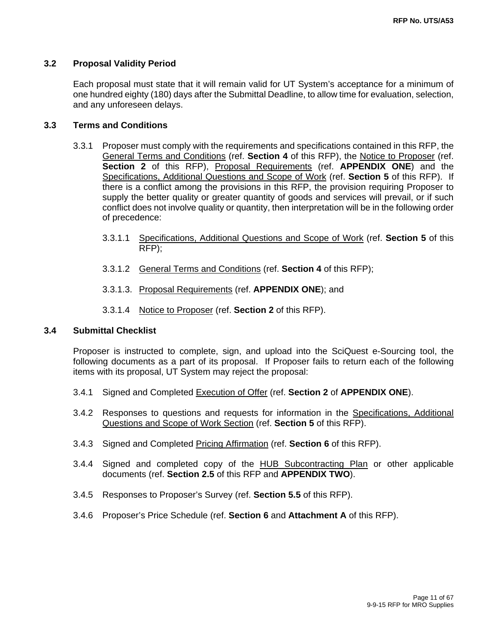#### **3.2 Proposal Validity Period**

Each proposal must state that it will remain valid for UT System's acceptance for a minimum of one hundred eighty (180) days after the Submittal Deadline, to allow time for evaluation, selection, and any unforeseen delays.

#### **3.3 Terms and Conditions**

- 3.3.1 Proposer must comply with the requirements and specifications contained in this RFP, the General Terms and Conditions (ref. **Section 4** of this RFP), the Notice to Proposer (ref. **Section 2** of this RFP), Proposal Requirements (ref. **APPENDIX ONE**) and the Specifications, Additional Questions and Scope of Work (ref. **Section 5** of this RFP). If there is a conflict among the provisions in this RFP, the provision requiring Proposer to supply the better quality or greater quantity of goods and services will prevail, or if such conflict does not involve quality or quantity, then interpretation will be in the following order of precedence:
	- 3.3.1.1 Specifications, Additional Questions and Scope of Work (ref. **Section 5** of this RFP);
	- 3.3.1.2 General Terms and Conditions (ref. **Section 4** of this RFP);
	- 3.3.1.3. Proposal Requirements (ref. **APPENDIX ONE**); and
	- 3.3.1.4 Notice to Proposer (ref. **Section 2** of this RFP).

#### **3.4 Submittal Checklist**

Proposer is instructed to complete, sign, and upload into the SciQuest e-Sourcing tool, the following documents as a part of its proposal. If Proposer fails to return each of the following items with its proposal, UT System may reject the proposal:

- 3.4.1 Signed and Completed Execution of Offer (ref. **Section 2** of **APPENDIX ONE**).
- 3.4.2 Responses to questions and requests for information in the Specifications, Additional Questions and Scope of Work Section (ref. **Section 5** of this RFP).
- 3.4.3 Signed and Completed Pricing Affirmation (ref. **Section 6** of this RFP).
- 3.4.4 Signed and completed copy of the HUB Subcontracting Plan or other applicable documents (ref. **Section 2.5** of this RFP and **APPENDIX TWO**).
- 3.4.5 Responses to Proposer's Survey (ref. **Section 5.5** of this RFP).
- 3.4.6 Proposer's Price Schedule (ref. **Section 6** and **Attachment A** of this RFP).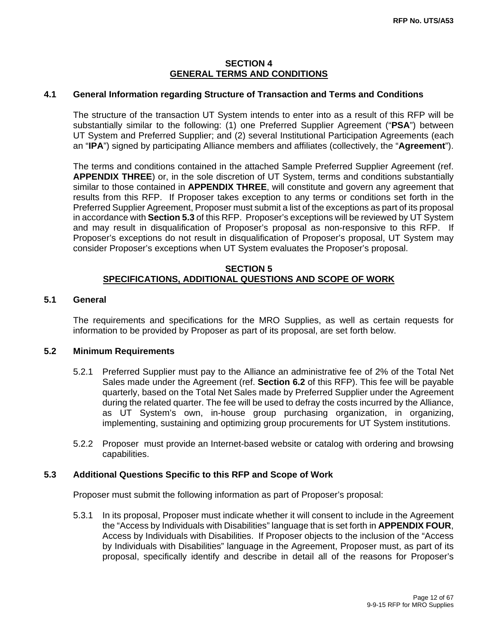#### **SECTION 4 GENERAL TERMS AND CONDITIONS**

#### **4.1 General Information regarding Structure of Transaction and Terms and Conditions**

The structure of the transaction UT System intends to enter into as a result of this RFP will be substantially similar to the following: (1) one Preferred Supplier Agreement ("**PSA**") between UT System and Preferred Supplier; and (2) several Institutional Participation Agreements (each an "**IPA**") signed by participating Alliance members and affiliates (collectively, the "**Agreement**").

The terms and conditions contained in the attached Sample Preferred Supplier Agreement (ref. **APPENDIX THREE**) or, in the sole discretion of UT System, terms and conditions substantially similar to those contained in **APPENDIX THREE**, will constitute and govern any agreement that results from this RFP. If Proposer takes exception to any terms or conditions set forth in the Preferred Supplier Agreement, Proposer must submit a list of the exceptions as part of its proposal in accordance with **Section 5.3** of this RFP. Proposer's exceptions will be reviewed by UT System and may result in disqualification of Proposer's proposal as non-responsive to this RFP. If Proposer's exceptions do not result in disqualification of Proposer's proposal, UT System may consider Proposer's exceptions when UT System evaluates the Proposer's proposal.

#### **SECTION 5 SPECIFICATIONS, ADDITIONAL QUESTIONS AND SCOPE OF WORK**

### **5.1 General**

The requirements and specifications for the MRO Supplies, as well as certain requests for information to be provided by Proposer as part of its proposal, are set forth below.

#### **5.2 Minimum Requirements**

- 5.2.1 Preferred Supplier must pay to the Alliance an administrative fee of 2% of the Total Net Sales made under the Agreement (ref. **Section 6.2** of this RFP). This fee will be payable quarterly, based on the Total Net Sales made by Preferred Supplier under the Agreement during the related quarter. The fee will be used to defray the costs incurred by the Alliance, as UT System's own, in-house group purchasing organization, in organizing, implementing, sustaining and optimizing group procurements for UT System institutions.
- 5.2.2 Proposer must provide an Internet-based website or catalog with ordering and browsing capabilities.

#### **5.3 Additional Questions Specific to this RFP and Scope of Work**

Proposer must submit the following information as part of Proposer's proposal:

5.3.1 In its proposal, Proposer must indicate whether it will consent to include in the Agreement the "Access by Individuals with Disabilities" language that is set forth in **APPENDIX FOUR**, Access by Individuals with Disabilities. If Proposer objects to the inclusion of the "Access by Individuals with Disabilities" language in the Agreement, Proposer must, as part of its proposal, specifically identify and describe in detail all of the reasons for Proposer's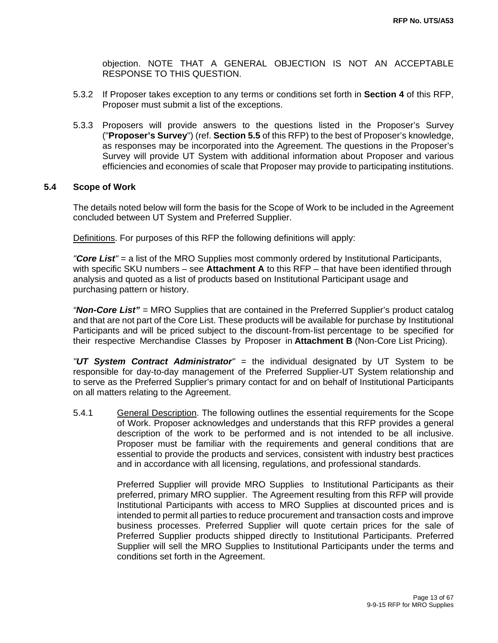objection. NOTE THAT A GENERAL OBJECTION IS NOT AN ACCEPTABLE RESPONSE TO THIS QUESTION.

- 5.3.2 If Proposer takes exception to any terms or conditions set forth in **Section 4** of this RFP, Proposer must submit a list of the exceptions.
- 5.3.3 Proposers will provide answers to the questions listed in the Proposer's Survey ("**Proposer's Survey**") (ref. **Section 5.5** of this RFP) to the best of Proposer's knowledge, as responses may be incorporated into the Agreement. The questions in the Proposer's Survey will provide UT System with additional information about Proposer and various efficiencies and economies of scale that Proposer may provide to participating institutions.

#### **5.4 Scope of Work**

The details noted below will form the basis for the Scope of Work to be included in the Agreement concluded between UT System and Preferred Supplier.

Definitions. For purposes of this RFP the following definitions will apply:

*"Core List"* = a list of the MRO Supplies most commonly ordered by Institutional Participants, with specific SKU numbers – see **Attachment A** to this RFP – that have been identified through analysis and quoted as a list of products based on Institutional Participant usage and purchasing pattern or history.

*"Non-Core List" =* MRO Supplies that are contained in the Preferred Supplier's product catalog and that are not part of the Core List. These products will be available for purchase by Institutional Participants and will be priced subject to the discount-from-list percentage to be specified for their respective Merchandise Classes by Proposer in **Attachment B** (Non-Core List Pricing).

*"UT System Contract Administrator" =* the individual designated by UT System to be responsible for day-to-day management of the Preferred Supplier-UT System relationship and to serve as the Preferred Supplier's primary contact for and on behalf of Institutional Participants on all matters relating to the Agreement.

5.4.1 General Description. The following outlines the essential requirements for the Scope of Work. Proposer acknowledges and understands that this RFP provides a general description of the work to be performed and is not intended to be all inclusive. Proposer must be familiar with the requirements and general conditions that are essential to provide the products and services, consistent with industry best practices and in accordance with all licensing, regulations, and professional standards.

> Preferred Supplier will provide MRO Supplies to Institutional Participants as their preferred, primary MRO supplier. The Agreement resulting from this RFP will provide Institutional Participants with access to MRO Supplies at discounted prices and is intended to permit all parties to reduce procurement and transaction costs and improve business processes. Preferred Supplier will quote certain prices for the sale of Preferred Supplier products shipped directly to Institutional Participants. Preferred Supplier will sell the MRO Supplies to Institutional Participants under the terms and conditions set forth in the Agreement.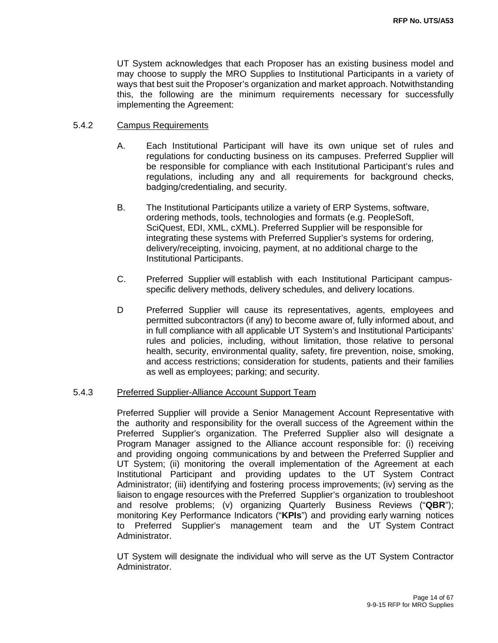UT System acknowledges that each Proposer has an existing business model and may choose to supply the MRO Supplies to Institutional Participants in a variety of ways that best suit the Proposer's organization and market approach. Notwithstanding this, the following are the minimum requirements necessary for successfully implementing the Agreement:

#### 5.4.2 Campus Requirements

- A. Each Institutional Participant will have its own unique set of rules and regulations for conducting business on its campuses. Preferred Supplier will be responsible for compliance with each Institutional Participant's rules and regulations, including any and all requirements for background checks, badging/credentialing, and security.
- B. The Institutional Participants utilize a variety of ERP Systems, software, ordering methods, tools, technologies and formats (e.g. PeopleSoft, SciQuest, EDI, XML, cXML). Preferred Supplier will be responsible for integrating these systems with Preferred Supplier's systems for ordering, delivery/receipting, invoicing, payment, at no additional charge to the Institutional Participants.
- C. Preferred Supplier will establish with each Institutional Participant campusspecific delivery methods, delivery schedules, and delivery locations.
- D Preferred Supplier will cause its representatives, agents, employees and permitted subcontractors (if any) to become aware of, fully informed about, and in full compliance with all applicable UT System's and Institutional Participants' rules and policies, including, without limitation, those relative to personal health, security, environmental quality, safety, fire prevention, noise, smoking, and access restrictions; consideration for students, patients and their families as well as employees; parking; and security.

#### 5.4.3 Preferred Supplier-Alliance Account Support Team

Preferred Supplier will provide a Senior Management Account Representative with the authority and responsibility for the overall success of the Agreement within the Preferred Supplier's organization. The Preferred Supplier also will designate a Program Manager assigned to the Alliance account responsible for: (i) receiving and providing ongoing communications by and between the Preferred Supplier and UT System; (ii) monitoring the overall implementation of the Agreement at each Institutional Participant and providing updates to the UT System Contract Administrator; (iii) identifying and fostering process improvements; (iv) serving as the liaison to engage resources with the Preferred Supplier's organization to troubleshoot and resolve problems; (v) organizing Quarterly Business Reviews ("**QBR**"); monitoring Key Performance Indicators ("**KPIs**") and providing early warning notices to Preferred Supplier's management team and the UT System Contract Administrator.

UT System will designate the individual who will serve as the UT System Contractor Administrator.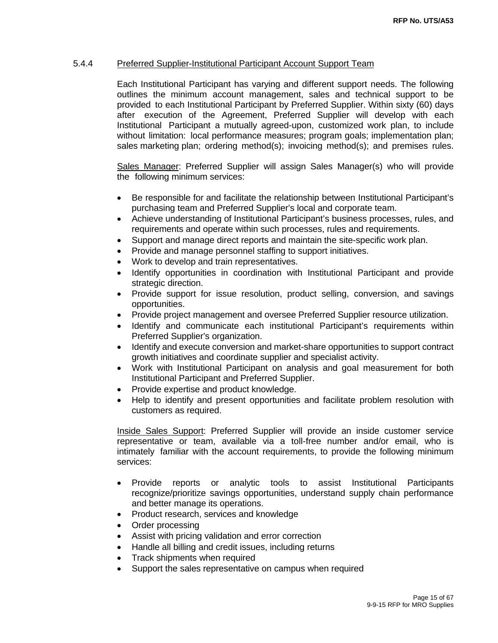#### 5.4.4 Preferred Supplier-Institutional Participant Account Support Team

Each Institutional Participant has varying and different support needs. The following outlines the minimum account management, sales and technical support to be provided to each Institutional Participant by Preferred Supplier. Within sixty (60) days after execution of the Agreement, Preferred Supplier will develop with each Institutional Participant a mutually agreed-upon, customized work plan, to include without limitation: local performance measures; program goals; implementation plan; sales marketing plan; ordering method(s); invoicing method(s); and premises rules.

Sales Manager: Preferred Supplier will assign Sales Manager(s) who will provide the following minimum services:

- Be responsible for and facilitate the relationship between Institutional Participant's purchasing team and Preferred Supplier's local and corporate team.
- Achieve understanding of Institutional Participant's business processes, rules, and requirements and operate within such processes, rules and requirements.
- Support and manage direct reports and maintain the site-specific work plan.
- Provide and manage personnel staffing to support initiatives.
- Work to develop and train representatives.
- Identify opportunities in coordination with Institutional Participant and provide strategic direction.
- Provide support for issue resolution, product selling, conversion, and savings opportunities.
- Provide project management and oversee Preferred Supplier resource utilization.
- Identify and communicate each institutional Participant's requirements within Preferred Supplier's organization.
- Identify and execute conversion and market-share opportunities to support contract growth initiatives and coordinate supplier and specialist activity.
- Work with Institutional Participant on analysis and goal measurement for both Institutional Participant and Preferred Supplier.
- Provide expertise and product knowledge.
- Help to identify and present opportunities and facilitate problem resolution with customers as required.

Inside Sales Support: Preferred Supplier will provide an inside customer service representative or team, available via a toll-free number and/or email, who is intimately familiar with the account requirements, to provide the following minimum services:

- Provide reports or analytic tools to assist Institutional Participants recognize/prioritize savings opportunities, understand supply chain performance and better manage its operations.
- Product research, services and knowledge
- Order processing
- Assist with pricing validation and error correction
- Handle all billing and credit issues, including returns
- Track shipments when required
- Support the sales representative on campus when required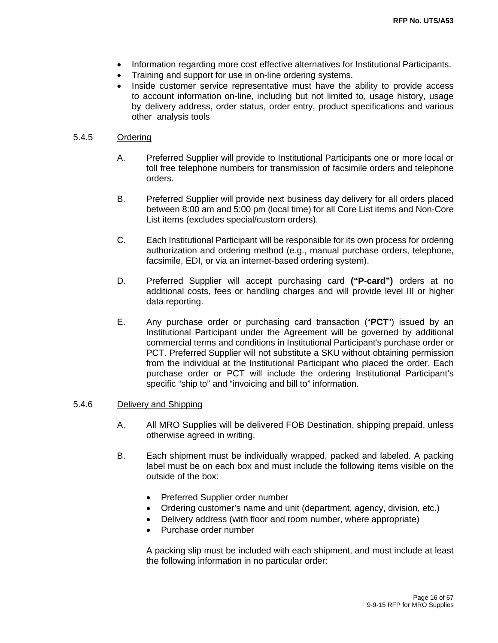- Information regarding more cost effective alternatives for Institutional Participants.
- Training and support for use in on-line ordering systems.
- Inside customer service representative must have the ability to provide access to account information on-line, including but not limited to, usage history, usage by delivery address, order status, order entry, product specifications and various other analysis tools

#### 5.4.5 Ordering

- A. Preferred Supplier will provide to Institutional Participants one or more local or toll free telephone numbers for transmission of facsimile orders and telephone orders.
- B. Preferred Supplier will provide next business day delivery for all orders placed between 8:00 am and 5:00 pm (local time) for all Core List items and Non-Core List items (excludes special/custom orders).
- C. Each Institutional Participant will be responsible for its own process for ordering authorization and ordering method (e.g., manual purchase orders, telephone, facsimile, EDI, or via an internet-based ordering system).
- D. Preferred Supplier will accept purchasing card **("P-card")** orders at no additional costs, fees or handling charges and will provide level III or higher data reporting.
- E. Any purchase order or purchasing card transaction ("**PCT**") issued by an Institutional Participant under the Agreement will be governed by additional commercial terms and conditions in Institutional Participant's purchase order or PCT. Preferred Supplier will not substitute a SKU without obtaining permission from the individual at the Institutional Participant who placed the order. Each purchase order or PCT will include the ordering Institutional Participant's specific "ship to" and "invoicing and bill to" information.

#### 5.4.6 Delivery and Shipping

- A. All MRO Supplies will be delivered FOB Destination, shipping prepaid, unless otherwise agreed in writing.
- B. Each shipment must be individually wrapped, packed and labeled. A packing label must be on each box and must include the following items visible on the outside of the box:
	- Preferred Supplier order number
	- Ordering customer's name and unit (department, agency, division, etc.)
	- Delivery address (with floor and room number, where appropriate)
	- Purchase order number

A packing slip must be included with each shipment, and must include at least the following information in no particular order: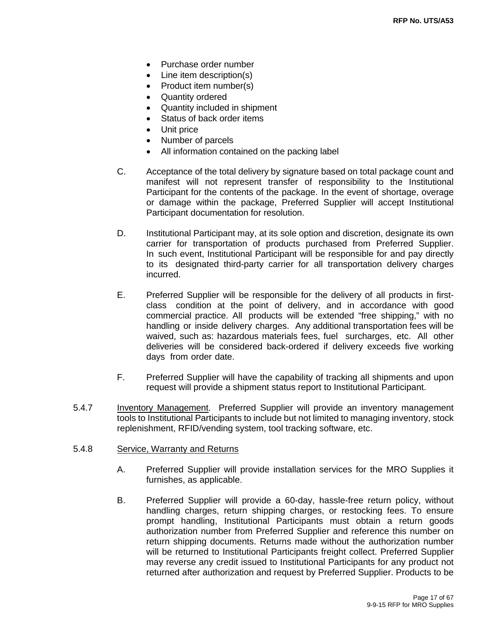- Purchase order number
- Line item description(s)
- Product item number(s)
- Quantity ordered
- Quantity included in shipment
- Status of back order items
- Unit price
- Number of parcels
- All information contained on the packing label
- C. Acceptance of the total delivery by signature based on total package count and manifest will not represent transfer of responsibility to the Institutional Participant for the contents of the package. In the event of shortage, overage or damage within the package, Preferred Supplier will accept Institutional Participant documentation for resolution.
- D. Institutional Participant may, at its sole option and discretion, designate its own carrier for transportation of products purchased from Preferred Supplier. In such event, Institutional Participant will be responsible for and pay directly to its designated third-party carrier for all transportation delivery charges incurred.
- E. Preferred Supplier will be responsible for the delivery of all products in firstclass condition at the point of delivery, and in accordance with good commercial practice. All products will be extended "free shipping," with no handling or inside delivery charges. Any additional transportation fees will be waived, such as: hazardous materials fees, fuel surcharges, etc. All other deliveries will be considered back-ordered if delivery exceeds five working days from order date.
- F. Preferred Supplier will have the capability of tracking all shipments and upon request will provide a shipment status report to Institutional Participant.
- 5.4.7 Inventory Management. Preferred Supplier will provide an inventory management tools to Institutional Participants to include but not limited to managing inventory, stock replenishment, RFID/vending system, tool tracking software, etc.
- 5.4.8 Service, Warranty and Returns
	- A. Preferred Supplier will provide installation services for the MRO Supplies it furnishes, as applicable.
	- B. Preferred Supplier will provide a 60-day, hassle-free return policy, without handling charges, return shipping charges, or restocking fees. To ensure prompt handling, Institutional Participants must obtain a return goods authorization number from Preferred Supplier and reference this number on return shipping documents. Returns made without the authorization number will be returned to Institutional Participants freight collect. Preferred Supplier may reverse any credit issued to Institutional Participants for any product not returned after authorization and request by Preferred Supplier. Products to be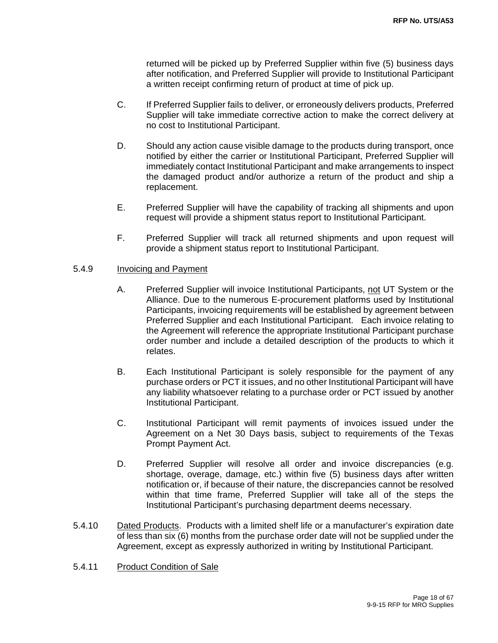returned will be picked up by Preferred Supplier within five (5) business days after notification, and Preferred Supplier will provide to Institutional Participant a written receipt confirming return of product at time of pick up.

- C. If Preferred Supplier fails to deliver, or erroneously delivers products, Preferred Supplier will take immediate corrective action to make the correct delivery at no cost to Institutional Participant.
- D. Should any action cause visible damage to the products during transport, once notified by either the carrier or Institutional Participant, Preferred Supplier will immediately contact Institutional Participant and make arrangements to inspect the damaged product and/or authorize a return of the product and ship a replacement.
- E. Preferred Supplier will have the capability of tracking all shipments and upon request will provide a shipment status report to Institutional Participant.
- F. Preferred Supplier will track all returned shipments and upon request will provide a shipment status report to Institutional Participant.

#### 5.4.9 Invoicing and Payment

- A. Preferred Supplier will invoice Institutional Participants, not UT System or the Alliance. Due to the numerous E-procurement platforms used by Institutional Participants, invoicing requirements will be established by agreement between Preferred Supplier and each Institutional Participant. Each invoice relating to the Agreement will reference the appropriate Institutional Participant purchase order number and include a detailed description of the products to which it relates.
- B. Each Institutional Participant is solely responsible for the payment of any purchase orders or PCT it issues, and no other Institutional Participant will have any liability whatsoever relating to a purchase order or PCT issued by another Institutional Participant.
- C. Institutional Participant will remit payments of invoices issued under the Agreement on a Net 30 Days basis, subject to requirements of the Texas Prompt Payment Act.
- D. Preferred Supplier will resolve all order and invoice discrepancies (e.g. shortage, overage, damage, etc.) within five (5) business days after written notification or, if because of their nature, the discrepancies cannot be resolved within that time frame, Preferred Supplier will take all of the steps the Institutional Participant's purchasing department deems necessary.
- 5.4.10 Dated Products. Products with a limited shelf life or a manufacturer's expiration date of less than six (6) months from the purchase order date will not be supplied under the Agreement, except as expressly authorized in writing by Institutional Participant.
- 5.4.11 Product Condition of Sale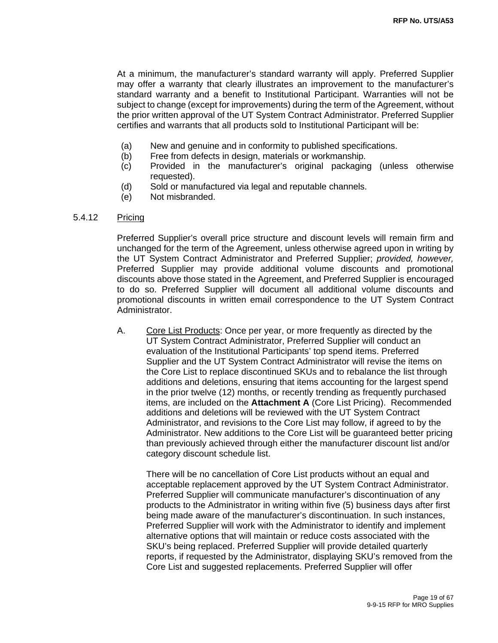At a minimum, the manufacturer's standard warranty will apply. Preferred Supplier may offer a warranty that clearly illustrates an improvement to the manufacturer's standard warranty and a benefit to Institutional Participant. Warranties will not be subject to change (except for improvements) during the term of the Agreement, without the prior written approval of the UT System Contract Administrator. Preferred Supplier certifies and warrants that all products sold to Institutional Participant will be:

- (a) New and genuine and in conformity to published specifications.
- (b) Free from defects in design, materials or workmanship.
- (c) Provided in the manufacturer's original packaging (unless otherwise requested).
- (d) Sold or manufactured via legal and reputable channels.
- (e) Not misbranded.

#### 5.4.12 Pricing

Preferred Supplier's overall price structure and discount levels will remain firm and unchanged for the term of the Agreement, unless otherwise agreed upon in writing by the UT System Contract Administrator and Preferred Supplier; *provided, however,* Preferred Supplier may provide additional volume discounts and promotional discounts above those stated in the Agreement, and Preferred Supplier is encouraged to do so. Preferred Supplier will document all additional volume discounts and promotional discounts in written email correspondence to the UT System Contract Administrator.

A. Core List Products: Once per year, or more frequently as directed by the UT System Contract Administrator, Preferred Supplier will conduct an evaluation of the Institutional Participants' top spend items. Preferred Supplier and the UT System Contract Administrator will revise the items on the Core List to replace discontinued SKUs and to rebalance the list through additions and deletions, ensuring that items accounting for the largest spend in the prior twelve (12) months, or recently trending as frequently purchased items, are included on the **Attachment A** (Core List Pricing). Recommended additions and deletions will be reviewed with the UT System Contract Administrator, and revisions to the Core List may follow, if agreed to by the Administrator. New additions to the Core List will be guaranteed better pricing than previously achieved through either the manufacturer discount list and/or category discount schedule list.

There will be no cancellation of Core List products without an equal and acceptable replacement approved by the UT System Contract Administrator. Preferred Supplier will communicate manufacturer's discontinuation of any products to the Administrator in writing within five (5) business days after first being made aware of the manufacturer's discontinuation. In such instances, Preferred Supplier will work with the Administrator to identify and implement alternative options that will maintain or reduce costs associated with the SKU's being replaced. Preferred Supplier will provide detailed quarterly reports, if requested by the Administrator, displaying SKU's removed from the Core List and suggested replacements. Preferred Supplier will offer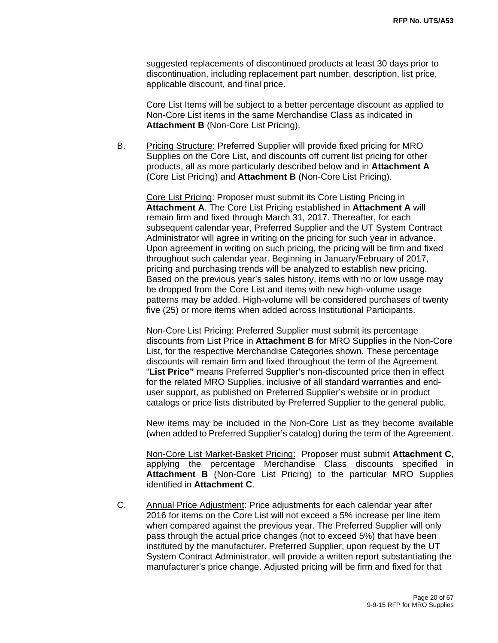suggested replacements of discontinued products at least 30 days prior to discontinuation, including replacement part number, description, list price, applicable discount, and final price.

Core List Items will be subject to a better percentage discount as applied to Non-Core List items in the same Merchandise Class as indicated in **Attachment B** (Non-Core List Pricing).

B. Pricing Structure: Preferred Supplier will provide fixed pricing for MRO Supplies on the Core List, and discounts off current list pricing for other products, all as more particularly described below and in **Attachment A**  (Core List Pricing) and **Attachment B** (Non-Core List Pricing).

Core List Pricing: Proposer must submit its Core Listing Pricing in **Attachment A**. The Core List Pricing established in **Attachment A** will remain firm and fixed through March 31, 2017. Thereafter, for each subsequent calendar year, Preferred Supplier and the UT System Contract Administrator will agree in writing on the pricing for such year in advance. Upon agreement in writing on such pricing, the pricing will be firm and fixed throughout such calendar year. Beginning in January/February of 2017, pricing and purchasing trends will be analyzed to establish new pricing. Based on the previous year's sales history, items with no or low usage may be dropped from the Core List and items with new high-volume usage patterns may be added. High-volume will be considered purchases of twenty five (25) or more items when added across Institutional Participants.

Non-Core List Pricing: Preferred Supplier must submit its percentage discounts from List Price in **Attachment B** for MRO Supplies in the Non-Core List, for the respective Merchandise Categories shown. These percentage discounts will remain firm and fixed throughout the term of the Agreement. "**List Price"** means Preferred Supplier's non-discounted price then in effect for the related MRO Supplies, inclusive of all standard warranties and enduser support, as published on Preferred Supplier's website or in product catalogs or price lists distributed by Preferred Supplier to the general public.

New items may be included in the Non-Core List as they become available (when added to Preferred Supplier's catalog) during the term of the Agreement.

 Non-Core List Market-Basket Pricing: Proposer must submit **Attachment C**, applying the percentage Merchandise Class discounts specified in **Attachment B** (Non-Core List Pricing) to the particular MRO Supplies identified in **Attachment C**.

C. Annual Price Adjustment: Price adjustments for each calendar year after 2016 for items on the Core List will not exceed a 5% increase per line item when compared against the previous year. The Preferred Supplier will only pass through the actual price changes (not to exceed 5%) that have been instituted by the manufacturer. Preferred Supplier, upon request by the UT System Contract Administrator, will provide a written report substantiating the manufacturer's price change. Adjusted pricing will be firm and fixed for that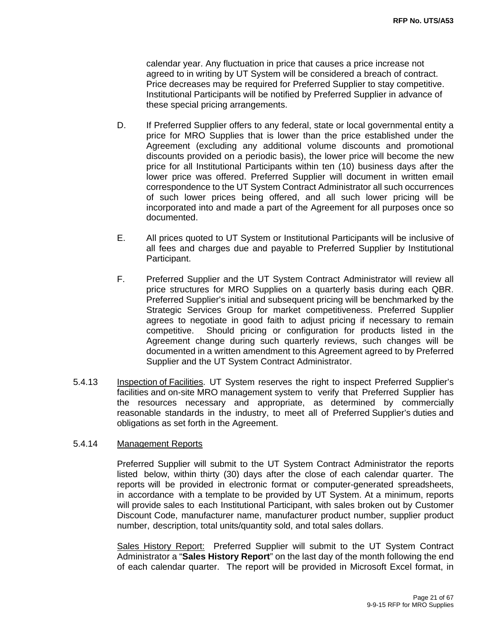calendar year. Any fluctuation in price that causes a price increase not agreed to in writing by UT System will be considered a breach of contract. Price decreases may be required for Preferred Supplier to stay competitive. Institutional Participants will be notified by Preferred Supplier in advance of these special pricing arrangements.

- D. If Preferred Supplier offers to any federal, state or local governmental entity a price for MRO Supplies that is lower than the price established under the Agreement (excluding any additional volume discounts and promotional discounts provided on a periodic basis), the lower price will become the new price for all Institutional Participants within ten (10) business days after the lower price was offered. Preferred Supplier will document in written email correspondence to the UT System Contract Administrator all such occurrences of such lower prices being offered, and all such lower pricing will be incorporated into and made a part of the Agreement for all purposes once so documented.
- E. All prices quoted to UT System or Institutional Participants will be inclusive of all fees and charges due and payable to Preferred Supplier by Institutional Participant.
- F. Preferred Supplier and the UT System Contract Administrator will review all price structures for MRO Supplies on a quarterly basis during each QBR. Preferred Supplier's initial and subsequent pricing will be benchmarked by the Strategic Services Group for market competitiveness. Preferred Supplier agrees to negotiate in good faith to adjust pricing if necessary to remain competitive. Should pricing or configuration for products listed in the Agreement change during such quarterly reviews, such changes will be documented in a written amendment to this Agreement agreed to by Preferred Supplier and the UT System Contract Administrator.
- 5.4.13 Inspection of Facilities. UT System reserves the right to inspect Preferred Supplier's facilities and on-site MRO management system to verify that Preferred Supplier has the resources necessary and appropriate, as determined by commercially reasonable standards in the industry, to meet all of Preferred Supplier's duties and obligations as set forth in the Agreement.

#### 5.4.14 Management Reports

Preferred Supplier will submit to the UT System Contract Administrator the reports listed below, within thirty (30) days after the close of each calendar quarter. The reports will be provided in electronic format or computer-generated spreadsheets, in accordance with a template to be provided by UT System. At a minimum, reports will provide sales to each Institutional Participant, with sales broken out by Customer Discount Code, manufacturer name, manufacturer product number, supplier product number, description, total units/quantity sold, and total sales dollars.

Sales History Report: Preferred Supplier will submit to the UT System Contract Administrator a "**Sales History Report**" on the last day of the month following the end of each calendar quarter. The report will be provided in Microsoft Excel format, in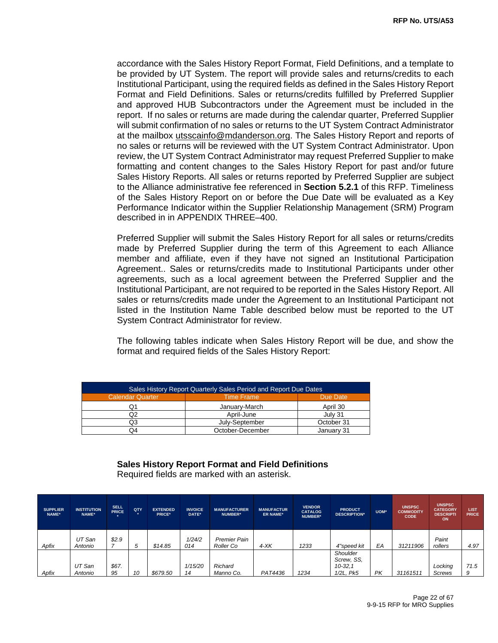accordance with the Sales History Report Format, Field Definitions, and a template to be provided by UT System. The report will provide sales and returns/credits to each Institutional Participant, using the required fields as defined in the Sales History Report Format and Field Definitions. Sales or returns/credits fulfilled by Preferred Supplier and approved HUB Subcontractors under the Agreement must be included in the report. If no sales or returns are made during the calendar quarter, Preferred Supplier will submit confirmation of no sales or returns to the UT System Contract Administrator at the mailbox utsscainfo@mdanderson.org. The Sales History Report and reports of no sales or returns will be reviewed with the UT System Contract Administrator. Upon review, the UT System Contract Administrator may request Preferred Supplier to make formatting and content changes to the Sales History Report for past and/or future Sales History Reports. All sales or returns reported by Preferred Supplier are subject to the Alliance administrative fee referenced in **Section 5.2.1** of this RFP. Timeliness of the Sales History Report on or before the Due Date will be evaluated as a Key Performance Indicator within the Supplier Relationship Management (SRM) Program described in in APPENDIX THREE–400.

Preferred Supplier will submit the Sales History Report for all sales or returns/credits made by Preferred Supplier during the term of this Agreement to each Alliance member and affiliate, even if they have not signed an Institutional Participation Agreement.. Sales or returns/credits made to Institutional Participants under other agreements, such as a local agreement between the Preferred Supplier and the Institutional Participant, are not required to be reported in the Sales History Report. All sales or returns/credits made under the Agreement to an Institutional Participant not listed in the Institution Name Table described below must be reported to the UT System Contract Administrator for review.

The following tables indicate when Sales History Report will be due, and show the format and required fields of the Sales History Report:

| Sales History Report Quarterly Sales Period and Report Due Dates |                  |            |  |  |
|------------------------------------------------------------------|------------------|------------|--|--|
| <b>Calendar Quarter</b>                                          | Time Frame       | Due Date   |  |  |
|                                                                  | January-March    | April 30   |  |  |
|                                                                  | April-June       | July 31    |  |  |
| O3.                                                              | July-September   | October 31 |  |  |
| О4                                                               | October-December | January 31 |  |  |

### **Sales History Report Format and Field Definitions**

| <b>SUPPLIER</b><br>NAME* | <b>INSTITUTION</b><br>NAME* | <b>SELL</b><br><b>PRICE</b> | QTY          | <b>EXTENDED</b><br>PRICE* | <b>INVOICE</b><br>DATE* | <b>MANUFACTURER</b><br>NUMBER* | <b>MANUFACTUR</b><br><b>ER NAME*</b> | <b>VENDOR</b><br><b>CATALOG</b><br>NUMBER* | <b>PRODUCT</b><br><b>DESCRIPTION*</b>            | UOM* | <b>UNSPSC</b><br><b>COMMODITY</b><br><b>CODE</b> | <b>UNSPSC</b><br><b>CATEGORY</b><br><b>DESCRIPTI</b><br>ON | <b>LIST</b><br><b>PRICE</b> |
|--------------------------|-----------------------------|-----------------------------|--------------|---------------------------|-------------------------|--------------------------------|--------------------------------------|--------------------------------------------|--------------------------------------------------|------|--------------------------------------------------|------------------------------------------------------------|-----------------------------|
| Apfix                    | UT San<br>Antonio           | \$2.9                       | <sub>5</sub> | \$14.85                   | 1/24/2<br>014           | Premier Pain<br>Roller Co      | $4-XK$                               | 1233                                       | 4"speed kit                                      | EA   | 31211906                                         | Paint<br>rollers                                           | 4.97                        |
| Apfix                    | UT San<br>Antonio           | \$67.<br>95                 | 10           | \$679.50                  | 1/15/20<br>14           | Richard<br>Manno Co.           | PAT4436                              | 1234                                       | Shoulder<br>Screw, SS,<br>$10-32.1$<br>1/2L, Pk5 | PK   | 31161511                                         | Locking<br><b>Screws</b>                                   | 71.5<br>9                   |

Required fields are marked with an asterisk.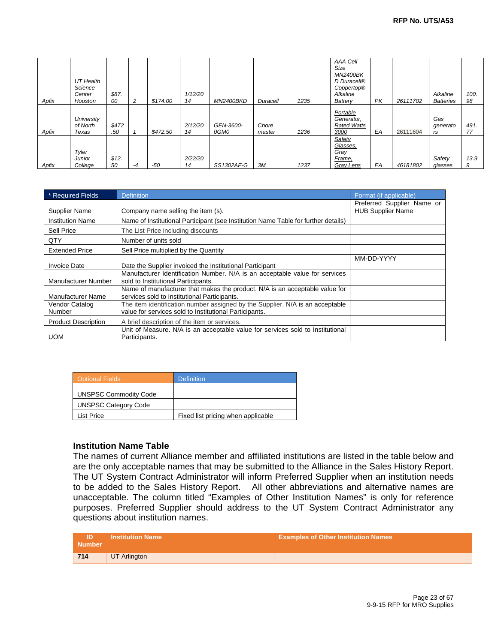| Apfix | UT Health<br>Science<br>Center<br>Houston | \$87.<br>00  | 2    | \$174.00 | 1/12/20<br>14 | <i>MN2400BKD</i>  | Duracell        | 1235 | AAA Cell<br>Size<br><b>MN2400BK</b><br>D Duracell®<br>Coppertop®<br>Alkaline<br>Battery | PK | 26111702 | Alkaline<br><b>Batteries</b> | 100.<br>98 |
|-------|-------------------------------------------|--------------|------|----------|---------------|-------------------|-----------------|------|-----------------------------------------------------------------------------------------|----|----------|------------------------------|------------|
| Apfix | University<br>of North<br>Texas           | \$472<br>.50 |      | \$472.50 | 2/12/20<br>14 | GEN-3600-<br>0GM0 | Chore<br>master | 1236 | Portable<br>Generator,<br><b>Rated Watts</b><br>3000                                    | EA | 26111604 | Gas<br>generato<br>rs        | 491.<br>77 |
| Apfix | Tyler<br><b>Junior</b><br>College         | \$12.<br>50  | $-4$ | -50      | 2/22/20<br>14 | SS1302AF-G        | ЗM              | 1237 | Safety<br>Glasses.<br>Gray<br>Frame.<br>Gray Lens                                       | EA | 46181802 | Safety<br>glasses            | 13.9<br>9  |

| * Required Fields          | <b>Definition</b>                                                                                                                       | Format (if applicable)                                 |
|----------------------------|-----------------------------------------------------------------------------------------------------------------------------------------|--------------------------------------------------------|
| <b>Supplier Name</b>       | Company name selling the item (s).                                                                                                      | Preferred Supplier Name or<br><b>HUB Supplier Name</b> |
| <b>Institution Name</b>    | Name of Institutional Participant (see Institution Name Table for further details)                                                      |                                                        |
| Sell Price                 | The List Price including discounts                                                                                                      |                                                        |
| QTY                        | Number of units sold                                                                                                                    |                                                        |
| <b>Extended Price</b>      | Sell Price multiplied by the Quantity                                                                                                   |                                                        |
| <b>Invoice Date</b>        | Date the Supplier invoiced the Institutional Participant                                                                                | MM-DD-YYYY                                             |
| Manufacturer Number        | Manufacturer Identification Number. N/A is an acceptable value for services<br>sold to Institutional Participants.                      |                                                        |
| Manufacturer Name          | Name of manufacturer that makes the product. N/A is an acceptable value for<br>services sold to Institutional Participants.             |                                                        |
| Vendor Catalog<br>Number   | The item identification number assigned by the Supplier. N/A is an acceptable<br>value for services sold to Institutional Participants. |                                                        |
| <b>Product Description</b> | A brief description of the item or services.                                                                                            |                                                        |
| <b>UOM</b>                 | Unit of Measure. N/A is an acceptable value for services sold to Institutional<br>Participants.                                         |                                                        |

| <b>Optional Fields</b>       | <b>Definition</b>                  |
|------------------------------|------------------------------------|
| <b>UNSPSC Commodity Code</b> |                                    |
| <b>UNSPSC Category Code</b>  |                                    |
| List Price                   | Fixed list pricing when applicable |

#### **Institution Name Table**

The names of current Alliance member and affiliated institutions are listed in the table below and are the only acceptable names that may be submitted to the Alliance in the Sales History Report. The UT System Contract Administrator will inform Preferred Supplier when an institution needs to be added to the Sales History Report. All other abbreviations and alternative names are unacceptable. The column titled "Examples of Other Institution Names" is only for reference purposes. Preferred Supplier should address to the UT System Contract Administrator any questions about institution names.

| <b>Number</b> | <b>Institution Name</b> | <b>Examples of Other Institution Names</b> |
|---------------|-------------------------|--------------------------------------------|
| 714           | UT Arlington            |                                            |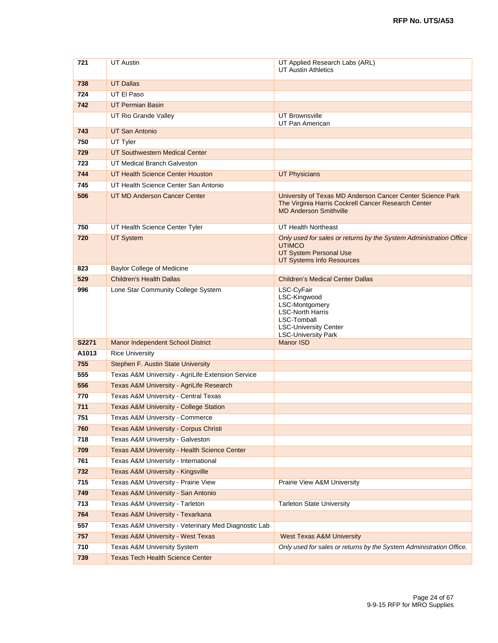| 721        | <b>UT</b> Austin                                                                     | UT Applied Research Labs (ARL)<br><b>UT Austin Athletics</b>                                                                                                |
|------------|--------------------------------------------------------------------------------------|-------------------------------------------------------------------------------------------------------------------------------------------------------------|
|            |                                                                                      |                                                                                                                                                             |
| 738        | <b>UT Dallas</b>                                                                     |                                                                                                                                                             |
| 724        | UT El Paso                                                                           |                                                                                                                                                             |
| 742        | <b>UT Permian Basin</b>                                                              |                                                                                                                                                             |
|            | UT Rio Grande Valley                                                                 | <b>UT Brownsville</b><br>UT Pan American                                                                                                                    |
| 743        | UT San Antonio                                                                       |                                                                                                                                                             |
| 750        | UT Tyler                                                                             |                                                                                                                                                             |
| 729        | <b>UT Southwestern Medical Center</b>                                                |                                                                                                                                                             |
| 723        | UT Medical Branch Galveston                                                          |                                                                                                                                                             |
| 744        | UT Health Science Center Houston                                                     | <b>UT Physicians</b>                                                                                                                                        |
| 745        | UT Health Science Center San Antonio                                                 |                                                                                                                                                             |
| 506        | UT MD Anderson Cancer Center                                                         | University of Texas MD Anderson Cancer Center Science Park<br>The Virginia Harris Cockrell Cancer Research Center<br><b>MD Anderson Smithville</b>          |
| 750        | UT Health Science Center Tyler                                                       | UT Health Northeast                                                                                                                                         |
| 720        | <b>UT System</b>                                                                     | Only used for sales or returns by the System Administration Office<br><b>UTIMCO</b><br>UT System Personal Use<br><b>UT Systems Info Resources</b>           |
| 823        | <b>Baylor College of Medicine</b>                                                    |                                                                                                                                                             |
| 529        | <b>Children's Health Dallas</b>                                                      | <b>Children's Medical Center Dallas</b>                                                                                                                     |
| 996        | Lone Star Community College System                                                   | LSC-CyFair<br>LSC-Kingwood<br><b>LSC-Montgomery</b><br><b>LSC-North Harris</b><br>LSC-Tomball<br><b>LSC-University Center</b><br><b>LSC-University Park</b> |
| S2271      | Manor Independent School District                                                    | <b>Manor ISD</b>                                                                                                                                            |
| A1013      | <b>Rice University</b>                                                               |                                                                                                                                                             |
| 755        | <b>Stephen F. Austin State University</b>                                            |                                                                                                                                                             |
| 555        | Texas A&M University - AgriLife Extension Service                                    |                                                                                                                                                             |
| 556        | Texas A&M University - AgriLife Research                                             |                                                                                                                                                             |
| 770        | Texas A&M University - Central Texas                                                 |                                                                                                                                                             |
| 711        | <b>Texas A&amp;M University - College Station</b>                                    |                                                                                                                                                             |
| 751        | Texas A&M University - Commerce                                                      |                                                                                                                                                             |
| 760        | Texas A&M University - Corpus Christi                                                |                                                                                                                                                             |
| 718<br>709 | Texas A&M University - Galveston                                                     |                                                                                                                                                             |
| 761        | Texas A&M University - Health Science Center                                         |                                                                                                                                                             |
| 732        | Texas A&M University - International<br><b>Texas A&amp;M University - Kingsville</b> |                                                                                                                                                             |
| 715        | Texas A&M University - Prairie View                                                  | Prairie View A&M University                                                                                                                                 |
| 749        | Texas A&M University - San Antonio                                                   |                                                                                                                                                             |
| 713        | Texas A&M University - Tarleton                                                      | <b>Tarleton State University</b>                                                                                                                            |
| 764        | Texas A&M University - Texarkana                                                     |                                                                                                                                                             |
| 557        | Texas A&M University - Veterinary Med Diagnostic Lab                                 |                                                                                                                                                             |
| 757        | <b>Texas A&amp;M University - West Texas</b>                                         | <b>West Texas A&amp;M University</b>                                                                                                                        |
| 710        | Texas A&M University System                                                          | Only used for sales or returns by the System Administration Office.                                                                                         |
| 739        | <b>Texas Tech Health Science Center</b>                                              |                                                                                                                                                             |
|            |                                                                                      |                                                                                                                                                             |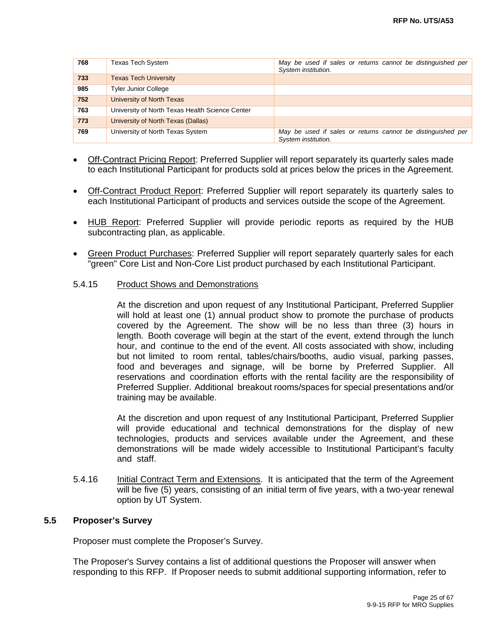| 768 | <b>Texas Tech System</b>                        | May be used if sales or returns cannot be distinguished per<br>System institution. |
|-----|-------------------------------------------------|------------------------------------------------------------------------------------|
| 733 | <b>Texas Tech University</b>                    |                                                                                    |
| 985 | <b>Tyler Junior College</b>                     |                                                                                    |
| 752 | University of North Texas                       |                                                                                    |
| 763 | University of North Texas Health Science Center |                                                                                    |
| 773 | University of North Texas (Dallas)              |                                                                                    |
| 769 | University of North Texas System                | May be used if sales or returns cannot be distinguished per<br>System institution. |

- Off-Contract Pricing Report: Preferred Supplier will report separately its quarterly sales made to each Institutional Participant for products sold at prices below the prices in the Agreement.
- Off-Contract Product Report: Preferred Supplier will report separately its quarterly sales to each Institutional Participant of products and services outside the scope of the Agreement.
- HUB Report: Preferred Supplier will provide periodic reports as required by the HUB subcontracting plan, as applicable.
- Green Product Purchases: Preferred Supplier will report separately quarterly sales for each "green" Core List and Non-Core List product purchased by each Institutional Participant.

#### 5.4.15 Product Shows and Demonstrations

At the discretion and upon request of any Institutional Participant, Preferred Supplier will hold at least one (1) annual product show to promote the purchase of products covered by the Agreement. The show will be no less than three (3) hours in length. Booth coverage will begin at the start of the event, extend through the lunch hour, and continue to the end of the event. All costs associated with show, including but not limited to room rental, tables/chairs/booths, audio visual, parking passes, food and beverages and signage, will be borne by Preferred Supplier. All reservations and coordination efforts with the rental facility are the responsibility of Preferred Supplier. Additional breakout rooms/spaces for special presentations and/or training may be available.

At the discretion and upon request of any Institutional Participant, Preferred Supplier will provide educational and technical demonstrations for the display of new technologies, products and services available under the Agreement, and these demonstrations will be made widely accessible to Institutional Participant's faculty and staff.

5.4.16 Initial Contract Term and Extensions. It is anticipated that the term of the Agreement will be five (5) years, consisting of an initial term of five years, with a two-year renewal option by UT System.

#### **5.5 Proposer's Survey**

Proposer must complete the Proposer's Survey.

The Proposer's Survey contains a list of additional questions the Proposer will answer when responding to this RFP. If Proposer needs to submit additional supporting information, refer to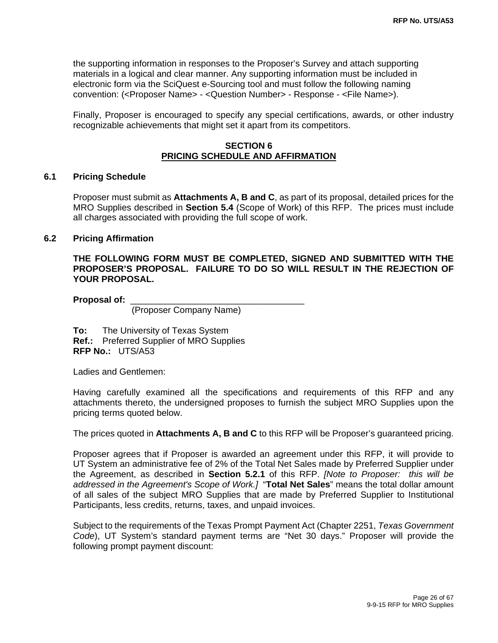the supporting information in responses to the Proposer's Survey and attach supporting materials in a logical and clear manner. Any supporting information must be included in electronic form via the SciQuest e-Sourcing tool and must follow the following naming convention: (<Proposer Name> - <Question Number> - Response - <File Name>).

Finally, Proposer is encouraged to specify any special certifications, awards, or other industry recognizable achievements that might set it apart from its competitors.

#### **SECTION 6 PRICING SCHEDULE AND AFFIRMATION**

#### **6.1 Pricing Schedule**

 Proposer must submit as **Attachments A, B and C**, as part of its proposal, detailed prices for the MRO Supplies described in **Section 5.4** (Scope of Work) of this RFP. The prices must include all charges associated with providing the full scope of work.

#### **6.2 Pricing Affirmation**

**THE FOLLOWING FORM MUST BE COMPLETED, SIGNED AND SUBMITTED WITH THE PROPOSER'S PROPOSAL. FAILURE TO DO SO WILL RESULT IN THE REJECTION OF YOUR PROPOSAL.** 

**Proposal of:** \_\_\_\_\_\_\_\_\_\_\_\_\_\_\_\_\_\_\_\_\_\_\_\_\_\_\_\_\_\_\_\_\_\_\_

(Proposer Company Name)

**To:** The University of Texas System **Ref.:** Preferred Supplier of MRO Supplies **RFP No.:** UTS/A53

Ladies and Gentlemen:

Having carefully examined all the specifications and requirements of this RFP and any attachments thereto, the undersigned proposes to furnish the subject MRO Supplies upon the pricing terms quoted below.

The prices quoted in **Attachments A, B and C** to this RFP will be Proposer's guaranteed pricing.

Proposer agrees that if Proposer is awarded an agreement under this RFP, it will provide to UT System an administrative fee of 2% of the Total Net Sales made by Preferred Supplier under the Agreement, as described in **Section 5.2.1** of this RFP. *[Note to Proposer: this will be addressed in the Agreement's Scope of Work.]* "**Total Net Sales**" means the total dollar amount of all sales of the subject MRO Supplies that are made by Preferred Supplier to Institutional Participants, less credits, returns, taxes, and unpaid invoices.

Subject to the requirements of the Texas Prompt Payment Act (Chapter 2251, *Texas Government Code*), UT System's standard payment terms are "Net 30 days." Proposer will provide the following prompt payment discount: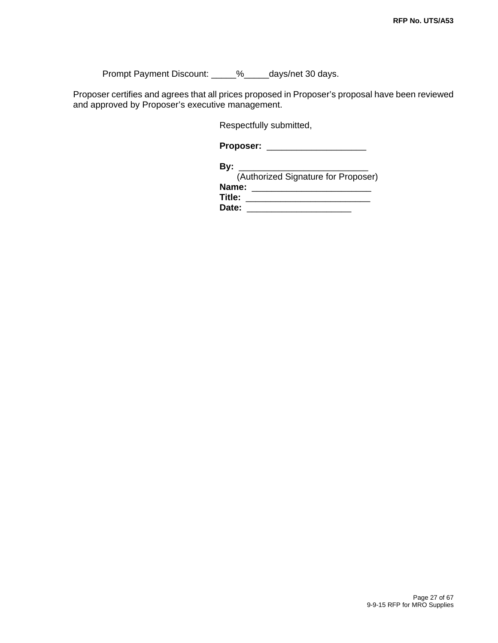Prompt Payment Discount: \_\_\_\_\_%\_\_\_\_\_days/net 30 days.

Proposer certifies and agrees that all prices proposed in Proposer's proposal have been reviewed and approved by Proposer's executive management.

Respectfully submitted,

**Proposer:** \_\_\_\_\_\_\_\_\_\_\_\_\_\_\_\_\_\_\_\_

| Bv:                                 |
|-------------------------------------|
| (Authorized Signature for Proposer) |
| Name:                               |
| Title:                              |
| Date:                               |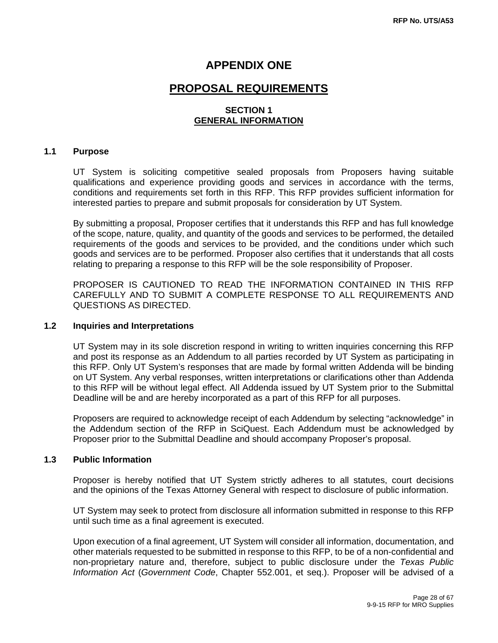### **APPENDIX ONE**

### **PROPOSAL REQUIREMENTS**

#### **SECTION 1 GENERAL INFORMATION**

#### **1.1 Purpose**

UT System is soliciting competitive sealed proposals from Proposers having suitable qualifications and experience providing goods and services in accordance with the terms, conditions and requirements set forth in this RFP. This RFP provides sufficient information for interested parties to prepare and submit proposals for consideration by UT System.

By submitting a proposal, Proposer certifies that it understands this RFP and has full knowledge of the scope, nature, quality, and quantity of the goods and services to be performed, the detailed requirements of the goods and services to be provided, and the conditions under which such goods and services are to be performed. Proposer also certifies that it understands that all costs relating to preparing a response to this RFP will be the sole responsibility of Proposer.

PROPOSER IS CAUTIONED TO READ THE INFORMATION CONTAINED IN THIS RFP CAREFULLY AND TO SUBMIT A COMPLETE RESPONSE TO ALL REQUIREMENTS AND QUESTIONS AS DIRECTED.

#### **1.2 Inquiries and Interpretations**

UT System may in its sole discretion respond in writing to written inquiries concerning this RFP and post its response as an Addendum to all parties recorded by UT System as participating in this RFP. Only UT System's responses that are made by formal written Addenda will be binding on UT System. Any verbal responses, written interpretations or clarifications other than Addenda to this RFP will be without legal effect. All Addenda issued by UT System prior to the Submittal Deadline will be and are hereby incorporated as a part of this RFP for all purposes.

Proposers are required to acknowledge receipt of each Addendum by selecting "acknowledge" in the Addendum section of the RFP in SciQuest. Each Addendum must be acknowledged by Proposer prior to the Submittal Deadline and should accompany Proposer's proposal.

#### **1.3 Public Information**

Proposer is hereby notified that UT System strictly adheres to all statutes, court decisions and the opinions of the Texas Attorney General with respect to disclosure of public information.

UT System may seek to protect from disclosure all information submitted in response to this RFP until such time as a final agreement is executed.

Upon execution of a final agreement, UT System will consider all information, documentation, and other materials requested to be submitted in response to this RFP, to be of a non-confidential and non-proprietary nature and, therefore, subject to public disclosure under the *Texas Public Information Act* (*Government Code*, Chapter 552.001, et seq.). Proposer will be advised of a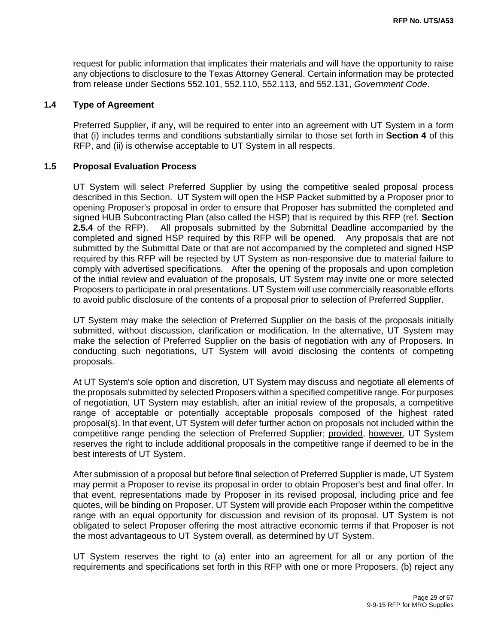request for public information that implicates their materials and will have the opportunity to raise any objections to disclosure to the Texas Attorney General. Certain information may be protected from release under Sections 552.101, 552.110, 552.113, and 552.131, *Government Code*.

#### **1.4 Type of Agreement**

Preferred Supplier, if any, will be required to enter into an agreement with UT System in a form that (i) includes terms and conditions substantially similar to those set forth in **Section 4** of this RFP, and (ii) is otherwise acceptable to UT System in all respects.

#### **1.5 Proposal Evaluation Process**

UT System will select Preferred Supplier by using the competitive sealed proposal process described in this Section. UT System will open the HSP Packet submitted by a Proposer prior to opening Proposer's proposal in order to ensure that Proposer has submitted the completed and signed HUB Subcontracting Plan (also called the HSP) that is required by this RFP (ref. **Section 2.5.4** of the RFP). All proposals submitted by the Submittal Deadline accompanied by the completed and signed HSP required by this RFP will be opened. Any proposals that are not submitted by the Submittal Date or that are not accompanied by the completed and signed HSP required by this RFP will be rejected by UT System as non-responsive due to material failure to comply with advertised specifications. After the opening of the proposals and upon completion of the initial review and evaluation of the proposals, UT System may invite one or more selected Proposers to participate in oral presentations. UT System will use commercially reasonable efforts to avoid public disclosure of the contents of a proposal prior to selection of Preferred Supplier.

UT System may make the selection of Preferred Supplier on the basis of the proposals initially submitted, without discussion, clarification or modification. In the alternative, UT System may make the selection of Preferred Supplier on the basis of negotiation with any of Proposers. In conducting such negotiations, UT System will avoid disclosing the contents of competing proposals.

At UT System's sole option and discretion, UT System may discuss and negotiate all elements of the proposals submitted by selected Proposers within a specified competitive range. For purposes of negotiation, UT System may establish, after an initial review of the proposals, a competitive range of acceptable or potentially acceptable proposals composed of the highest rated proposal(s). In that event, UT System will defer further action on proposals not included within the competitive range pending the selection of Preferred Supplier; provided, however, UT System reserves the right to include additional proposals in the competitive range if deemed to be in the best interests of UT System.

After submission of a proposal but before final selection of Preferred Supplier is made, UT System may permit a Proposer to revise its proposal in order to obtain Proposer's best and final offer. In that event, representations made by Proposer in its revised proposal, including price and fee quotes, will be binding on Proposer. UT System will provide each Proposer within the competitive range with an equal opportunity for discussion and revision of its proposal. UT System is not obligated to select Proposer offering the most attractive economic terms if that Proposer is not the most advantageous to UT System overall, as determined by UT System.

UT System reserves the right to (a) enter into an agreement for all or any portion of the requirements and specifications set forth in this RFP with one or more Proposers, (b) reject any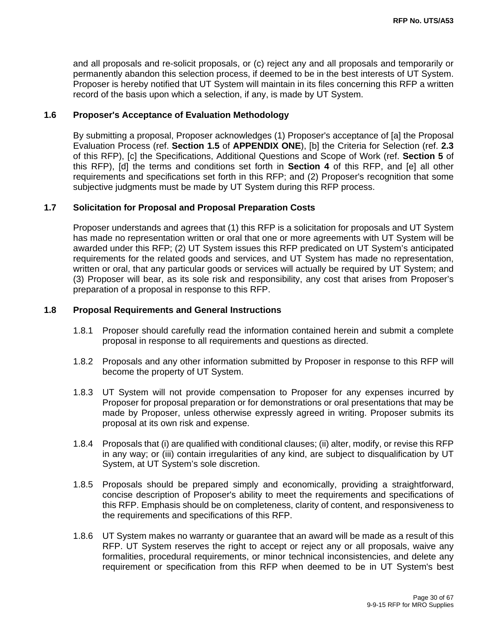and all proposals and re-solicit proposals, or (c) reject any and all proposals and temporarily or permanently abandon this selection process, if deemed to be in the best interests of UT System. Proposer is hereby notified that UT System will maintain in its files concerning this RFP a written record of the basis upon which a selection, if any, is made by UT System.

#### **1.6 Proposer's Acceptance of Evaluation Methodology**

By submitting a proposal, Proposer acknowledges (1) Proposer's acceptance of [a] the Proposal Evaluation Process (ref. **Section 1.5** of **APPENDIX ONE**), [b] the Criteria for Selection (ref. **2.3**  of this RFP), [c] the Specifications, Additional Questions and Scope of Work (ref. **Section 5** of this RFP), [d] the terms and conditions set forth in **Section 4** of this RFP, and [e] all other requirements and specifications set forth in this RFP; and (2) Proposer's recognition that some subjective judgments must be made by UT System during this RFP process.

#### **1.7 Solicitation for Proposal and Proposal Preparation Costs**

Proposer understands and agrees that (1) this RFP is a solicitation for proposals and UT System has made no representation written or oral that one or more agreements with UT System will be awarded under this RFP; (2) UT System issues this RFP predicated on UT System's anticipated requirements for the related goods and services, and UT System has made no representation, written or oral, that any particular goods or services will actually be required by UT System; and (3) Proposer will bear, as its sole risk and responsibility, any cost that arises from Proposer's preparation of a proposal in response to this RFP.

#### **1.8 Proposal Requirements and General Instructions**

- 1.8.1 Proposer should carefully read the information contained herein and submit a complete proposal in response to all requirements and questions as directed.
- 1.8.2 Proposals and any other information submitted by Proposer in response to this RFP will become the property of UT System.
- 1.8.3 UT System will not provide compensation to Proposer for any expenses incurred by Proposer for proposal preparation or for demonstrations or oral presentations that may be made by Proposer, unless otherwise expressly agreed in writing. Proposer submits its proposal at its own risk and expense.
- 1.8.4 Proposals that (i) are qualified with conditional clauses; (ii) alter, modify, or revise this RFP in any way; or (iii) contain irregularities of any kind, are subject to disqualification by UT System, at UT System's sole discretion.
- 1.8.5 Proposals should be prepared simply and economically, providing a straightforward, concise description of Proposer's ability to meet the requirements and specifications of this RFP. Emphasis should be on completeness, clarity of content, and responsiveness to the requirements and specifications of this RFP.
- 1.8.6 UT System makes no warranty or guarantee that an award will be made as a result of this RFP. UT System reserves the right to accept or reject any or all proposals, waive any formalities, procedural requirements, or minor technical inconsistencies, and delete any requirement or specification from this RFP when deemed to be in UT System's best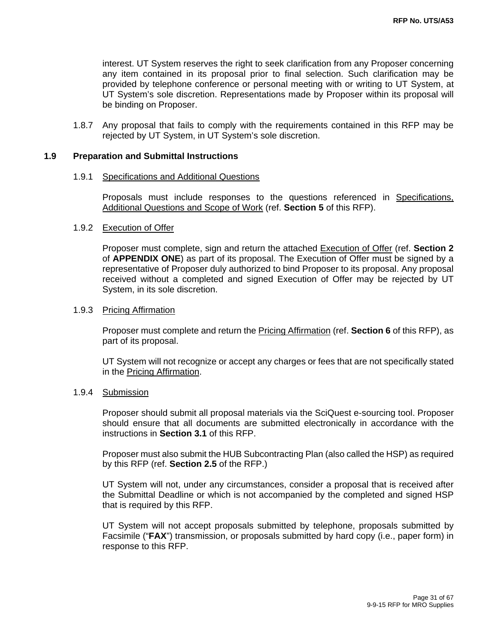interest. UT System reserves the right to seek clarification from any Proposer concerning any item contained in its proposal prior to final selection. Such clarification may be provided by telephone conference or personal meeting with or writing to UT System, at UT System's sole discretion. Representations made by Proposer within its proposal will be binding on Proposer.

1.8.7 Any proposal that fails to comply with the requirements contained in this RFP may be rejected by UT System, in UT System's sole discretion.

#### **1.9 Preparation and Submittal Instructions**

#### 1.9.1 Specifications and Additional Questions

Proposals must include responses to the questions referenced in Specifications, Additional Questions and Scope of Work (ref. **Section 5** of this RFP).

#### 1.9.2 Execution of Offer

Proposer must complete, sign and return the attached Execution of Offer (ref. **Section 2**  of **APPENDIX ONE**) as part of its proposal. The Execution of Offer must be signed by a representative of Proposer duly authorized to bind Proposer to its proposal. Any proposal received without a completed and signed Execution of Offer may be rejected by UT System, in its sole discretion.

#### 1.9.3 Pricing Affirmation

Proposer must complete and return the Pricing Affirmation (ref. **Section 6** of this RFP), as part of its proposal.

UT System will not recognize or accept any charges or fees that are not specifically stated in the Pricing Affirmation.

#### 1.9.4 Submission

Proposer should submit all proposal materials via the SciQuest e-sourcing tool. Proposer should ensure that all documents are submitted electronically in accordance with the instructions in **Section 3.1** of this RFP.

Proposer must also submit the HUB Subcontracting Plan (also called the HSP) as required by this RFP (ref. **Section 2.5** of the RFP.)

UT System will not, under any circumstances, consider a proposal that is received after the Submittal Deadline or which is not accompanied by the completed and signed HSP that is required by this RFP.

UT System will not accept proposals submitted by telephone, proposals submitted by Facsimile ("**FAX**") transmission, or proposals submitted by hard copy (i.e., paper form) in response to this RFP.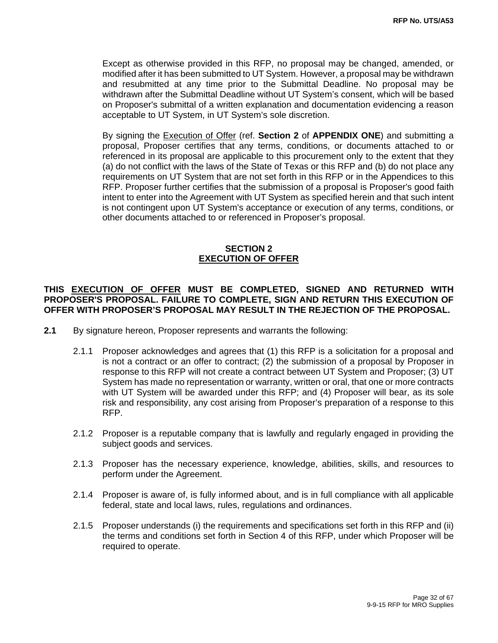Except as otherwise provided in this RFP, no proposal may be changed, amended, or modified after it has been submitted to UT System. However, a proposal may be withdrawn and resubmitted at any time prior to the Submittal Deadline. No proposal may be withdrawn after the Submittal Deadline without UT System's consent, which will be based on Proposer's submittal of a written explanation and documentation evidencing a reason acceptable to UT System, in UT System's sole discretion.

By signing the Execution of Offer (ref. **Section 2** of **APPENDIX ONE**) and submitting a proposal, Proposer certifies that any terms, conditions, or documents attached to or referenced in its proposal are applicable to this procurement only to the extent that they (a) do not conflict with the laws of the State of Texas or this RFP and (b) do not place any requirements on UT System that are not set forth in this RFP or in the Appendices to this RFP. Proposer further certifies that the submission of a proposal is Proposer's good faith intent to enter into the Agreement with UT System as specified herein and that such intent is not contingent upon UT System's acceptance or execution of any terms, conditions, or other documents attached to or referenced in Proposer's proposal.

#### **SECTION 2 EXECUTION OF OFFER**

#### **THIS EXECUTION OF OFFER MUST BE COMPLETED, SIGNED AND RETURNED WITH PROPOSER'S PROPOSAL. FAILURE TO COMPLETE, SIGN AND RETURN THIS EXECUTION OF OFFER WITH PROPOSER'S PROPOSAL MAY RESULT IN THE REJECTION OF THE PROPOSAL.**

- **2.1** By signature hereon, Proposer represents and warrants the following:
	- 2.1.1 Proposer acknowledges and agrees that (1) this RFP is a solicitation for a proposal and is not a contract or an offer to contract; (2) the submission of a proposal by Proposer in response to this RFP will not create a contract between UT System and Proposer; (3) UT System has made no representation or warranty, written or oral, that one or more contracts with UT System will be awarded under this RFP; and (4) Proposer will bear, as its sole risk and responsibility, any cost arising from Proposer's preparation of a response to this RFP.
	- 2.1.2 Proposer is a reputable company that is lawfully and regularly engaged in providing the subject goods and services.
	- 2.1.3 Proposer has the necessary experience, knowledge, abilities, skills, and resources to perform under the Agreement.
	- 2.1.4 Proposer is aware of, is fully informed about, and is in full compliance with all applicable federal, state and local laws, rules, regulations and ordinances.
	- 2.1.5 Proposer understands (i) the requirements and specifications set forth in this RFP and (ii) the terms and conditions set forth in Section 4 of this RFP, under which Proposer will be required to operate.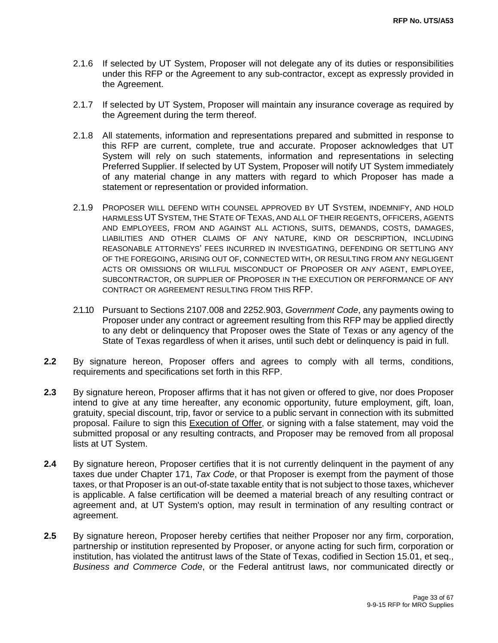- 2.1.6 If selected by UT System, Proposer will not delegate any of its duties or responsibilities under this RFP or the Agreement to any sub-contractor, except as expressly provided in the Agreement.
- 2.1.7 If selected by UT System, Proposer will maintain any insurance coverage as required by the Agreement during the term thereof.
- 2.1.8 All statements, information and representations prepared and submitted in response to this RFP are current, complete, true and accurate. Proposer acknowledges that UT System will rely on such statements, information and representations in selecting Preferred Supplier. If selected by UT System, Proposer will notify UT System immediately of any material change in any matters with regard to which Proposer has made a statement or representation or provided information.
- 2.1.9 PROPOSER WILL DEFEND WITH COUNSEL APPROVED BY UT SYSTEM, INDEMNIFY, AND HOLD HARMLESS UT SYSTEM, THE STATE OF TEXAS, AND ALL OF THEIR REGENTS, OFFICERS, AGENTS AND EMPLOYEES, FROM AND AGAINST ALL ACTIONS, SUITS, DEMANDS, COSTS, DAMAGES, LIABILITIES AND OTHER CLAIMS OF ANY NATURE, KIND OR DESCRIPTION, INCLUDING REASONABLE ATTORNEYS' FEES INCURRED IN INVESTIGATING, DEFENDING OR SETTLING ANY OF THE FOREGOING, ARISING OUT OF, CONNECTED WITH, OR RESULTING FROM ANY NEGLIGENT ACTS OR OMISSIONS OR WILLFUL MISCONDUCT OF PROPOSER OR ANY AGENT, EMPLOYEE, SUBCONTRACTOR, OR SUPPLIER OF PROPOSER IN THE EXECUTION OR PERFORMANCE OF ANY CONTRACT OR AGREEMENT RESULTING FROM THIS RFP.
- 2.1.10 Pursuant to Sections 2107.008 and 2252.903, *Government Code*, any payments owing to Proposer under any contract or agreement resulting from this RFP may be applied directly to any debt or delinquency that Proposer owes the State of Texas or any agency of the State of Texas regardless of when it arises, until such debt or delinquency is paid in full.
- **2.2** By signature hereon, Proposer offers and agrees to comply with all terms, conditions, requirements and specifications set forth in this RFP.
- **2.3** By signature hereon, Proposer affirms that it has not given or offered to give, nor does Proposer intend to give at any time hereafter, any economic opportunity, future employment, gift, loan, gratuity, special discount, trip, favor or service to a public servant in connection with its submitted proposal. Failure to sign this **Execution of Offer**, or signing with a false statement, may void the submitted proposal or any resulting contracts, and Proposer may be removed from all proposal lists at UT System.
- **2.4** By signature hereon, Proposer certifies that it is not currently delinquent in the payment of any taxes due under Chapter 171, *Tax Code*, or that Proposer is exempt from the payment of those taxes, or that Proposer is an out-of-state taxable entity that is not subject to those taxes, whichever is applicable. A false certification will be deemed a material breach of any resulting contract or agreement and, at UT System's option, may result in termination of any resulting contract or agreement.
- 2.5 By signature hereon, Proposer hereby certifies that neither Proposer nor any firm, corporation, partnership or institution represented by Proposer, or anyone acting for such firm, corporation or institution, has violated the antitrust laws of the State of Texas, codified in Section 15.01, et seq., *Business and Commerce Code*, or the Federal antitrust laws, nor communicated directly or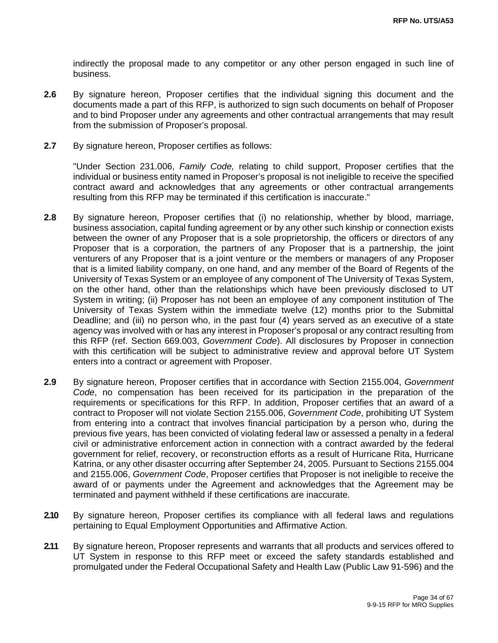indirectly the proposal made to any competitor or any other person engaged in such line of business.

- **2.6** By signature hereon, Proposer certifies that the individual signing this document and the documents made a part of this RFP, is authorized to sign such documents on behalf of Proposer and to bind Proposer under any agreements and other contractual arrangements that may result from the submission of Proposer's proposal.
- **2.7** By signature hereon, Proposer certifies as follows:

"Under Section 231.006, *Family Code,* relating to child support, Proposer certifies that the individual or business entity named in Proposer's proposal is not ineligible to receive the specified contract award and acknowledges that any agreements or other contractual arrangements resulting from this RFP may be terminated if this certification is inaccurate."

- **2.8** By signature hereon, Proposer certifies that (i) no relationship, whether by blood, marriage, business association, capital funding agreement or by any other such kinship or connection exists between the owner of any Proposer that is a sole proprietorship, the officers or directors of any Proposer that is a corporation, the partners of any Proposer that is a partnership, the joint venturers of any Proposer that is a joint venture or the members or managers of any Proposer that is a limited liability company, on one hand, and any member of the Board of Regents of the University of Texas System or an employee of any component of The University of Texas System, on the other hand, other than the relationships which have been previously disclosed to UT System in writing; (ii) Proposer has not been an employee of any component institution of The University of Texas System within the immediate twelve (12) months prior to the Submittal Deadline; and (iii) no person who, in the past four (4) years served as an executive of a state agency was involved with or has any interest in Proposer's proposal or any contract resulting from this RFP (ref. Section 669.003, *Government Code*). All disclosures by Proposer in connection with this certification will be subject to administrative review and approval before UT System enters into a contract or agreement with Proposer.
- **2.9** By signature hereon, Proposer certifies that in accordance with Section 2155.004, *Government Code*, no compensation has been received for its participation in the preparation of the requirements or specifications for this RFP. In addition, Proposer certifies that an award of a contract to Proposer will not violate Section 2155.006, *Government Code*, prohibiting UT System from entering into a contract that involves financial participation by a person who, during the previous five years, has been convicted of violating federal law or assessed a penalty in a federal civil or administrative enforcement action in connection with a contract awarded by the federal government for relief, recovery, or reconstruction efforts as a result of Hurricane Rita, Hurricane Katrina, or any other disaster occurring after September 24, 2005. Pursuant to Sections 2155.004 and 2155.006, *Government Code*, Proposer certifies that Proposer is not ineligible to receive the award of or payments under the Agreement and acknowledges that the Agreement may be terminated and payment withheld if these certifications are inaccurate.
- **2.10** By signature hereon, Proposer certifies its compliance with all federal laws and regulations pertaining to Equal Employment Opportunities and Affirmative Action.
- 2.11 By signature hereon, Proposer represents and warrants that all products and services offered to UT System in response to this RFP meet or exceed the safety standards established and promulgated under the Federal Occupational Safety and Health Law (Public Law 91-596) and the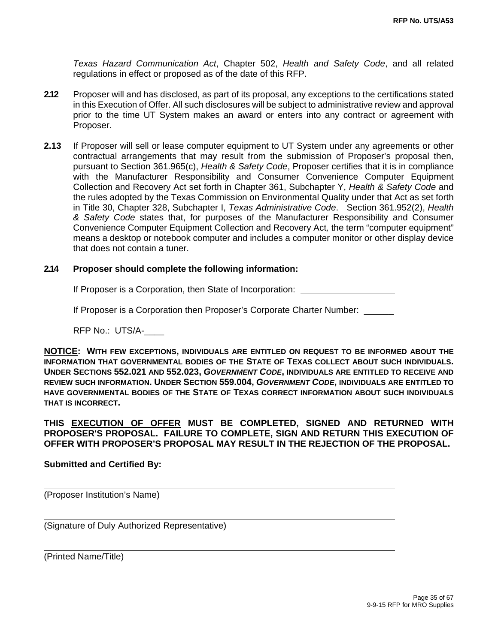*Texas Hazard Communication Act*, Chapter 502, *Health and Safety Code*, and all related regulations in effect or proposed as of the date of this RFP.

- **2.12** Proposer will and has disclosed, as part of its proposal, any exceptions to the certifications stated in this Execution of Offer. All such disclosures will be subject to administrative review and approval prior to the time UT System makes an award or enters into any contract or agreement with Proposer.
- **2.13** If Proposer will sell or lease computer equipment to UT System under any agreements or other contractual arrangements that may result from the submission of Proposer's proposal then, pursuant to Section 361.965(c), *Health & Safety Code*, Proposer certifies that it is in compliance with the Manufacturer Responsibility and Consumer Convenience Computer Equipment Collection and Recovery Act set forth in Chapter 361, Subchapter Y, *Health & Safety Code* and the rules adopted by the Texas Commission on Environmental Quality under that Act as set forth in Title 30, Chapter 328, Subchapter I, *Texas Administrative Code*. Section 361.952(2), *Health & Safety Code* states that, for purposes of the Manufacturer Responsibility and Consumer Convenience Computer Equipment Collection and Recovery Act*,* the term "computer equipment" means a desktop or notebook computer and includes a computer monitor or other display device that does not contain a tuner.

#### **2.14 Proposer should complete the following information:**

If Proposer is a Corporation, then State of Incorporation:

If Proposer is a Corporation then Proposer's Corporate Charter Number:

RFP No.: UTS/A-\_\_\_\_

**NOTICE: WITH FEW EXCEPTIONS, INDIVIDUALS ARE ENTITLED ON REQUEST TO BE INFORMED ABOUT THE INFORMATION THAT GOVERNMENTAL BODIES OF THE STATE OF TEXAS COLLECT ABOUT SUCH INDIVIDUALS. UNDER SECTIONS 552.021 AND 552.023,** *GOVERNMENT CODE***, INDIVIDUALS ARE ENTITLED TO RECEIVE AND REVIEW SUCH INFORMATION. UNDER SECTION 559.004,** *GOVERNMENT CODE***, INDIVIDUALS ARE ENTITLED TO HAVE GOVERNMENTAL BODIES OF THE STATE OF TEXAS CORRECT INFORMATION ABOUT SUCH INDIVIDUALS THAT IS INCORRECT.** 

**THIS EXECUTION OF OFFER MUST BE COMPLETED, SIGNED AND RETURNED WITH PROPOSER'S PROPOSAL. FAILURE TO COMPLETE, SIGN AND RETURN THIS EXECUTION OF OFFER WITH PROPOSER'S PROPOSAL MAY RESULT IN THE REJECTION OF THE PROPOSAL.** 

#### **Submitted and Certified By:**

(Proposer Institution's Name)

(Signature of Duly Authorized Representative)

(Printed Name/Title)

 $\overline{a}$ 

 $\overline{a}$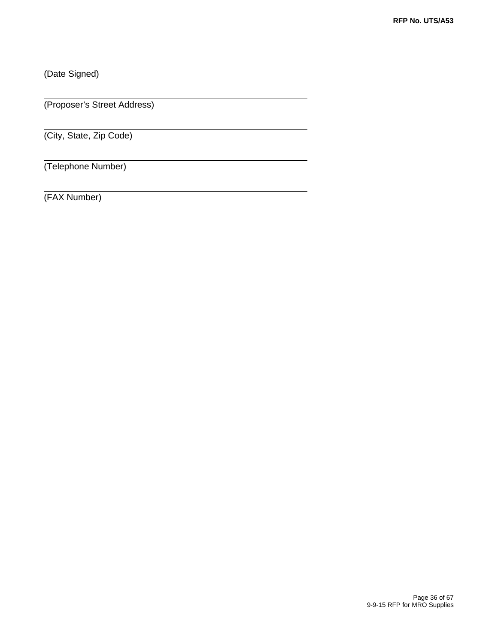(Date Signed)

 $\overline{a}$ 

(Proposer's Street Address)

(City, State, Zip Code)

(Telephone Number)

(FAX Number)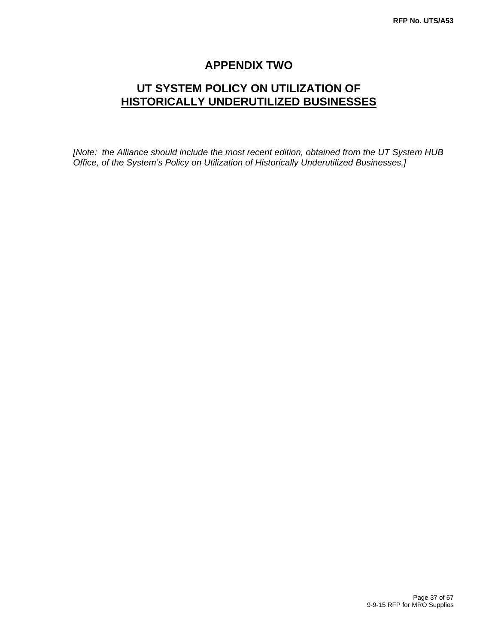# **APPENDIX TWO**

# **UT SYSTEM POLICY ON UTILIZATION OF HISTORICALLY UNDERUTILIZED BUSINESSES**

*[Note: the Alliance should include the most recent edition, obtained from the UT System HUB Office, of the System's Policy on Utilization of Historically Underutilized Businesses.]*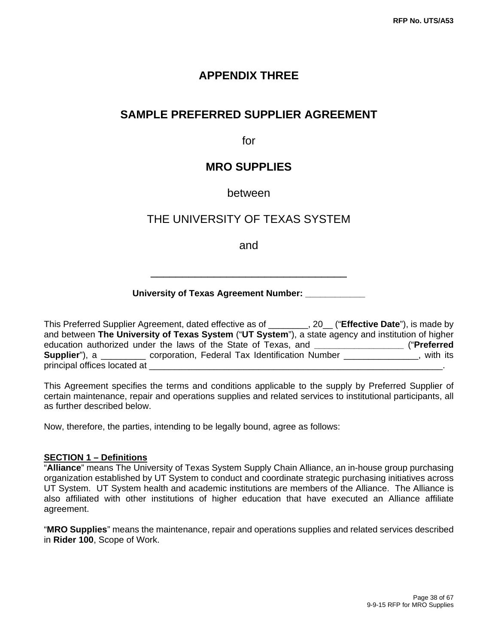## **APPENDIX THREE**

### **SAMPLE PREFERRED SUPPLIER AGREEMENT**

for

### **MRO SUPPLIES**

#### between

### THE UNIVERSITY OF TEXAS SYSTEM

and

\_\_\_\_\_\_\_\_\_\_\_\_\_\_\_\_\_\_\_\_\_\_\_\_\_\_\_\_\_\_\_

#### **University of Texas Agreement Number: \_\_\_\_\_\_\_\_\_\_\_\_**

This Preferred Supplier Agreement, dated effective as of \_\_\_\_\_\_\_\_, 20\_\_ ("**Effective Date**"), is made by and between **The University of Texas System** ("**UT System**"), a state agency and institution of higher education authorized under the laws of the State of Texas, and **\_\_\_\_\_\_\_\_\_\_\_\_\_\_\_\_\_\_** ("**Preferred Supplier**"), a **corporation, Federal Tax Identification Number \_\_\_\_\_\_\_\_\_\_\_\_\_, with its** principal offices located at

This Agreement specifies the terms and conditions applicable to the supply by Preferred Supplier of certain maintenance, repair and operations supplies and related services to institutional participants, all as further described below.

Now, therefore, the parties, intending to be legally bound, agree as follows:

#### **SECTION 1 – Definitions**

"**Alliance**" means The University of Texas System Supply Chain Alliance, an in-house group purchasing organization established by UT System to conduct and coordinate strategic purchasing initiatives across UT System. UT System health and academic institutions are members of the Alliance. The Alliance is also affiliated with other institutions of higher education that have executed an Alliance affiliate agreement.

"**MRO Supplies**" means the maintenance, repair and operations supplies and related services described in **Rider 100**, Scope of Work.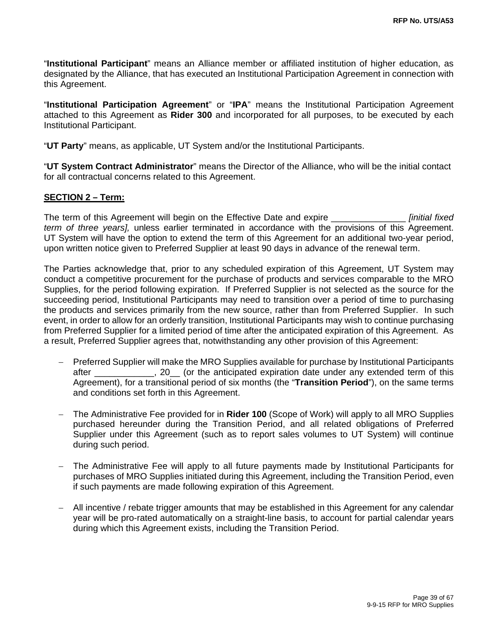"**Institutional Participant**" means an Alliance member or affiliated institution of higher education, as designated by the Alliance, that has executed an Institutional Participation Agreement in connection with this Agreement.

"**Institutional Participation Agreement**" or "**IPA**" means the Institutional Participation Agreement attached to this Agreement as **Rider 300** and incorporated for all purposes, to be executed by each Institutional Participant.

"**UT Party**" means, as applicable, UT System and/or the Institutional Participants.

"**UT System Contract Administrator**" means the Director of the Alliance, who will be the initial contact for all contractual concerns related to this Agreement.

#### **SECTION 2 – Term:**

The term of this Agreement will begin on the Effective Date and expire \_\_\_\_\_\_\_\_\_\_\_\_\_\_\_ *[initial fixed term of three years],* unless earlier terminated in accordance with the provisions of this Agreement. UT System will have the option to extend the term of this Agreement for an additional two-year period, upon written notice given to Preferred Supplier at least 90 days in advance of the renewal term.

The Parties acknowledge that, prior to any scheduled expiration of this Agreement, UT System may conduct a competitive procurement for the purchase of products and services comparable to the MRO Supplies, for the period following expiration. If Preferred Supplier is not selected as the source for the succeeding period, Institutional Participants may need to transition over a period of time to purchasing the products and services primarily from the new source, rather than from Preferred Supplier. In such event, in order to allow for an orderly transition, Institutional Participants may wish to continue purchasing from Preferred Supplier for a limited period of time after the anticipated expiration of this Agreement. As a result, Preferred Supplier agrees that, notwithstanding any other provision of this Agreement:

- Preferred Supplier will make the MRO Supplies available for purchase by Institutional Participants after \_\_\_\_\_\_\_\_\_\_\_\_, 20\_\_ (or the anticipated expiration date under any extended term of this Agreement), for a transitional period of six months (the "**Transition Period**"), on the same terms and conditions set forth in this Agreement.
- The Administrative Fee provided for in **Rider 100** (Scope of Work) will apply to all MRO Supplies purchased hereunder during the Transition Period, and all related obligations of Preferred Supplier under this Agreement (such as to report sales volumes to UT System) will continue during such period.
- The Administrative Fee will apply to all future payments made by Institutional Participants for purchases of MRO Supplies initiated during this Agreement, including the Transition Period, even if such payments are made following expiration of this Agreement.
- All incentive / rebate trigger amounts that may be established in this Agreement for any calendar year will be pro-rated automatically on a straight-line basis, to account for partial calendar years during which this Agreement exists, including the Transition Period.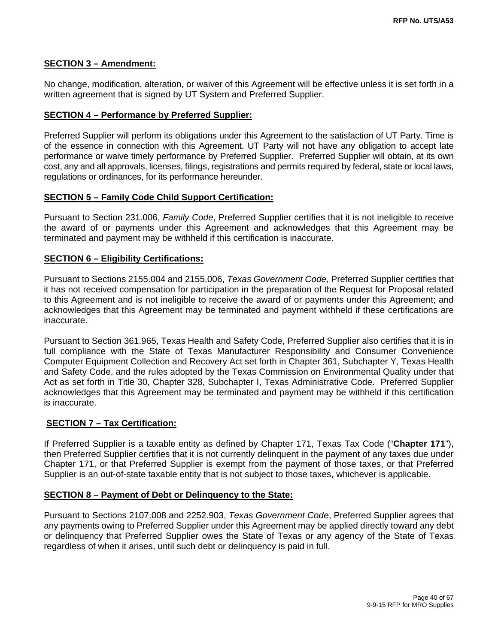#### **SECTION 3 – Amendment:**

No change, modification, alteration, or waiver of this Agreement will be effective unless it is set forth in a written agreement that is signed by UT System and Preferred Supplier.

#### **SECTION 4 – Performance by Preferred Supplier:**

Preferred Supplier will perform its obligations under this Agreement to the satisfaction of UT Party. Time is of the essence in connection with this Agreement. UT Party will not have any obligation to accept late performance or waive timely performance by Preferred Supplier. Preferred Supplier will obtain, at its own cost, any and all approvals, licenses, filings, registrations and permits required by federal, state or local laws, regulations or ordinances, for its performance hereunder.

#### **SECTION 5 – Family Code Child Support Certification:**

Pursuant to Section 231.006, *Family Code*, Preferred Supplier certifies that it is not ineligible to receive the award of or payments under this Agreement and acknowledges that this Agreement may be terminated and payment may be withheld if this certification is inaccurate.

#### **SECTION 6 – Eligibility Certifications:**

Pursuant to Sections 2155.004 and 2155.006, *Texas Government Code*, Preferred Supplier certifies that it has not received compensation for participation in the preparation of the Request for Proposal related to this Agreement and is not ineligible to receive the award of or payments under this Agreement; and acknowledges that this Agreement may be terminated and payment withheld if these certifications are inaccurate.

Pursuant to Section 361.965, Texas Health and Safety Code, Preferred Supplier also certifies that it is in full compliance with the State of Texas Manufacturer Responsibility and Consumer Convenience Computer Equipment Collection and Recovery Act set forth in Chapter 361, Subchapter Y, Texas Health and Safety Code, and the rules adopted by the Texas Commission on Environmental Quality under that Act as set forth in Title 30, Chapter 328, Subchapter I, Texas Administrative Code. Preferred Supplier acknowledges that this Agreement may be terminated and payment may be withheld if this certification is inaccurate.

#### **SECTION 7 – Tax Certification:**

If Preferred Supplier is a taxable entity as defined by Chapter 171, Texas Tax Code ("**Chapter 171**"), then Preferred Supplier certifies that it is not currently delinquent in the payment of any taxes due under Chapter 171, or that Preferred Supplier is exempt from the payment of those taxes, or that Preferred Supplier is an out-of-state taxable entity that is not subject to those taxes, whichever is applicable.

#### **SECTION 8 – Payment of Debt or Delinquency to the State:**

Pursuant to Sections 2107.008 and 2252.903, *Texas Government Code*, Preferred Supplier agrees that any payments owing to Preferred Supplier under this Agreement may be applied directly toward any debt or delinquency that Preferred Supplier owes the State of Texas or any agency of the State of Texas regardless of when it arises, until such debt or delinquency is paid in full.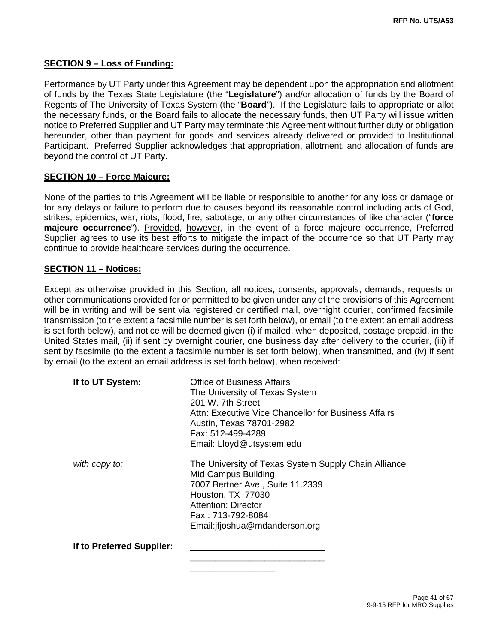#### **SECTION 9 – Loss of Funding:**

Performance by UT Party under this Agreement may be dependent upon the appropriation and allotment of funds by the Texas State Legislature (the "**Legislature**") and/or allocation of funds by the Board of Regents of The University of Texas System (the "**Board**"). If the Legislature fails to appropriate or allot the necessary funds, or the Board fails to allocate the necessary funds, then UT Party will issue written notice to Preferred Supplier and UT Party may terminate this Agreement without further duty or obligation hereunder, other than payment for goods and services already delivered or provided to Institutional Participant. Preferred Supplier acknowledges that appropriation, allotment, and allocation of funds are beyond the control of UT Party.

#### **SECTION 10 – Force Majeure:**

None of the parties to this Agreement will be liable or responsible to another for any loss or damage or for any delays or failure to perform due to causes beyond its reasonable control including acts of God, strikes, epidemics, war, riots, flood, fire, sabotage, or any other circumstances of like character ("**force majeure occurrence**"). Provided, however, in the event of a force majeure occurrence, Preferred Supplier agrees to use its best efforts to mitigate the impact of the occurrence so that UT Party may continue to provide healthcare services during the occurrence.

#### **SECTION 11 – Notices:**

Except as otherwise provided in this Section, all notices, consents, approvals, demands, requests or other communications provided for or permitted to be given under any of the provisions of this Agreement will be in writing and will be sent via registered or certified mail, overnight courier, confirmed facsimile transmission (to the extent a facsimile number is set forth below), or email (to the extent an email address is set forth below), and notice will be deemed given (i) if mailed, when deposited, postage prepaid, in the United States mail, (ii) if sent by overnight courier, one business day after delivery to the courier, (iii) if sent by facsimile (to the extent a facsimile number is set forth below), when transmitted, and (iv) if sent by email (to the extent an email address is set forth below), when received:

| If to UT System:          | Office of Business Affairs<br>The University of Texas System<br>201 W. 7th Street<br>Attn: Executive Vice Chancellor for Business Affairs<br>Austin, Texas 78701-2982<br>Fax: 512-499-4289<br>Email: Lloyd@utsystem.edu |
|---------------------------|-------------------------------------------------------------------------------------------------------------------------------------------------------------------------------------------------------------------------|
| with copy to:             | The University of Texas System Supply Chain Alliance<br>Mid Campus Building<br>7007 Bertner Ave., Suite 11.2339<br>Houston, TX 77030<br>Attention: Director<br>Fax: 713-792-8084<br>Email: if joshua@mdanderson.org     |
| If to Preferred Supplier: |                                                                                                                                                                                                                         |

 $\overline{\phantom{a}}$  , and the contract of the contract of the contract of the contract of the contract of the contract of the contract of the contract of the contract of the contract of the contract of the contract of the contrac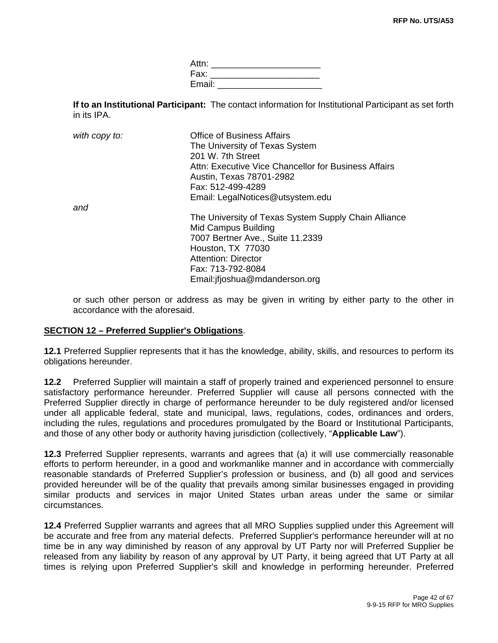Attn: \_\_\_\_\_\_\_\_\_\_\_\_\_\_\_\_\_\_\_\_\_\_\_\_ Fax: \_\_\_\_\_\_\_\_\_\_\_\_\_\_\_\_\_\_\_\_\_\_ Email: \_\_\_\_\_\_\_\_\_\_\_\_\_\_\_\_\_\_\_\_\_

**If to an Institutional Participant:** The contact information for Institutional Participant as set forth in its IPA.

| with copy to: | <b>Office of Business Affairs</b>                    |
|---------------|------------------------------------------------------|
|               | The University of Texas System                       |
|               | 201 W. 7th Street                                    |
|               | Attn: Executive Vice Chancellor for Business Affairs |
|               | Austin, Texas 78701-2982                             |
|               | Fax: 512-499-4289                                    |
|               | Email: LegalNotices@utsystem.edu                     |
| and           |                                                      |
|               | The University of Texas System Supply Chain Alliance |
|               | Mid Campus Building                                  |
|               | 7007 Bertner Ave., Suite 11.2339                     |
|               | Houston, TX 77030                                    |
|               | <b>Attention: Director</b>                           |
|               | Fax: 713-792-8084                                    |
|               | Email: if joshua@mdanderson.org                      |

or such other person or address as may be given in writing by either party to the other in accordance with the aforesaid.

#### **SECTION 12 – Preferred Supplier's Obligations**.

**12.1** Preferred Supplier represents that it has the knowledge, ability, skills, and resources to perform its obligations hereunder.

**12.2** Preferred Supplier will maintain a staff of properly trained and experienced personnel to ensure satisfactory performance hereunder. Preferred Supplier will cause all persons connected with the Preferred Supplier directly in charge of performance hereunder to be duly registered and/or licensed under all applicable federal, state and municipal, laws, regulations, codes, ordinances and orders, including the rules, regulations and procedures promulgated by the Board or Institutional Participants, and those of any other body or authority having jurisdiction (collectively, "**Applicable Law**").

**12.3** Preferred Supplier represents, warrants and agrees that (a) it will use commercially reasonable efforts to perform hereunder, in a good and workmanlike manner and in accordance with commercially reasonable standards of Preferred Supplier's profession or business, and (b) all good and services provided hereunder will be of the quality that prevails among similar businesses engaged in providing similar products and services in major United States urban areas under the same or similar circumstances.

**12.4** Preferred Supplier warrants and agrees that all MRO Supplies supplied under this Agreement will be accurate and free from any material defects. Preferred Supplier's performance hereunder will at no time be in any way diminished by reason of any approval by UT Party nor will Preferred Supplier be released from any liability by reason of any approval by UT Party, it being agreed that UT Party at all times is relying upon Preferred Supplier's skill and knowledge in performing hereunder. Preferred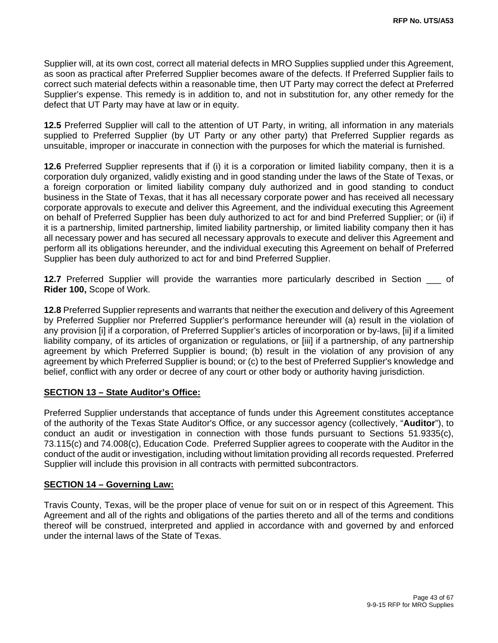Supplier will, at its own cost, correct all material defects in MRO Supplies supplied under this Agreement, as soon as practical after Preferred Supplier becomes aware of the defects. If Preferred Supplier fails to correct such material defects within a reasonable time, then UT Party may correct the defect at Preferred Supplier's expense. This remedy is in addition to, and not in substitution for, any other remedy for the defect that UT Party may have at law or in equity.

**12.5** Preferred Supplier will call to the attention of UT Party, in writing, all information in any materials supplied to Preferred Supplier (by UT Party or any other party) that Preferred Supplier regards as unsuitable, improper or inaccurate in connection with the purposes for which the material is furnished.

**12.6** Preferred Supplier represents that if (i) it is a corporation or limited liability company, then it is a corporation duly organized, validly existing and in good standing under the laws of the State of Texas, or a foreign corporation or limited liability company duly authorized and in good standing to conduct business in the State of Texas, that it has all necessary corporate power and has received all necessary corporate approvals to execute and deliver this Agreement, and the individual executing this Agreement on behalf of Preferred Supplier has been duly authorized to act for and bind Preferred Supplier; or (ii) if it is a partnership, limited partnership, limited liability partnership, or limited liability company then it has all necessary power and has secured all necessary approvals to execute and deliver this Agreement and perform all its obligations hereunder, and the individual executing this Agreement on behalf of Preferred Supplier has been duly authorized to act for and bind Preferred Supplier.

**12.7** Preferred Supplier will provide the warranties more particularly described in Section \_\_\_ of **Rider 100,** Scope of Work.

**12.8** Preferred Supplier represents and warrants that neither the execution and delivery of this Agreement by Preferred Supplier nor Preferred Supplier's performance hereunder will (a) result in the violation of any provision [i] if a corporation, of Preferred Supplier's articles of incorporation or by-laws, [ii] if a limited liability company, of its articles of organization or regulations, or [iii] if a partnership, of any partnership agreement by which Preferred Supplier is bound; (b) result in the violation of any provision of any agreement by which Preferred Supplier is bound; or (c) to the best of Preferred Supplier's knowledge and belief, conflict with any order or decree of any court or other body or authority having jurisdiction.

#### **SECTION 13 – State Auditor's Office:**

Preferred Supplier understands that acceptance of funds under this Agreement constitutes acceptance of the authority of the Texas State Auditor's Office, or any successor agency (collectively, "**Auditor**"), to conduct an audit or investigation in connection with those funds pursuant to Sections 51.9335(c), 73.115(c) and 74.008(c), Education Code. Preferred Supplier agrees to cooperate with the Auditor in the conduct of the audit or investigation, including without limitation providing all records requested. Preferred Supplier will include this provision in all contracts with permitted subcontractors.

#### **SECTION 14 – Governing Law:**

Travis County, Texas, will be the proper place of venue for suit on or in respect of this Agreement. This Agreement and all of the rights and obligations of the parties thereto and all of the terms and conditions thereof will be construed, interpreted and applied in accordance with and governed by and enforced under the internal laws of the State of Texas.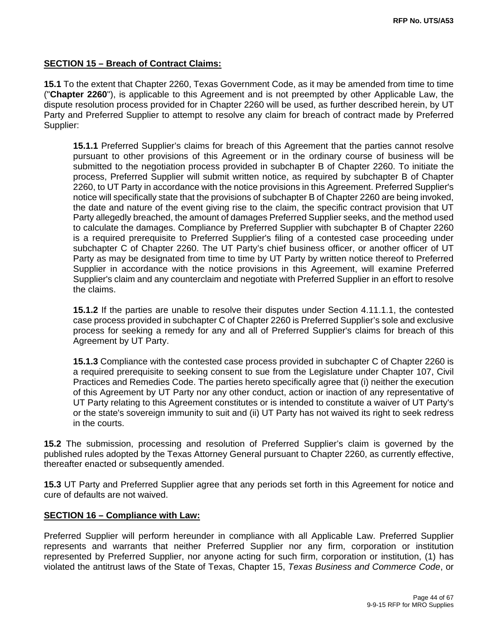#### **SECTION 15 – Breach of Contract Claims:**

**15.1** To the extent that Chapter 2260, Texas Government Code, as it may be amended from time to time ("**Chapter 2260**"), is applicable to this Agreement and is not preempted by other Applicable Law, the dispute resolution process provided for in Chapter 2260 will be used, as further described herein, by UT Party and Preferred Supplier to attempt to resolve any claim for breach of contract made by Preferred Supplier:

**15.1.1** Preferred Supplier's claims for breach of this Agreement that the parties cannot resolve pursuant to other provisions of this Agreement or in the ordinary course of business will be submitted to the negotiation process provided in subchapter B of Chapter 2260. To initiate the process, Preferred Supplier will submit written notice, as required by subchapter B of Chapter 2260, to UT Party in accordance with the notice provisions in this Agreement. Preferred Supplier's notice will specifically state that the provisions of subchapter B of Chapter 2260 are being invoked, the date and nature of the event giving rise to the claim, the specific contract provision that UT Party allegedly breached, the amount of damages Preferred Supplier seeks, and the method used to calculate the damages. Compliance by Preferred Supplier with subchapter B of Chapter 2260 is a required prerequisite to Preferred Supplier's filing of a contested case proceeding under subchapter C of Chapter 2260. The UT Party's chief business officer, or another officer of UT Party as may be designated from time to time by UT Party by written notice thereof to Preferred Supplier in accordance with the notice provisions in this Agreement, will examine Preferred Supplier's claim and any counterclaim and negotiate with Preferred Supplier in an effort to resolve the claims.

**15.1.2** If the parties are unable to resolve their disputes under Section 4.11.1.1, the contested case process provided in subchapter C of Chapter 2260 is Preferred Supplier's sole and exclusive process for seeking a remedy for any and all of Preferred Supplier's claims for breach of this Agreement by UT Party.

**15.1.3** Compliance with the contested case process provided in subchapter C of Chapter 2260 is a required prerequisite to seeking consent to sue from the Legislature under Chapter 107, Civil Practices and Remedies Code. The parties hereto specifically agree that (i) neither the execution of this Agreement by UT Party nor any other conduct, action or inaction of any representative of UT Party relating to this Agreement constitutes or is intended to constitute a waiver of UT Party's or the state's sovereign immunity to suit and (ii) UT Party has not waived its right to seek redress in the courts.

**15.2** The submission, processing and resolution of Preferred Supplier's claim is governed by the published rules adopted by the Texas Attorney General pursuant to Chapter 2260, as currently effective, thereafter enacted or subsequently amended.

**15.3** UT Party and Preferred Supplier agree that any periods set forth in this Agreement for notice and cure of defaults are not waived.

#### **SECTION 16 – Compliance with Law:**

Preferred Supplier will perform hereunder in compliance with all Applicable Law. Preferred Supplier represents and warrants that neither Preferred Supplier nor any firm, corporation or institution represented by Preferred Supplier, nor anyone acting for such firm, corporation or institution, (1) has violated the antitrust laws of the State of Texas, Chapter 15, *Texas Business and Commerce Code*, or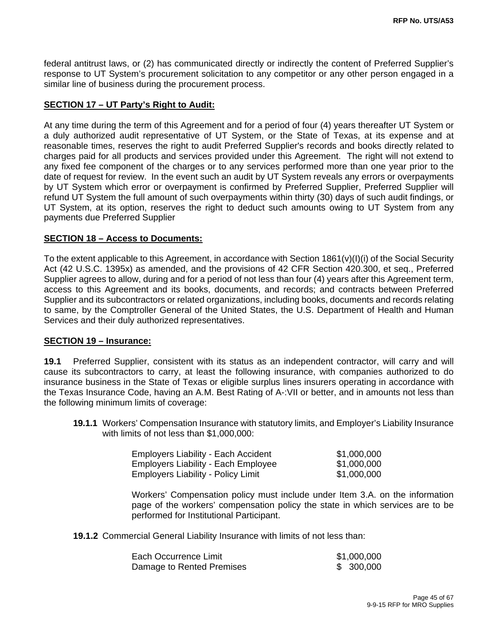federal antitrust laws, or (2) has communicated directly or indirectly the content of Preferred Supplier's response to UT System's procurement solicitation to any competitor or any other person engaged in a similar line of business during the procurement process.

#### **SECTION 17 – UT Party's Right to Audit:**

At any time during the term of this Agreement and for a period of four (4) years thereafter UT System or a duly authorized audit representative of UT System, or the State of Texas, at its expense and at reasonable times, reserves the right to audit Preferred Supplier's records and books directly related to charges paid for all products and services provided under this Agreement. The right will not extend to any fixed fee component of the charges or to any services performed more than one year prior to the date of request for review. In the event such an audit by UT System reveals any errors or overpayments by UT System which error or overpayment is confirmed by Preferred Supplier, Preferred Supplier will refund UT System the full amount of such overpayments within thirty (30) days of such audit findings, or UT System, at its option, reserves the right to deduct such amounts owing to UT System from any payments due Preferred Supplier

#### **SECTION 18 – Access to Documents:**

To the extent applicable to this Agreement, in accordance with Section 1861(v)(I)(i) of the Social Security Act (42 U.S.C. 1395x) as amended, and the provisions of 42 CFR Section 420.300, et seq., Preferred Supplier agrees to allow, during and for a period of not less than four (4) years after this Agreement term, access to this Agreement and its books, documents, and records; and contracts between Preferred Supplier and its subcontractors or related organizations, including books, documents and records relating to same, by the Comptroller General of the United States, the U.S. Department of Health and Human Services and their duly authorized representatives.

#### **SECTION 19 – Insurance:**

**19.1** Preferred Supplier, consistent with its status as an independent contractor, will carry and will cause its subcontractors to carry, at least the following insurance, with companies authorized to do insurance business in the State of Texas or eligible surplus lines insurers operating in accordance with the Texas Insurance Code, having an A.M. Best Rating of A-:VII or better, and in amounts not less than the following minimum limits of coverage:

**19.1.1** Workers' Compensation Insurance with statutory limits, and Employer's Liability Insurance with limits of not less than \$1,000,000:

| <b>Employers Liability - Each Accident</b> | \$1,000,000 |
|--------------------------------------------|-------------|
| <b>Employers Liability - Each Employee</b> | \$1,000,000 |
| <b>Employers Liability - Policy Limit</b>  | \$1,000,000 |

Workers' Compensation policy must include under Item 3.A. on the information page of the workers' compensation policy the state in which services are to be performed for Institutional Participant.

**19.1.2** Commercial General Liability Insurance with limits of not less than:

| Each Occurrence Limit     | \$1,000,000 |
|---------------------------|-------------|
| Damage to Rented Premises | \$300,000   |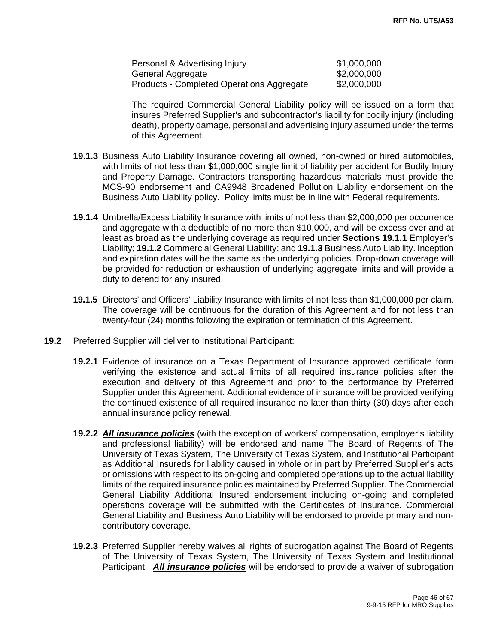| Personal & Advertising Injury             | \$1,000,000 |
|-------------------------------------------|-------------|
| General Aggregate                         | \$2,000,000 |
| Products - Completed Operations Aggregate | \$2,000,000 |

The required Commercial General Liability policy will be issued on a form that insures Preferred Supplier's and subcontractor's liability for bodily injury (including death), property damage, personal and advertising injury assumed under the terms of this Agreement.

- **19.1.3** Business Auto Liability Insurance covering all owned, non-owned or hired automobiles, with limits of not less than \$1,000,000 single limit of liability per accident for Bodily Injury and Property Damage. Contractors transporting hazardous materials must provide the MCS-90 endorsement and CA9948 Broadened Pollution Liability endorsement on the Business Auto Liability policy. Policy limits must be in line with Federal requirements.
- **19.1.4** Umbrella/Excess Liability Insurance with limits of not less than \$2,000,000 per occurrence and aggregate with a deductible of no more than \$10,000, and will be excess over and at least as broad as the underlying coverage as required under **Sections 19.1.1** Employer's Liability; **19.1.2** Commercial General Liability; and **19.1.3** Business Auto Liability. Inception and expiration dates will be the same as the underlying policies. Drop-down coverage will be provided for reduction or exhaustion of underlying aggregate limits and will provide a duty to defend for any insured.
- **19.1.5** Directors' and Officers' Liability Insurance with limits of not less than \$1,000,000 per claim. The coverage will be continuous for the duration of this Agreement and for not less than twenty-four (24) months following the expiration or termination of this Agreement.
- **19.2** Preferred Supplier will deliver to Institutional Participant:
	- **19.2.1** Evidence of insurance on a Texas Department of Insurance approved certificate form verifying the existence and actual limits of all required insurance policies after the execution and delivery of this Agreement and prior to the performance by Preferred Supplier under this Agreement. Additional evidence of insurance will be provided verifying the continued existence of all required insurance no later than thirty (30) days after each annual insurance policy renewal.
	- **19.2.2** *All insurance policies* (with the exception of workers' compensation, employer's liability and professional liability) will be endorsed and name The Board of Regents of The University of Texas System, The University of Texas System, and Institutional Participant as Additional Insureds for liability caused in whole or in part by Preferred Supplier's acts or omissions with respect to its on-going and completed operations up to the actual liability limits of the required insurance policies maintained by Preferred Supplier. The Commercial General Liability Additional Insured endorsement including on-going and completed operations coverage will be submitted with the Certificates of Insurance. Commercial General Liability and Business Auto Liability will be endorsed to provide primary and noncontributory coverage.
	- **19.2.3** Preferred Supplier hereby waives all rights of subrogation against The Board of Regents of The University of Texas System, The University of Texas System and Institutional Participant. *All insurance policies* will be endorsed to provide a waiver of subrogation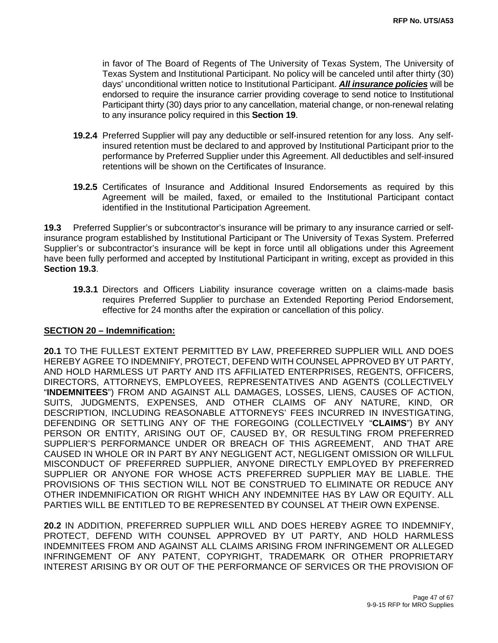in favor of The Board of Regents of The University of Texas System, The University of Texas System and Institutional Participant. No policy will be canceled until after thirty (30) days' unconditional written notice to Institutional Participant. *All insurance policies* will be endorsed to require the insurance carrier providing coverage to send notice to Institutional Participant thirty (30) days prior to any cancellation, material change, or non-renewal relating to any insurance policy required in this **Section 19**.

- **19.2.4** Preferred Supplier will pay any deductible or self-insured retention for any loss. Any selfinsured retention must be declared to and approved by Institutional Participant prior to the performance by Preferred Supplier under this Agreement. All deductibles and self-insured retentions will be shown on the Certificates of Insurance.
- **19.2.5** Certificates of Insurance and Additional Insured Endorsements as required by this Agreement will be mailed, faxed, or emailed to the Institutional Participant contact identified in the Institutional Participation Agreement.

**19.3** Preferred Supplier's or subcontractor's insurance will be primary to any insurance carried or selfinsurance program established by Institutional Participant or The University of Texas System. Preferred Supplier's or subcontractor's insurance will be kept in force until all obligations under this Agreement have been fully performed and accepted by Institutional Participant in writing, except as provided in this **Section 19.3**.

**19.3.1** Directors and Officers Liability insurance coverage written on a claims-made basis requires Preferred Supplier to purchase an Extended Reporting Period Endorsement, effective for 24 months after the expiration or cancellation of this policy.

#### **SECTION 20 – Indemnification:**

**20.1** TO THE FULLEST EXTENT PERMITTED BY LAW, PREFERRED SUPPLIER WILL AND DOES HEREBY AGREE TO INDEMNIFY, PROTECT, DEFEND WITH COUNSEL APPROVED BY UT PARTY, AND HOLD HARMLESS UT PARTY AND ITS AFFILIATED ENTERPRISES, REGENTS, OFFICERS, DIRECTORS, ATTORNEYS, EMPLOYEES, REPRESENTATIVES AND AGENTS (COLLECTIVELY "**INDEMNITEES**") FROM AND AGAINST ALL DAMAGES, LOSSES, LIENS, CAUSES OF ACTION, SUITS, JUDGMENTS, EXPENSES, AND OTHER CLAIMS OF ANY NATURE, KIND, OR DESCRIPTION, INCLUDING REASONABLE ATTORNEYS' FEES INCURRED IN INVESTIGATING, DEFENDING OR SETTLING ANY OF THE FOREGOING (COLLECTIVELY "**CLAIMS**") BY ANY PERSON OR ENTITY, ARISING OUT OF, CAUSED BY, OR RESULTING FROM PREFERRED SUPPLIER'S PERFORMANCE UNDER OR BREACH OF THIS AGREEMENT, AND THAT ARE CAUSED IN WHOLE OR IN PART BY ANY NEGLIGENT ACT, NEGLIGENT OMISSION OR WILLFUL MISCONDUCT OF PREFERRED SUPPLIER, ANYONE DIRECTLY EMPLOYED BY PREFERRED SUPPLIER OR ANYONE FOR WHOSE ACTS PREFERRED SUPPLIER MAY BE LIABLE. THE PROVISIONS OF THIS SECTION WILL NOT BE CONSTRUED TO ELIMINATE OR REDUCE ANY OTHER INDEMNIFICATION OR RIGHT WHICH ANY INDEMNITEE HAS BY LAW OR EQUITY. ALL PARTIES WILL BE ENTITLED TO BE REPRESENTED BY COUNSEL AT THEIR OWN EXPENSE.

**20.2** IN ADDITION, PREFERRED SUPPLIER WILL AND DOES HEREBY AGREE TO INDEMNIFY, PROTECT, DEFEND WITH COUNSEL APPROVED BY UT PARTY, AND HOLD HARMLESS INDEMNITEES FROM AND AGAINST ALL CLAIMS ARISING FROM INFRINGEMENT OR ALLEGED INFRINGEMENT OF ANY PATENT, COPYRIGHT, TRADEMARK OR OTHER PROPRIETARY INTEREST ARISING BY OR OUT OF THE PERFORMANCE OF SERVICES OR THE PROVISION OF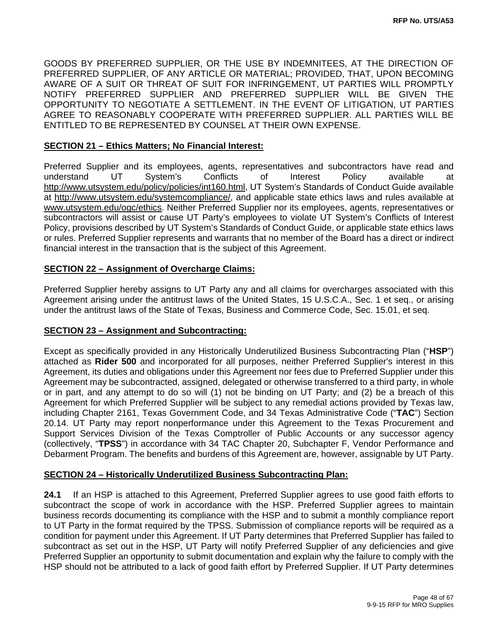GOODS BY PREFERRED SUPPLIER, OR THE USE BY INDEMNITEES, AT THE DIRECTION OF PREFERRED SUPPLIER, OF ANY ARTICLE OR MATERIAL; PROVIDED, THAT, UPON BECOMING AWARE OF A SUIT OR THREAT OF SUIT FOR INFRINGEMENT, UT PARTIES WILL PROMPTLY NOTIFY PREFERRED SUPPLIER AND PREFERRED SUPPLIER WILL BE GIVEN THE OPPORTUNITY TO NEGOTIATE A SETTLEMENT. IN THE EVENT OF LITIGATION, UT PARTIES AGREE TO REASONABLY COOPERATE WITH PREFERRED SUPPLIER. ALL PARTIES WILL BE ENTITLED TO BE REPRESENTED BY COUNSEL AT THEIR OWN EXPENSE.

#### **SECTION 21 – Ethics Matters; No Financial Interest:**

Preferred Supplier and its employees, agents, representatives and subcontractors have read and understand UT System's Conflicts of Interest Policy available at http://www.utsystem.edu/policy/policies/int160.html, UT System's Standards of Conduct Guide available at http://www.utsystem.edu/systemcompliance/, and applicable state ethics laws and rules available at www.utsystem.edu/ogc/ethics. Neither Preferred Supplier nor its employees, agents, representatives or subcontractors will assist or cause UT Party's employees to violate UT System's Conflicts of Interest Policy, provisions described by UT System's Standards of Conduct Guide, or applicable state ethics laws or rules. Preferred Supplier represents and warrants that no member of the Board has a direct or indirect financial interest in the transaction that is the subject of this Agreement.

#### **SECTION 22 – Assignment of Overcharge Claims:**

Preferred Supplier hereby assigns to UT Party any and all claims for overcharges associated with this Agreement arising under the antitrust laws of the United States, 15 U.S.C.A., Sec. 1 et seq., or arising under the antitrust laws of the State of Texas, Business and Commerce Code, Sec. 15.01, et seq.

#### **SECTION 23 – Assignment and Subcontracting:**

Except as specifically provided in any Historically Underutilized Business Subcontracting Plan ("**HSP**") attached as **Rider 500** and incorporated for all purposes, neither Preferred Supplier's interest in this Agreement, its duties and obligations under this Agreement nor fees due to Preferred Supplier under this Agreement may be subcontracted, assigned, delegated or otherwise transferred to a third party, in whole or in part, and any attempt to do so will (1) not be binding on UT Party; and (2) be a breach of this Agreement for which Preferred Supplier will be subject to any remedial actions provided by Texas law, including Chapter 2161, Texas Government Code, and 34 Texas Administrative Code ("**TAC**") Section 20.14. UT Party may report nonperformance under this Agreement to the Texas Procurement and Support Services Division of the Texas Comptroller of Public Accounts or any successor agency (collectively, "**TPSS**") in accordance with 34 TAC Chapter 20, Subchapter F, Vendor Performance and Debarment Program. The benefits and burdens of this Agreement are, however, assignable by UT Party.

#### **SECTION 24 – Historically Underutilized Business Subcontracting Plan:**

**24.1** If an HSP is attached to this Agreement, Preferred Supplier agrees to use good faith efforts to subcontract the scope of work in accordance with the HSP. Preferred Supplier agrees to maintain business records documenting its compliance with the HSP and to submit a monthly compliance report to UT Party in the format required by the TPSS. Submission of compliance reports will be required as a condition for payment under this Agreement. If UT Party determines that Preferred Supplier has failed to subcontract as set out in the HSP, UT Party will notify Preferred Supplier of any deficiencies and give Preferred Supplier an opportunity to submit documentation and explain why the failure to comply with the HSP should not be attributed to a lack of good faith effort by Preferred Supplier. If UT Party determines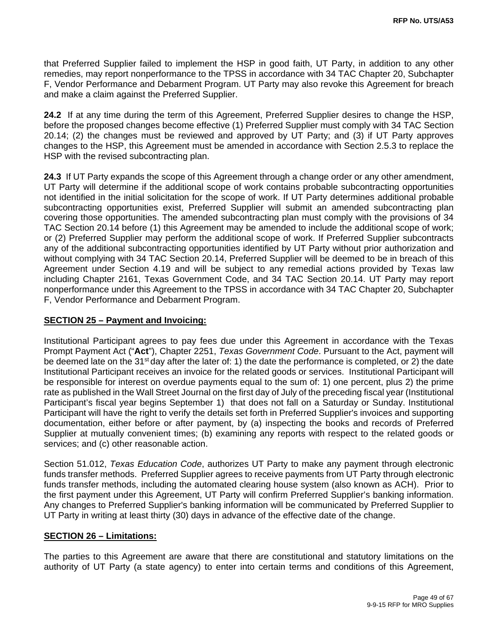that Preferred Supplier failed to implement the HSP in good faith, UT Party, in addition to any other remedies, may report nonperformance to the TPSS in accordance with 34 TAC Chapter 20, Subchapter F, Vendor Performance and Debarment Program. UT Party may also revoke this Agreement for breach and make a claim against the Preferred Supplier.

**24.2** If at any time during the term of this Agreement, Preferred Supplier desires to change the HSP, before the proposed changes become effective (1) Preferred Supplier must comply with 34 TAC Section 20.14; (2) the changes must be reviewed and approved by UT Party; and (3) if UT Party approves changes to the HSP, this Agreement must be amended in accordance with Section 2.5.3 to replace the HSP with the revised subcontracting plan.

**24.3** If UT Party expands the scope of this Agreement through a change order or any other amendment, UT Party will determine if the additional scope of work contains probable subcontracting opportunities not identified in the initial solicitation for the scope of work. If UT Party determines additional probable subcontracting opportunities exist, Preferred Supplier will submit an amended subcontracting plan covering those opportunities. The amended subcontracting plan must comply with the provisions of 34 TAC Section 20.14 before (1) this Agreement may be amended to include the additional scope of work; or (2) Preferred Supplier may perform the additional scope of work. If Preferred Supplier subcontracts any of the additional subcontracting opportunities identified by UT Party without prior authorization and without complying with 34 TAC Section 20.14, Preferred Supplier will be deemed to be in breach of this Agreement under Section 4.19 and will be subject to any remedial actions provided by Texas law including Chapter 2161, Texas Government Code, and 34 TAC Section 20.14. UT Party may report nonperformance under this Agreement to the TPSS in accordance with 34 TAC Chapter 20, Subchapter F, Vendor Performance and Debarment Program.

#### **SECTION 25 – Payment and Invoicing:**

Institutional Participant agrees to pay fees due under this Agreement in accordance with the Texas Prompt Payment Act ("**Act**"), Chapter 2251, *Texas Government Code*. Pursuant to the Act, payment will be deemed late on the 31<sup>st</sup> day after the later of: 1) the date the performance is completed, or 2) the date Institutional Participant receives an invoice for the related goods or services. Institutional Participant will be responsible for interest on overdue payments equal to the sum of: 1) one percent, plus 2) the prime rate as published in the Wall Street Journal on the first day of July of the preceding fiscal year (Institutional Participant's fiscal year begins September 1) that does not fall on a Saturday or Sunday. Institutional Participant will have the right to verify the details set forth in Preferred Supplier's invoices and supporting documentation, either before or after payment, by (a) inspecting the books and records of Preferred Supplier at mutually convenient times; (b) examining any reports with respect to the related goods or services; and (c) other reasonable action.

Section 51.012, *Texas Education Code*, authorizes UT Party to make any payment through electronic funds transfer methods. Preferred Supplier agrees to receive payments from UT Party through electronic funds transfer methods, including the automated clearing house system (also known as ACH). Prior to the first payment under this Agreement, UT Party will confirm Preferred Supplier's banking information. Any changes to Preferred Supplier's banking information will be communicated by Preferred Supplier to UT Party in writing at least thirty (30) days in advance of the effective date of the change.

#### **SECTION 26 – Limitations:**

The parties to this Agreement are aware that there are constitutional and statutory limitations on the authority of UT Party (a state agency) to enter into certain terms and conditions of this Agreement,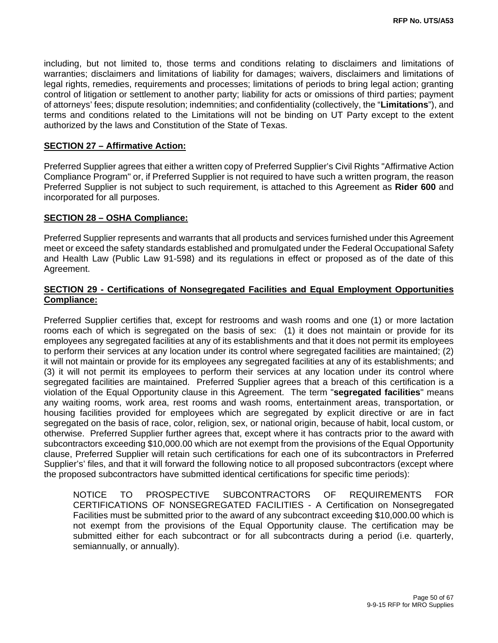including, but not limited to, those terms and conditions relating to disclaimers and limitations of warranties; disclaimers and limitations of liability for damages; waivers, disclaimers and limitations of legal rights, remedies, requirements and processes; limitations of periods to bring legal action; granting control of litigation or settlement to another party; liability for acts or omissions of third parties; payment of attorneys' fees; dispute resolution; indemnities; and confidentiality (collectively, the "**Limitations**"), and terms and conditions related to the Limitations will not be binding on UT Party except to the extent authorized by the laws and Constitution of the State of Texas.

#### **SECTION 27 – Affirmative Action:**

Preferred Supplier agrees that either a written copy of Preferred Supplier's Civil Rights "Affirmative Action Compliance Program" or, if Preferred Supplier is not required to have such a written program, the reason Preferred Supplier is not subject to such requirement, is attached to this Agreement as **Rider 600** and incorporated for all purposes.

#### **SECTION 28 – OSHA Compliance:**

Preferred Supplier represents and warrants that all products and services furnished under this Agreement meet or exceed the safety standards established and promulgated under the Federal Occupational Safety and Health Law (Public Law 91-598) and its regulations in effect or proposed as of the date of this Agreement.

#### **SECTION 29 - Certifications of Nonsegregated Facilities and Equal Employment Opportunities Compliance:**

Preferred Supplier certifies that, except for restrooms and wash rooms and one (1) or more lactation rooms each of which is segregated on the basis of sex: (1) it does not maintain or provide for its employees any segregated facilities at any of its establishments and that it does not permit its employees to perform their services at any location under its control where segregated facilities are maintained; (2) it will not maintain or provide for its employees any segregated facilities at any of its establishments; and (3) it will not permit its employees to perform their services at any location under its control where segregated facilities are maintained. Preferred Supplier agrees that a breach of this certification is a violation of the Equal Opportunity clause in this Agreement. The term "**segregated facilities**" means any waiting rooms, work area, rest rooms and wash rooms, entertainment areas, transportation, or housing facilities provided for employees which are segregated by explicit directive or are in fact segregated on the basis of race, color, religion, sex, or national origin, because of habit, local custom, or otherwise. Preferred Supplier further agrees that, except where it has contracts prior to the award with subcontractors exceeding \$10,000.00 which are not exempt from the provisions of the Equal Opportunity clause, Preferred Supplier will retain such certifications for each one of its subcontractors in Preferred Supplier's' files, and that it will forward the following notice to all proposed subcontractors (except where the proposed subcontractors have submitted identical certifications for specific time periods):

NOTICE TO PROSPECTIVE SUBCONTRACTORS OF REQUIREMENTS FOR CERTIFICATIONS OF NONSEGREGATED FACILITIES - A Certification on Nonsegregated Facilities must be submitted prior to the award of any subcontract exceeding \$10,000.00 which is not exempt from the provisions of the Equal Opportunity clause. The certification may be submitted either for each subcontract or for all subcontracts during a period (i.e. quarterly, semiannually, or annually).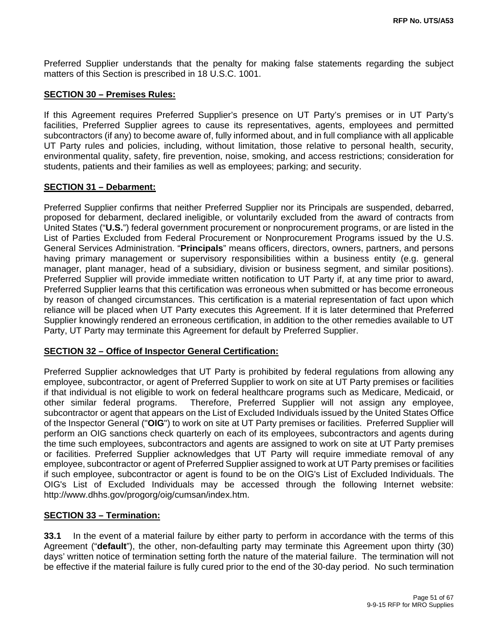Preferred Supplier understands that the penalty for making false statements regarding the subject matters of this Section is prescribed in 18 U.S.C. 1001.

#### **SECTION 30 – Premises Rules:**

If this Agreement requires Preferred Supplier's presence on UT Party's premises or in UT Party's facilities, Preferred Supplier agrees to cause its representatives, agents, employees and permitted subcontractors (if any) to become aware of, fully informed about, and in full compliance with all applicable UT Party rules and policies, including, without limitation, those relative to personal health, security, environmental quality, safety, fire prevention, noise, smoking, and access restrictions; consideration for students, patients and their families as well as employees; parking; and security.

#### **SECTION 31 – Debarment:**

Preferred Supplier confirms that neither Preferred Supplier nor its Principals are suspended, debarred, proposed for debarment, declared ineligible, or voluntarily excluded from the award of contracts from United States ("**U.S.**") federal government procurement or nonprocurement programs, or are listed in the List of Parties Excluded from Federal Procurement or Nonprocurement Programs issued by the U.S. General Services Administration. "**Principals**" means officers, directors, owners, partners, and persons having primary management or supervisory responsibilities within a business entity (e.g. general manager, plant manager, head of a subsidiary, division or business segment, and similar positions). Preferred Supplier will provide immediate written notification to UT Party if, at any time prior to award, Preferred Supplier learns that this certification was erroneous when submitted or has become erroneous by reason of changed circumstances. This certification is a material representation of fact upon which reliance will be placed when UT Party executes this Agreement. If it is later determined that Preferred Supplier knowingly rendered an erroneous certification, in addition to the other remedies available to UT Party, UT Party may terminate this Agreement for default by Preferred Supplier.

#### **SECTION 32 – Office of Inspector General Certification:**

Preferred Supplier acknowledges that UT Party is prohibited by federal regulations from allowing any employee, subcontractor, or agent of Preferred Supplier to work on site at UT Party premises or facilities if that individual is not eligible to work on federal healthcare programs such as Medicare, Medicaid, or other similar federal programs. Therefore, Preferred Supplier will not assign any employee, subcontractor or agent that appears on the List of Excluded Individuals issued by the United States Office of the Inspector General ("**OIG**") to work on site at UT Party premises or facilities. Preferred Supplier will perform an OIG sanctions check quarterly on each of its employees, subcontractors and agents during the time such employees, subcontractors and agents are assigned to work on site at UT Party premises or facilities. Preferred Supplier acknowledges that UT Party will require immediate removal of any employee, subcontractor or agent of Preferred Supplier assigned to work at UT Party premises or facilities if such employee, subcontractor or agent is found to be on the OIG's List of Excluded Individuals. The OIG's List of Excluded Individuals may be accessed through the following Internet website: http://www.dhhs.gov/progorg/oig/cumsan/index.htm.

#### **SECTION 33 – Termination:**

**33.1** In the event of a material failure by either party to perform in accordance with the terms of this Agreement ("**default**"), the other, non-defaulting party may terminate this Agreement upon thirty (30) days' written notice of termination setting forth the nature of the material failure. The termination will not be effective if the material failure is fully cured prior to the end of the 30-day period. No such termination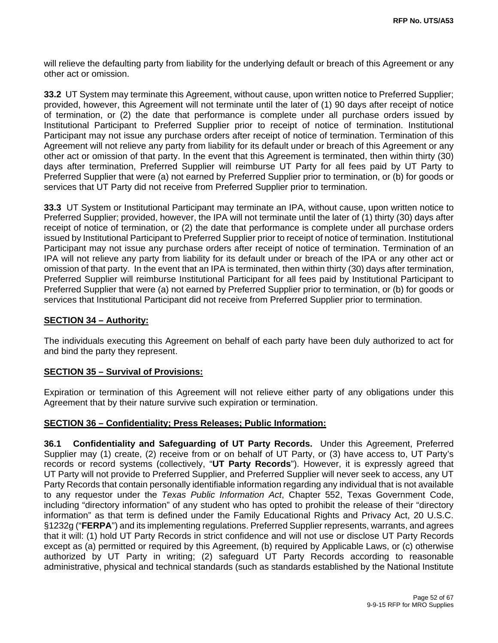will relieve the defaulting party from liability for the underlying default or breach of this Agreement or any other act or omission.

**33.2** UT System may terminate this Agreement, without cause, upon written notice to Preferred Supplier; provided, however, this Agreement will not terminate until the later of (1) 90 days after receipt of notice of termination, or (2) the date that performance is complete under all purchase orders issued by Institutional Participant to Preferred Supplier prior to receipt of notice of termination. Institutional Participant may not issue any purchase orders after receipt of notice of termination. Termination of this Agreement will not relieve any party from liability for its default under or breach of this Agreement or any other act or omission of that party. In the event that this Agreement is terminated, then within thirty (30) days after termination, Preferred Supplier will reimburse UT Party for all fees paid by UT Party to Preferred Supplier that were (a) not earned by Preferred Supplier prior to termination, or (b) for goods or services that UT Party did not receive from Preferred Supplier prior to termination.

**33.3** UT System or Institutional Participant may terminate an IPA, without cause, upon written notice to Preferred Supplier; provided, however, the IPA will not terminate until the later of (1) thirty (30) days after receipt of notice of termination, or (2) the date that performance is complete under all purchase orders issued by Institutional Participant to Preferred Supplier prior to receipt of notice of termination. Institutional Participant may not issue any purchase orders after receipt of notice of termination. Termination of an IPA will not relieve any party from liability for its default under or breach of the IPA or any other act or omission of that party. In the event that an IPA is terminated, then within thirty (30) days after termination, Preferred Supplier will reimburse Institutional Participant for all fees paid by Institutional Participant to Preferred Supplier that were (a) not earned by Preferred Supplier prior to termination, or (b) for goods or services that Institutional Participant did not receive from Preferred Supplier prior to termination.

#### **SECTION 34 – Authority:**

The individuals executing this Agreement on behalf of each party have been duly authorized to act for and bind the party they represent.

#### **SECTION 35 – Survival of Provisions:**

Expiration or termination of this Agreement will not relieve either party of any obligations under this Agreement that by their nature survive such expiration or termination.

#### **SECTION 36 – Confidentiality; Press Releases; Public Information:**

**36.1 Confidentiality and Safeguarding of UT Party Records.** Under this Agreement, Preferred Supplier may (1) create, (2) receive from or on behalf of UT Party, or (3) have access to, UT Party's records or record systems (collectively, "**UT Party Records**"). However, it is expressly agreed that UT Party will not provide to Preferred Supplier, and Preferred Supplier will never seek to access, any UT Party Records that contain personally identifiable information regarding any individual that is not available to any requestor under the *Texas Public Information Act*, Chapter 552, Texas Government Code, including "directory information" of any student who has opted to prohibit the release of their "directory information" as that term is defined under the Family Educational Rights and Privacy Act, 20 U.S.C. §1232g ("**FERPA**") and its implementing regulations. Preferred Supplier represents, warrants, and agrees that it will: (1) hold UT Party Records in strict confidence and will not use or disclose UT Party Records except as (a) permitted or required by this Agreement, (b) required by Applicable Laws, or (c) otherwise authorized by UT Party in writing; (2) safeguard UT Party Records according to reasonable administrative, physical and technical standards (such as standards established by the National Institute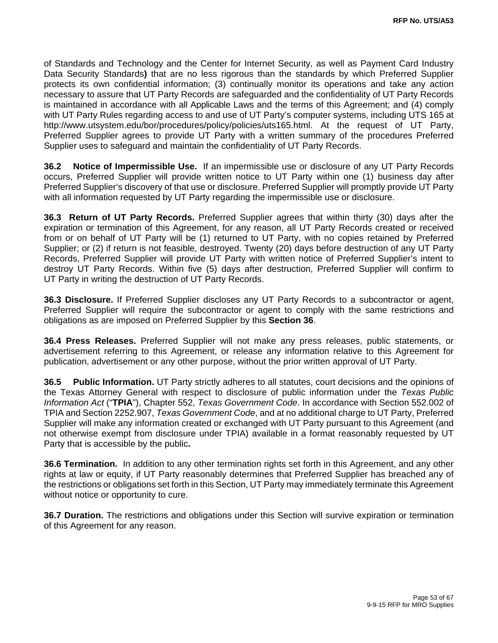of Standards and Technology and the Center for Internet Security, as well as Payment Card Industry Data Security Standards**)** that are no less rigorous than the standards by which Preferred Supplier protects its own confidential information; (3) continually monitor its operations and take any action necessary to assure that UT Party Records are safeguarded and the confidentiality of UT Party Records is maintained in accordance with all Applicable Laws and the terms of this Agreement; and (4) comply with UT Party Rules regarding access to and use of UT Party's computer systems, including UTS 165 at http://www.utsystem.edu/bor/procedures/policy/policies/uts165.html. At the request of UT Party, Preferred Supplier agrees to provide UT Party with a written summary of the procedures Preferred Supplier uses to safeguard and maintain the confidentiality of UT Party Records.

**36.2 Notice of Impermissible Use.** If an impermissible use or disclosure of any UT Party Records occurs, Preferred Supplier will provide written notice to UT Party within one (1) business day after Preferred Supplier's discovery of that use or disclosure. Preferred Supplier will promptly provide UT Party with all information requested by UT Party regarding the impermissible use or disclosure.

**36.3 Return of UT Party Records.** Preferred Supplier agrees that within thirty (30) days after the expiration or termination of this Agreement, for any reason, all UT Party Records created or received from or on behalf of UT Party will be (1) returned to UT Party, with no copies retained by Preferred Supplier; or (2) if return is not feasible, destroyed. Twenty (20) days before destruction of any UT Party Records, Preferred Supplier will provide UT Party with written notice of Preferred Supplier's intent to destroy UT Party Records. Within five (5) days after destruction, Preferred Supplier will confirm to UT Party in writing the destruction of UT Party Records.

**36.3 Disclosure.** If Preferred Supplier discloses any UT Party Records to a subcontractor or agent, Preferred Supplier will require the subcontractor or agent to comply with the same restrictions and obligations as are imposed on Preferred Supplier by this **Section 36**.

**36.4 Press Releases.** Preferred Supplier will not make any press releases, public statements, or advertisement referring to this Agreement, or release any information relative to this Agreement for publication, advertisement or any other purpose, without the prior written approval of UT Party.

**36.5 Public Information.** UT Party strictly adheres to all statutes, court decisions and the opinions of the Texas Attorney General with respect to disclosure of public information under the *Texas Public Information Act* ("**TPIA**"), Chapter 552, *Texas Government Code*. In accordance with Section 552.002 of TPIA and Section 2252.907, *Texas Government Code*, and at no additional charge to UT Party, Preferred Supplier will make any information created or exchanged with UT Party pursuant to this Agreement (and not otherwise exempt from disclosure under TPIA) available in a format reasonably requested by UT Party that is accessible by the public**.** 

**36.6 Termination.** In addition to any other termination rights set forth in this Agreement, and any other rights at law or equity, if UT Party reasonably determines that Preferred Supplier has breached any of the restrictions or obligations set forth in this Section, UT Party may immediately terminate this Agreement without notice or opportunity to cure.

**36.7 Duration.** The restrictions and obligations under this Section will survive expiration or termination of this Agreement for any reason.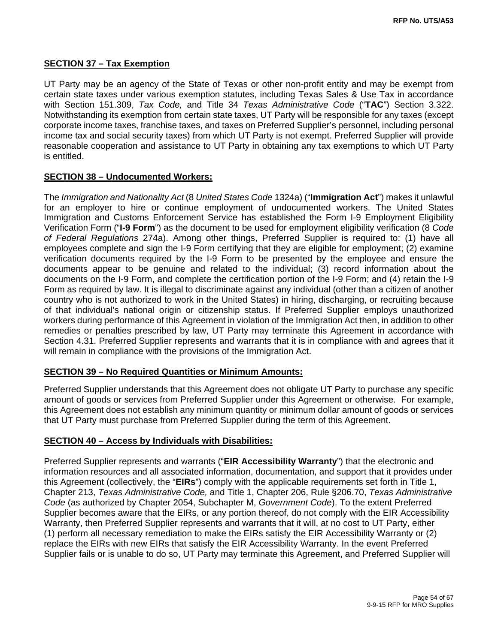#### **SECTION 37 – Tax Exemption**

UT Party may be an agency of the State of Texas or other non-profit entity and may be exempt from certain state taxes under various exemption statutes, including Texas Sales & Use Tax in accordance with Section 151.309, *Tax Code,* and Title 34 *Texas Administrative Code* ("**TAC**") Section 3.322. Notwithstanding its exemption from certain state taxes, UT Party will be responsible for any taxes (except corporate income taxes, franchise taxes, and taxes on Preferred Supplier's personnel, including personal income tax and social security taxes) from which UT Party is not exempt. Preferred Supplier will provide reasonable cooperation and assistance to UT Party in obtaining any tax exemptions to which UT Party is entitled.

#### **SECTION 38 – Undocumented Workers:**

The *Immigration and Nationality Act* (8 *United States Code* 1324a) ("**Immigration Act**") makes it unlawful for an employer to hire or continue employment of undocumented workers. The United States Immigration and Customs Enforcement Service has established the Form I-9 Employment Eligibility Verification Form ("**I-9 Form**") as the document to be used for employment eligibility verification (8 *Code of Federal Regulations* 274a). Among other things, Preferred Supplier is required to: (1) have all employees complete and sign the I-9 Form certifying that they are eligible for employment; (2) examine verification documents required by the I-9 Form to be presented by the employee and ensure the documents appear to be genuine and related to the individual; (3) record information about the documents on the I-9 Form, and complete the certification portion of the I-9 Form; and (4) retain the I-9 Form as required by law. It is illegal to discriminate against any individual (other than a citizen of another country who is not authorized to work in the United States) in hiring, discharging, or recruiting because of that individual's national origin or citizenship status. If Preferred Supplier employs unauthorized workers during performance of this Agreement in violation of the Immigration Act then, in addition to other remedies or penalties prescribed by law, UT Party may terminate this Agreement in accordance with Section 4.31. Preferred Supplier represents and warrants that it is in compliance with and agrees that it will remain in compliance with the provisions of the Immigration Act.

#### **SECTION 39 – No Required Quantities or Minimum Amounts:**

Preferred Supplier understands that this Agreement does not obligate UT Party to purchase any specific amount of goods or services from Preferred Supplier under this Agreement or otherwise. For example, this Agreement does not establish any minimum quantity or minimum dollar amount of goods or services that UT Party must purchase from Preferred Supplier during the term of this Agreement.

#### **SECTION 40 – Access by Individuals with Disabilities:**

Preferred Supplier represents and warrants ("**EIR Accessibility Warranty**") that the electronic and information resources and all associated information, documentation, and support that it provides under this Agreement (collectively, the "**EIRs**") comply with the applicable requirements set forth in Title 1, Chapter 213, *Texas Administrative Code,* and Title 1, Chapter 206, Rule §206.70, *Texas Administrative Code* (as authorized by Chapter 2054, Subchapter M, *Government Code*). To the extent Preferred Supplier becomes aware that the EIRs, or any portion thereof, do not comply with the EIR Accessibility Warranty, then Preferred Supplier represents and warrants that it will, at no cost to UT Party, either (1) perform all necessary remediation to make the EIRs satisfy the EIR Accessibility Warranty or (2) replace the EIRs with new EIRs that satisfy the EIR Accessibility Warranty. In the event Preferred Supplier fails or is unable to do so, UT Party may terminate this Agreement, and Preferred Supplier will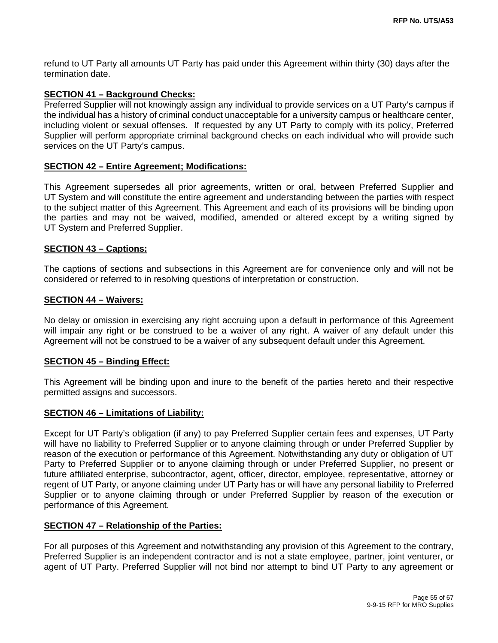refund to UT Party all amounts UT Party has paid under this Agreement within thirty (30) days after the termination date.

#### **SECTION 41 – Background Checks:**

Preferred Supplier will not knowingly assign any individual to provide services on a UT Party's campus if the individual has a history of criminal conduct unacceptable for a university campus or healthcare center, including violent or sexual offenses. If requested by any UT Party to comply with its policy, Preferred Supplier will perform appropriate criminal background checks on each individual who will provide such services on the UT Party's campus.

#### **SECTION 42 – Entire Agreement; Modifications:**

This Agreement supersedes all prior agreements, written or oral, between Preferred Supplier and UT System and will constitute the entire agreement and understanding between the parties with respect to the subject matter of this Agreement. This Agreement and each of its provisions will be binding upon the parties and may not be waived, modified, amended or altered except by a writing signed by UT System and Preferred Supplier.

#### **SECTION 43 – Captions:**

The captions of sections and subsections in this Agreement are for convenience only and will not be considered or referred to in resolving questions of interpretation or construction.

#### **SECTION 44 – Waivers:**

No delay or omission in exercising any right accruing upon a default in performance of this Agreement will impair any right or be construed to be a waiver of any right. A waiver of any default under this Agreement will not be construed to be a waiver of any subsequent default under this Agreement.

#### **SECTION 45 – Binding Effect:**

This Agreement will be binding upon and inure to the benefit of the parties hereto and their respective permitted assigns and successors.

#### **SECTION 46 – Limitations of Liability:**

Except for UT Party's obligation (if any) to pay Preferred Supplier certain fees and expenses, UT Party will have no liability to Preferred Supplier or to anyone claiming through or under Preferred Supplier by reason of the execution or performance of this Agreement. Notwithstanding any duty or obligation of UT Party to Preferred Supplier or to anyone claiming through or under Preferred Supplier, no present or future affiliated enterprise, subcontractor, agent, officer, director, employee, representative, attorney or regent of UT Party, or anyone claiming under UT Party has or will have any personal liability to Preferred Supplier or to anyone claiming through or under Preferred Supplier by reason of the execution or performance of this Agreement.

#### **SECTION 47 – Relationship of the Parties:**

For all purposes of this Agreement and notwithstanding any provision of this Agreement to the contrary, Preferred Supplier is an independent contractor and is not a state employee, partner, joint venturer, or agent of UT Party. Preferred Supplier will not bind nor attempt to bind UT Party to any agreement or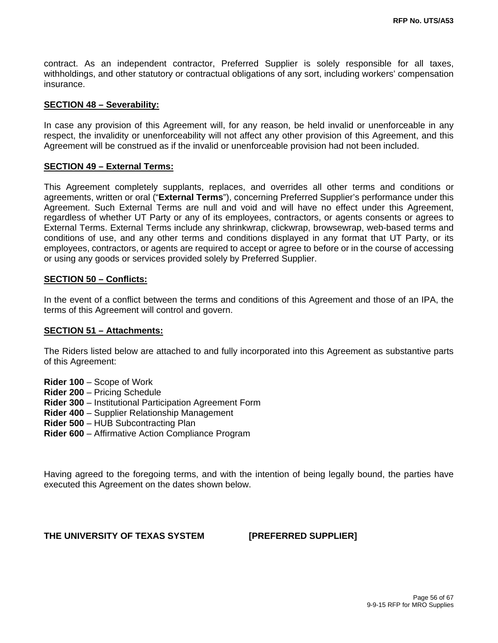contract. As an independent contractor, Preferred Supplier is solely responsible for all taxes, withholdings, and other statutory or contractual obligations of any sort, including workers' compensation insurance.

#### **SECTION 48 – Severability:**

In case any provision of this Agreement will, for any reason, be held invalid or unenforceable in any respect, the invalidity or unenforceability will not affect any other provision of this Agreement, and this Agreement will be construed as if the invalid or unenforceable provision had not been included.

#### **SECTION 49 – External Terms:**

This Agreement completely supplants, replaces, and overrides all other terms and conditions or agreements, written or oral ("**External Terms**"), concerning Preferred Supplier's performance under this Agreement. Such External Terms are null and void and will have no effect under this Agreement, regardless of whether UT Party or any of its employees, contractors, or agents consents or agrees to External Terms. External Terms include any shrinkwrap, clickwrap, browsewrap, web-based terms and conditions of use, and any other terms and conditions displayed in any format that UT Party, or its employees, contractors, or agents are required to accept or agree to before or in the course of accessing or using any goods or services provided solely by Preferred Supplier.

#### **SECTION 50 – Conflicts:**

In the event of a conflict between the terms and conditions of this Agreement and those of an IPA, the terms of this Agreement will control and govern.

#### **SECTION 51 – Attachments:**

The Riders listed below are attached to and fully incorporated into this Agreement as substantive parts of this Agreement:

- **Rider 100** Scope of Work
- **Rider 200** Pricing Schedule
- **Rider 300** Institutional Participation Agreement Form
- **Rider 400** Supplier Relationship Management
- **Rider 500** HUB Subcontracting Plan
- **Rider 600** Affirmative Action Compliance Program

Having agreed to the foregoing terms, and with the intention of being legally bound, the parties have executed this Agreement on the dates shown below.

#### **THE UNIVERSITY OF TEXAS SYSTEM [PREFERRED SUPPLIER]**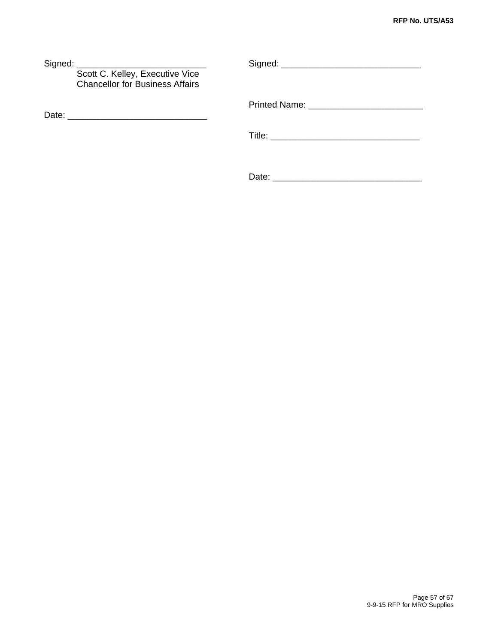| Scott C. Kelley, Executive Vice<br><b>Chancellor for Business Affairs</b> |  |  |  |
|---------------------------------------------------------------------------|--|--|--|
|                                                                           |  |  |  |
|                                                                           |  |  |  |
|                                                                           |  |  |  |

Date: \_\_\_\_\_\_\_\_\_\_\_\_\_\_\_\_\_\_\_\_\_\_\_\_\_\_\_\_\_\_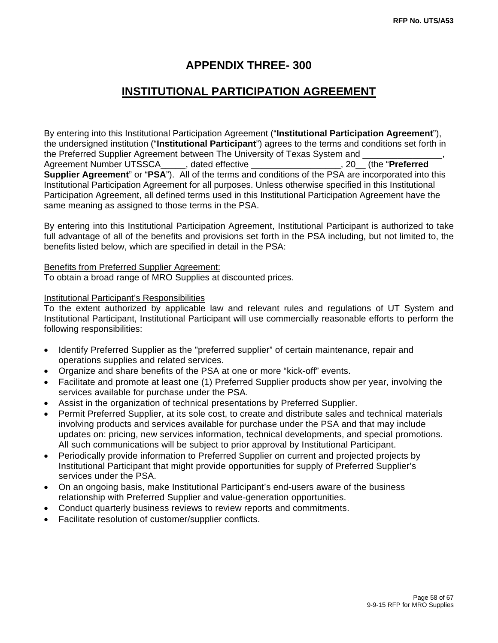# **APPENDIX THREE- 300**

# **INSTITUTIONAL PARTICIPATION AGREEMENT**

By entering into this Institutional Participation Agreement ("**Institutional Participation Agreement**"), the undersigned institution ("**Institutional Participant**") agrees to the terms and conditions set forth in the Preferred Supplier Agreement between The University of Texas System and Agreement Number UTSSCA\_\_\_\_\_, dated effective \_\_\_\_\_\_\_\_\_\_\_\_\_\_\_\_\_\_, 20\_\_ (the "**Preferred Supplier Agreement**" or "**PSA**"). All of the terms and conditions of the PSA are incorporated into this Institutional Participation Agreement for all purposes. Unless otherwise specified in this Institutional Participation Agreement, all defined terms used in this Institutional Participation Agreement have the same meaning as assigned to those terms in the PSA.

By entering into this Institutional Participation Agreement, Institutional Participant is authorized to take full advantage of all of the benefits and provisions set forth in the PSA including, but not limited to, the benefits listed below, which are specified in detail in the PSA:

Benefits from Preferred Supplier Agreement: To obtain a broad range of MRO Supplies at discounted prices.

#### Institutional Participant's Responsibilities

To the extent authorized by applicable law and relevant rules and regulations of UT System and Institutional Participant, Institutional Participant will use commercially reasonable efforts to perform the following responsibilities:

- Identify Preferred Supplier as the "preferred supplier" of certain maintenance, repair and operations supplies and related services.
- Organize and share benefits of the PSA at one or more "kick-off" events.
- Facilitate and promote at least one (1) Preferred Supplier products show per year, involving the services available for purchase under the PSA.
- Assist in the organization of technical presentations by Preferred Supplier.
- Permit Preferred Supplier, at its sole cost, to create and distribute sales and technical materials involving products and services available for purchase under the PSA and that may include updates on: pricing, new services information, technical developments, and special promotions. All such communications will be subject to prior approval by Institutional Participant.
- Periodically provide information to Preferred Supplier on current and projected projects by Institutional Participant that might provide opportunities for supply of Preferred Supplier's services under the PSA.
- On an ongoing basis, make Institutional Participant's end-users aware of the business relationship with Preferred Supplier and value-generation opportunities.
- Conduct quarterly business reviews to review reports and commitments.
- Facilitate resolution of customer/supplier conflicts.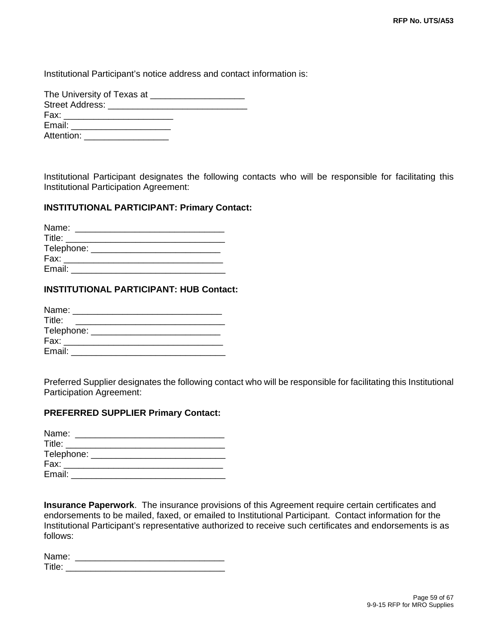Institutional Participant's notice address and contact information is:

| The University of Texas at <b>Fig. 1.1 The University of Texas at</b>                                                                                                                                                          |
|--------------------------------------------------------------------------------------------------------------------------------------------------------------------------------------------------------------------------------|
|                                                                                                                                                                                                                                |
| Fax: Figure 1999 and the contract of the contract of the contract of the contract of the contract of the contract of the contract of the contract of the contract of the contract of the contract of the contract of the contr |
| Email: Email: Email: Email: Email: Email: Email: Email: Email: Email: Email: Email: Email: Email: Email: Email: Email: Email: Email: Email: Email: Email: Email: Email: Email: Email: Email: Email: Email: Email: Email: Email |
| Attention: Attention                                                                                                                                                                                                           |

Institutional Participant designates the following contacts who will be responsible for facilitating this Institutional Participation Agreement:

#### **INSTITUTIONAL PARTICIPANT: Primary Contact:**

| Name:      |  |  |  |
|------------|--|--|--|
| Title:     |  |  |  |
| Telephone: |  |  |  |
| Fax:       |  |  |  |
| Email:     |  |  |  |

#### **INSTITUTIONAL PARTICIPANT: HUB Contact:**

| Name:      |  |
|------------|--|
| Title:     |  |
| Telephone: |  |
| Fax:       |  |
| Email:     |  |

Preferred Supplier designates the following contact who will be responsible for facilitating this Institutional Participation Agreement:

#### **PREFERRED SUPPLIER Primary Contact:**

| Name:  |                                |  |
|--------|--------------------------------|--|
| Title: |                                |  |
|        | Telephone: ___________________ |  |
| Fax:   |                                |  |
| Email: |                                |  |

**Insurance Paperwork**. The insurance provisions of this Agreement require certain certificates and endorsements to be mailed, faxed, or emailed to Institutional Participant. Contact information for the Institutional Participant's representative authorized to receive such certificates and endorsements is as follows:

| Name:    |  |  |
|----------|--|--|
| т.,<br>┅ |  |  |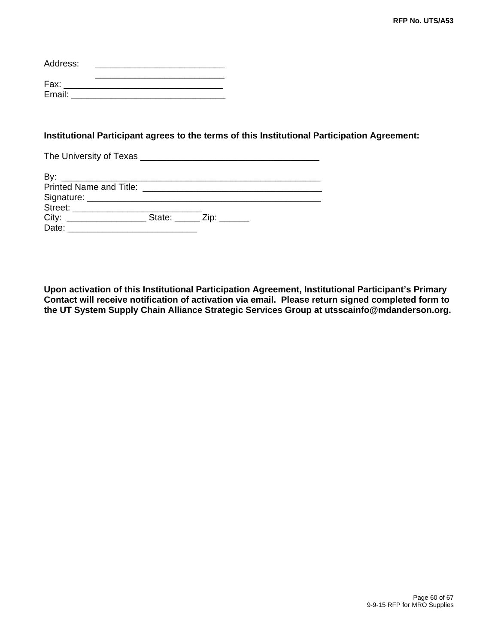| Address: |  |
|----------|--|
| Fax:     |  |
| Email:   |  |

#### **Institutional Participant agrees to the terms of this Institutional Participation Agreement:**

The University of Texas \_\_\_\_\_\_\_\_\_\_\_\_\_\_\_\_\_\_\_\_\_\_\_\_\_\_\_\_\_\_\_\_\_\_\_\_

| Bv:                                   |                        |
|---------------------------------------|------------------------|
| Printed Name and Title: _____________ |                        |
|                                       |                        |
|                                       |                        |
| City:                                 | State: ____ Zip: _____ |
| Date:                                 |                        |

**Upon activation of this Institutional Participation Agreement, Institutional Participant's Primary Contact will receive notification of activation via email. Please return signed completed form to the UT System Supply Chain Alliance Strategic Services Group at utsscainfo@mdanderson.org.**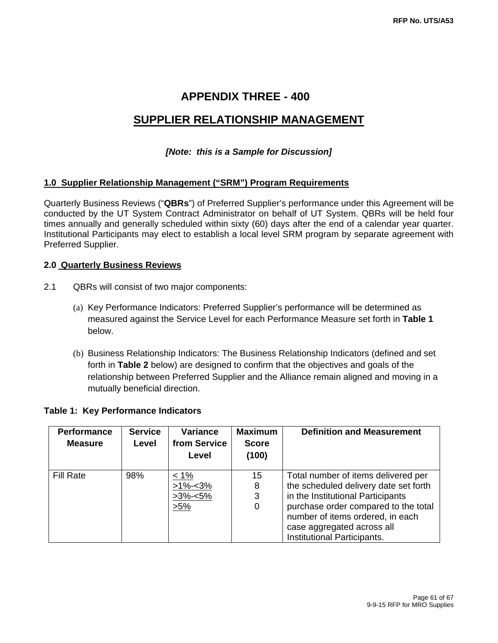# **APPENDIX THREE - 400**

# **SUPPLIER RELATIONSHIP MANAGEMENT**

### *[Note: this is a Sample for Discussion]*

#### **1.0 Supplier Relationship Management ("SRM") Program Requirements**

Quarterly Business Reviews ("**QBRs**") of Preferred Supplier's performance under this Agreement will be conducted by the UT System Contract Administrator on behalf of UT System. QBRs will be held four times annually and generally scheduled within sixty (60) days after the end of a calendar year quarter. Institutional Participants may elect to establish a local level SRM program by separate agreement with Preferred Supplier.

#### **2.0 Quarterly Business Reviews**

- 2.1 QBRs will consist of two major components:
	- (a) Key Performance Indicators: Preferred Supplier's performance will be determined as measured against the Service Level for each Performance Measure set forth in **Table 1** below.
	- (b) Business Relationship Indicators: The Business Relationship Indicators (defined and set forth in **Table 2** below) are designed to confirm that the objectives and goals of the relationship between Preferred Supplier and the Alliance remain aligned and moving in a mutually beneficial direction.

#### **Table 1: Key Performance Indicators**

| <b>Performance</b><br><b>Measure</b> | <b>Service</b><br>Level | Variance<br>from Service<br>Level                    | <b>Maximum</b><br><b>Score</b><br>(100) | <b>Definition and Measurement</b>                                                                                                                                                                                                                          |
|--------------------------------------|-------------------------|------------------------------------------------------|-----------------------------------------|------------------------------------------------------------------------------------------------------------------------------------------------------------------------------------------------------------------------------------------------------------|
| <b>Fill Rate</b>                     | 98%                     | $\leq 1\%$<br>$>1\% - 3\%$<br>$>3\% < 5\%$<br>$>5\%$ | 15<br>8<br>3<br>0                       | Total number of items delivered per<br>the scheduled delivery date set forth<br>in the Institutional Participants<br>purchase order compared to the total<br>number of items ordered, in each<br>case aggregated across all<br>Institutional Participants. |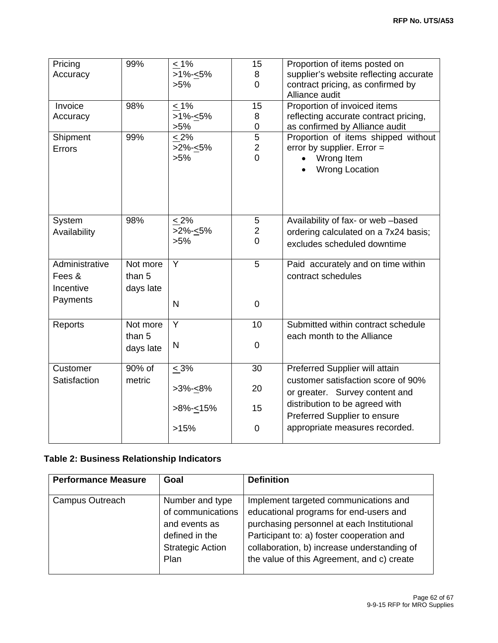| Pricing<br>Accuracy                   | 99%                             | $\leq 1\%$<br>$>1\% - 5\%$<br>$>5\%$ | 15<br>8<br>$\overline{0}$                      | Proportion of items posted on<br>supplier's website reflecting accurate<br>contract pricing, as confirmed by<br>Alliance audit |
|---------------------------------------|---------------------------------|--------------------------------------|------------------------------------------------|--------------------------------------------------------------------------------------------------------------------------------|
| Invoice<br>Accuracy                   | 98%                             | $\leq 1\%$<br>$>1\% - 5\%$<br>$>5\%$ | 15<br>8<br>$\pmb{0}$                           | Proportion of invoiced items<br>reflecting accurate contract pricing,<br>as confirmed by Alliance audit                        |
| Shipment<br>Errors                    | 99%                             | $< 2\%$<br>$>2\% - 5\%$<br>$>5\%$    | 5<br>$\overline{c}$<br>$\overline{0}$          | Proportion of items shipped without<br>error by supplier. Error $=$<br>Wrong Item<br><b>Wrong Location</b>                     |
| System<br>Availability                | 98%                             | $< 2\%$<br>$>2\% - 5\%$<br>$>5\%$    | 5<br>$\overline{\mathbf{c}}$<br>$\overline{0}$ | Availability of fax- or web -based<br>ordering calculated on a 7x24 basis;<br>excludes scheduled downtime                      |
| Administrative<br>Fees &<br>Incentive | Not more<br>than 5<br>days late | Y                                    | 5                                              | Paid accurately and on time within<br>contract schedules                                                                       |
| Payments                              |                                 | $\mathsf{N}$                         | $\mathbf 0$                                    |                                                                                                                                |
| Reports                               | Not more<br>than 5              | $\overline{Y}$                       | 10                                             | Submitted within contract schedule<br>each month to the Alliance                                                               |
|                                       | days late                       | N                                    | $\mathbf 0$                                    |                                                                                                                                |
| Customer                              | 90% of                          | $\leq 3\%$                           | 30                                             | Preferred Supplier will attain                                                                                                 |
| Satisfaction                          | metric                          | $>3\% - 8\%$                         | 20                                             | customer satisfaction score of 90%<br>or greater. Survey content and                                                           |
|                                       |                                 | >8%- $\leq$ 15%                      | 15                                             | distribution to be agreed with<br>Preferred Supplier to ensure                                                                 |
|                                       |                                 | >15%                                 | $\mathbf 0$                                    | appropriate measures recorded.                                                                                                 |

## **Table 2: Business Relationship Indicators**

| <b>Performance Measure</b> | Goal                                                                                                       | <b>Definition</b>                                                                                                                                                                                                                                                       |
|----------------------------|------------------------------------------------------------------------------------------------------------|-------------------------------------------------------------------------------------------------------------------------------------------------------------------------------------------------------------------------------------------------------------------------|
| Campus Outreach            | Number and type<br>of communications<br>and events as<br>defined in the<br><b>Strategic Action</b><br>Plan | Implement targeted communications and<br>educational programs for end-users and<br>purchasing personnel at each Institutional<br>Participant to: a) foster cooperation and<br>collaboration, b) increase understanding of<br>the value of this Agreement, and c) create |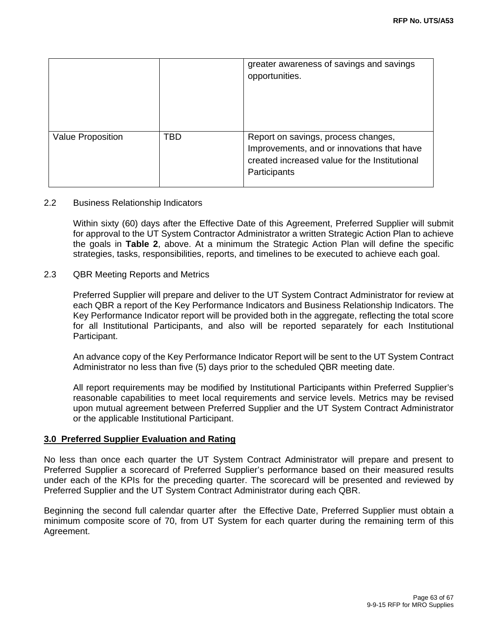|                          |     | greater awareness of savings and savings<br>opportunities.                                                                                         |
|--------------------------|-----|----------------------------------------------------------------------------------------------------------------------------------------------------|
| <b>Value Proposition</b> | TBD | Report on savings, process changes,<br>Improvements, and or innovations that have<br>created increased value for the Institutional<br>Participants |

#### 2.2 Business Relationship Indicators

Within sixty (60) days after the Effective Date of this Agreement, Preferred Supplier will submit for approval to the UT System Contractor Administrator a written Strategic Action Plan to achieve the goals in **Table 2**, above. At a minimum the Strategic Action Plan will define the specific strategies, tasks, responsibilities, reports, and timelines to be executed to achieve each goal.

#### 2.3 QBR Meeting Reports and Metrics

Preferred Supplier will prepare and deliver to the UT System Contract Administrator for review at each QBR a report of the Key Performance Indicators and Business Relationship Indicators. The Key Performance Indicator report will be provided both in the aggregate, reflecting the total score for all Institutional Participants, and also will be reported separately for each Institutional Participant.

An advance copy of the Key Performance Indicator Report will be sent to the UT System Contract Administrator no less than five (5) days prior to the scheduled QBR meeting date.

All report requirements may be modified by Institutional Participants within Preferred Supplier's reasonable capabilities to meet local requirements and service levels. Metrics may be revised upon mutual agreement between Preferred Supplier and the UT System Contract Administrator or the applicable Institutional Participant.

#### **3.0 Preferred Supplier Evaluation and Rating**

No less than once each quarter the UT System Contract Administrator will prepare and present to Preferred Supplier a scorecard of Preferred Supplier's performance based on their measured results under each of the KPIs for the preceding quarter. The scorecard will be presented and reviewed by Preferred Supplier and the UT System Contract Administrator during each QBR.

Beginning the second full calendar quarter after the Effective Date, Preferred Supplier must obtain a minimum composite score of 70, from UT System for each quarter during the remaining term of this Agreement.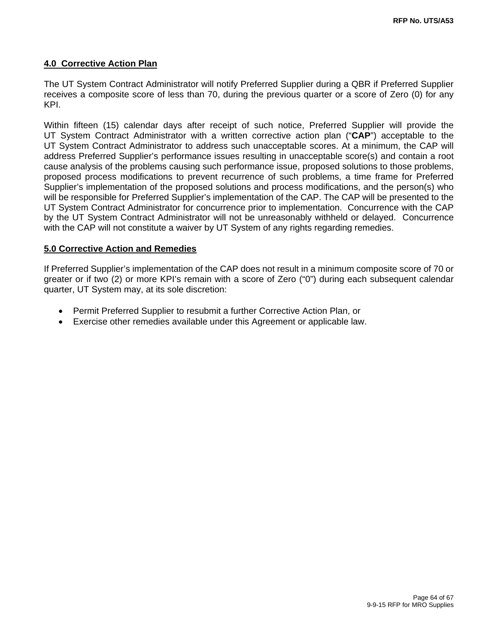#### **4.0 Corrective Action Plan**

The UT System Contract Administrator will notify Preferred Supplier during a QBR if Preferred Supplier receives a composite score of less than 70, during the previous quarter or a score of Zero (0) for any KPI.

Within fifteen (15) calendar days after receipt of such notice, Preferred Supplier will provide the UT System Contract Administrator with a written corrective action plan ("**CAP**") acceptable to the UT System Contract Administrator to address such unacceptable scores. At a minimum, the CAP will address Preferred Supplier's performance issues resulting in unacceptable score(s) and contain a root cause analysis of the problems causing such performance issue, proposed solutions to those problems, proposed process modifications to prevent recurrence of such problems, a time frame for Preferred Supplier's implementation of the proposed solutions and process modifications, and the person(s) who will be responsible for Preferred Supplier's implementation of the CAP. The CAP will be presented to the UT System Contract Administrator for concurrence prior to implementation. Concurrence with the CAP by the UT System Contract Administrator will not be unreasonably withheld or delayed. Concurrence with the CAP will not constitute a waiver by UT System of any rights regarding remedies.

#### **5.0 Corrective Action and Remedies**

If Preferred Supplier's implementation of the CAP does not result in a minimum composite score of 70 or greater or if two (2) or more KPI's remain with a score of Zero ("0") during each subsequent calendar quarter, UT System may, at its sole discretion:

- Permit Preferred Supplier to resubmit a further Corrective Action Plan, or
- Exercise other remedies available under this Agreement or applicable law.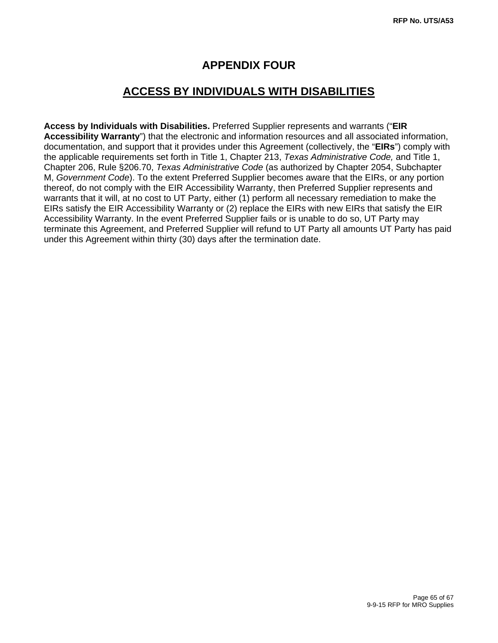## **APPENDIX FOUR**

# **ACCESS BY INDIVIDUALS WITH DISABILITIES**

**Access by Individuals with Disabilities.** Preferred Supplier represents and warrants ("**EIR Accessibility Warranty**") that the electronic and information resources and all associated information, documentation, and support that it provides under this Agreement (collectively, the "**EIRs**") comply with the applicable requirements set forth in Title 1, Chapter 213, *Texas Administrative Code,* and Title 1, Chapter 206, Rule §206.70, *Texas Administrative Code* (as authorized by Chapter 2054, Subchapter M, *Government Code*). To the extent Preferred Supplier becomes aware that the EIRs, or any portion thereof, do not comply with the EIR Accessibility Warranty, then Preferred Supplier represents and warrants that it will, at no cost to UT Party, either (1) perform all necessary remediation to make the EIRs satisfy the EIR Accessibility Warranty or (2) replace the EIRs with new EIRs that satisfy the EIR Accessibility Warranty. In the event Preferred Supplier fails or is unable to do so, UT Party may terminate this Agreement, and Preferred Supplier will refund to UT Party all amounts UT Party has paid under this Agreement within thirty (30) days after the termination date.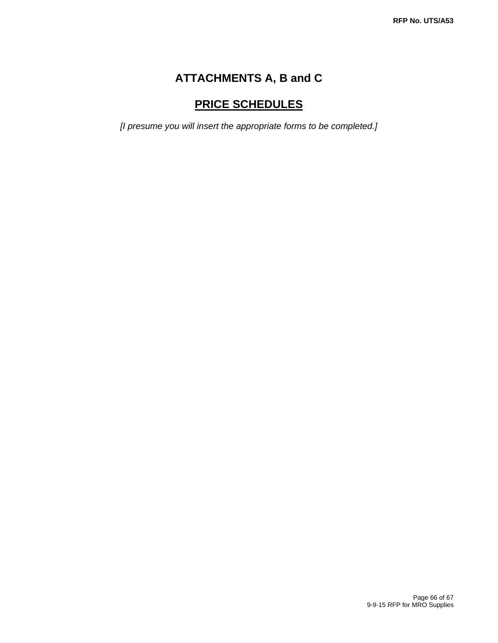# **ATTACHMENTS A, B and C**

# **PRICE SCHEDULES**

*[I presume you will insert the appropriate forms to be completed.]*